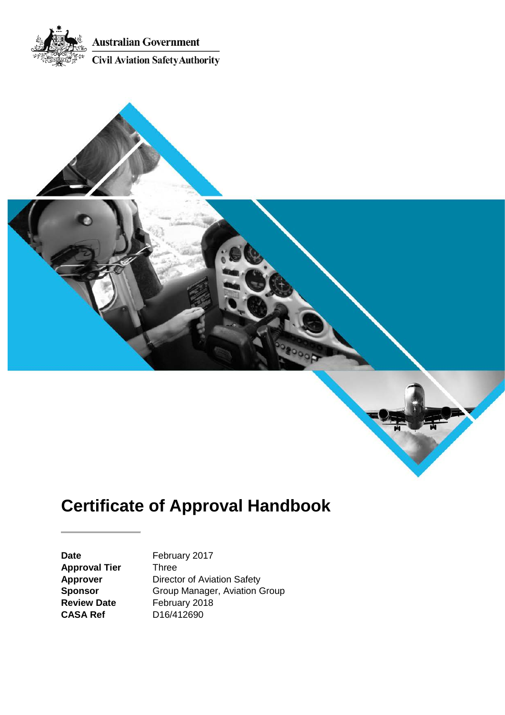



# **Certificate of Approval Handbook**

**Approval Tier** Three

Date February 2017 **Approver** Director of Aviation Safety<br> **Sponsor** Group Manager, Aviation C **Sponsor** Group Manager, Aviation Group<br> **Review Date** February 2018 **Review Date** February 2018<br>**CASA Ref** D16/412690 **CASA Ref** D16/412690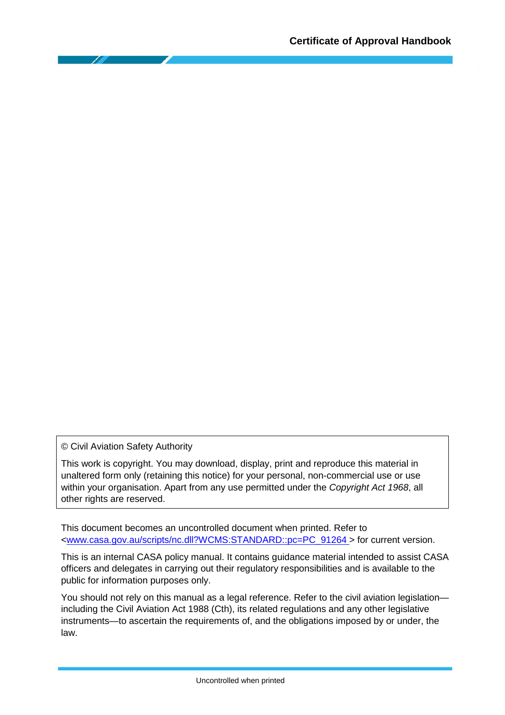© Civil Aviation Safety Authority

This work is copyright. You may download, display, print and reproduce this material in unaltered form only (retaining this notice) for your personal, non-commercial use or use within your organisation. Apart from any use permitted under the *Copyright Act 1968*, all other rights are reserved.

This document becomes an uncontrolled document when printed. Refer to [<www.casa.gov.au/scripts/nc.dll?WCMS:STANDARD::pc=PC\\_91264 >](http://casa.gov.au/scripts/nc.dll?WCMS:STANDARD::pc=PC_91264%20) for current version.

This is an internal CASA policy manual. It contains guidance material intended to assist CASA officers and delegates in carrying out their regulatory responsibilities and is available to the public for information purposes only.

You should not rely on this manual as a legal reference. Refer to the civil aviation legislation including the Civil Aviation Act 1988 (Cth), its related regulations and any other legislative instruments—to ascertain the requirements of, and the obligations imposed by or under, the law.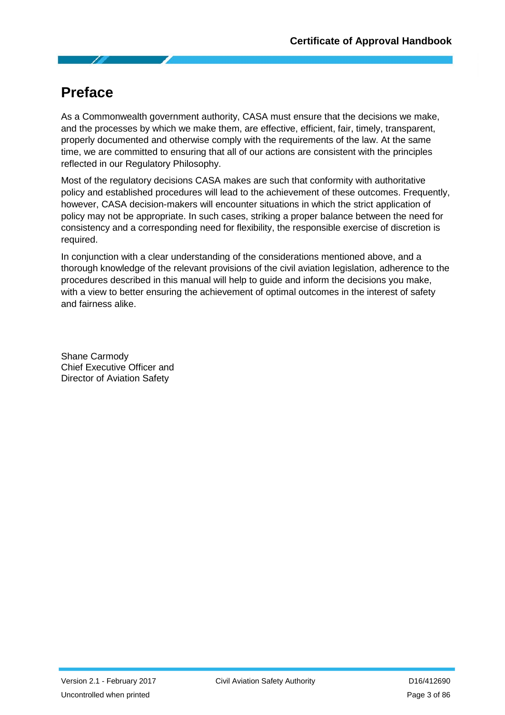# <span id="page-2-0"></span>**Preface**

As a Commonwealth government authority, CASA must ensure that the decisions we make, and the processes by which we make them, are effective, efficient, fair, timely, transparent, properly documented and otherwise comply with the requirements of the law. At the same time, we are committed to ensuring that all of our actions are consistent with the principles reflected in our Regulatory Philosophy.

Most of the regulatory decisions CASA makes are such that conformity with authoritative policy and established procedures will lead to the achievement of these outcomes. Frequently, however, CASA decision-makers will encounter situations in which the strict application of policy may not be appropriate. In such cases, striking a proper balance between the need for consistency and a corresponding need for flexibility, the responsible exercise of discretion is required.

In conjunction with a clear understanding of the considerations mentioned above, and a thorough knowledge of the relevant provisions of the civil aviation legislation, adherence to the procedures described in this manual will help to guide and inform the decisions you make, with a view to better ensuring the achievement of optimal outcomes in the interest of safety and fairness alike.

Shane Carmody Chief Executive Officer and Director of Aviation Safety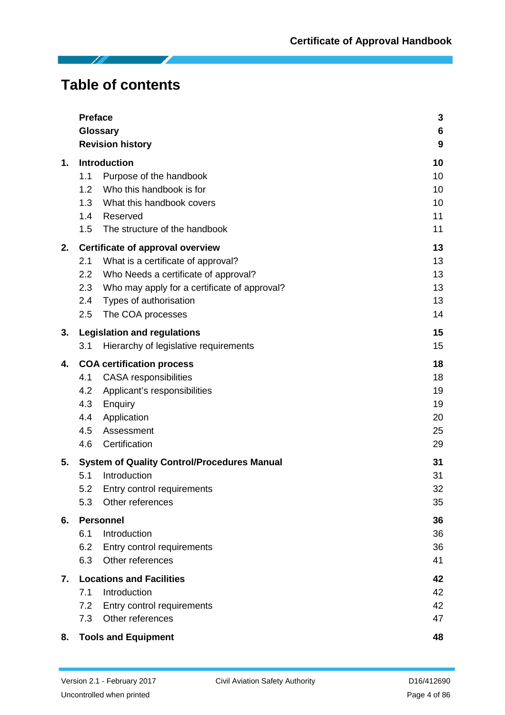**Table of contents**

Τ

|    | <b>Preface</b>                                      | 3               |
|----|-----------------------------------------------------|-----------------|
|    | Glossary                                            | $6\phantom{1}6$ |
|    | <b>Revision history</b>                             | 9               |
| 1. | <b>Introduction</b>                                 | 10              |
|    | 1.1<br>Purpose of the handbook                      | 10              |
|    | 1.2<br>Who this handbook is for                     | 10              |
|    | What this handbook covers<br>1.3                    | 10              |
|    | 1.4<br>Reserved                                     | 11              |
|    | The structure of the handbook<br>1.5                | 11              |
| 2. | Certificate of approval overview                    | 13              |
|    | What is a certificate of approval?<br>2.1           | 13              |
|    | Who Needs a certificate of approval?<br>2.2         | 13              |
|    | 2.3<br>Who may apply for a certificate of approval? | 13              |
|    | Types of authorisation<br>2.4                       | 13              |
|    | 2.5<br>The COA processes                            | 14              |
| 3. | <b>Legislation and regulations</b>                  | 15              |
|    | Hierarchy of legislative requirements<br>3.1        | 15              |
| 4. | <b>COA certification process</b>                    | 18              |
|    | 4.1<br><b>CASA</b> responsibilities                 | 18              |
|    | 4.2<br>Applicant's responsibilities                 | 19              |
|    | 4.3<br>Enquiry                                      | 19              |
|    | Application<br>4.4                                  | 20              |
|    | 4.5<br>Assessment                                   | 25              |
|    | Certification<br>4.6                                | 29              |
| 5. | <b>System of Quality Control/Procedures Manual</b>  | 31              |
|    | Introduction<br>5.1                                 | 31              |
|    | 5.2<br>Entry control requirements                   | 32              |
|    | Other references<br>5.3                             | 35              |
| 6. | <b>Personnel</b>                                    | 36              |
|    | Introduction<br>6.1                                 | 36              |
|    | 6.2<br>Entry control requirements                   | 36              |
|    | Other references<br>6.3                             | 41              |
| 7. | <b>Locations and Facilities</b>                     | 42              |
|    | 7.1<br>Introduction                                 | 42              |
|    | 7.2<br>Entry control requirements                   | 42              |
|    | Other references<br>7.3                             | 47              |
| 8. | <b>Tools and Equipment</b>                          | 48              |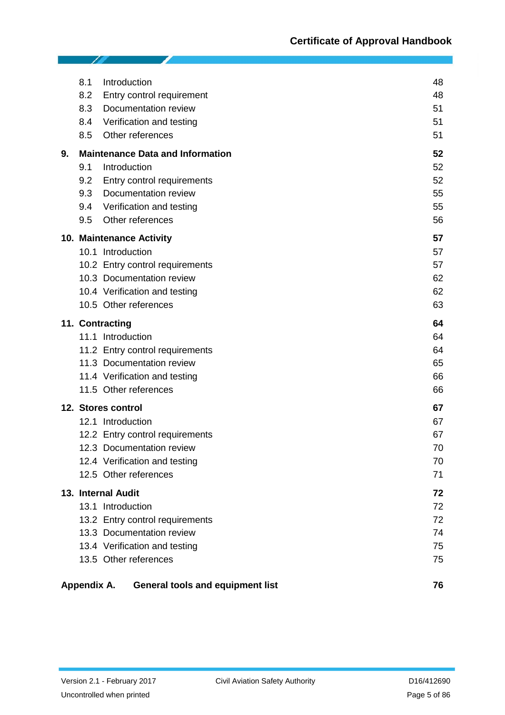|    | 8.1<br>8.2<br>8.3<br>8.4<br>8.5 | Introduction<br>Entry control requirement<br>Documentation review<br>Verification and testing<br>Other references                                                       | 48<br>48<br>51<br>51<br>51       |
|----|---------------------------------|-------------------------------------------------------------------------------------------------------------------------------------------------------------------------|----------------------------------|
| 9. | 9.1<br>9.2<br>9.3<br>9.4<br>9.5 | <b>Maintenance Data and Information</b><br>Introduction<br>Entry control requirements<br>Documentation review<br>Verification and testing<br>Other references           | 52<br>52<br>52<br>55<br>55<br>56 |
|    |                                 | 10. Maintenance Activity<br>10.1 Introduction<br>10.2 Entry control requirements<br>10.3 Documentation review<br>10.4 Verification and testing<br>10.5 Other references | 57<br>57<br>57<br>62<br>62<br>63 |
|    |                                 | 11. Contracting<br>11.1 Introduction<br>11.2 Entry control requirements<br>11.3 Documentation review<br>11.4 Verification and testing<br>11.5 Other references          | 64<br>64<br>64<br>65<br>66<br>66 |
|    |                                 | 12. Stores control<br>12.1 Introduction<br>12.2 Entry control requirements<br>12.3 Documentation review<br>12.4 Verification and testing<br>12.5 Other references       | 67<br>67<br>67<br>70<br>70<br>71 |
|    |                                 | 13. Internal Audit<br>13.1 Introduction<br>13.2 Entry control requirements<br>13.3 Documentation review<br>13.4 Verification and testing<br>13.5 Other references       | 72<br>72<br>72<br>74<br>75<br>75 |
|    | Appendix A.                     | <b>General tools and equipment list</b>                                                                                                                                 | 76                               |

19

I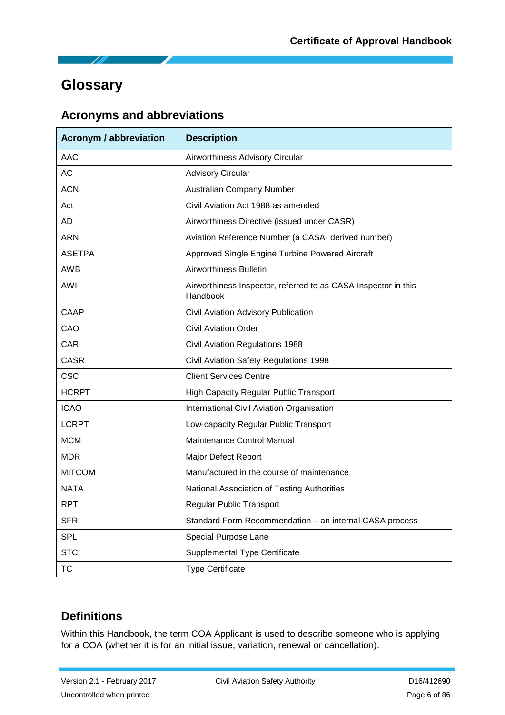# <span id="page-5-0"></span>**Glossary**

# **Acronyms and abbreviations**

| <b>Acronym / abbreviation</b> | <b>Description</b>                                                         |  |
|-------------------------------|----------------------------------------------------------------------------|--|
| <b>AAC</b>                    | Airworthiness Advisory Circular                                            |  |
| <b>AC</b>                     | <b>Advisory Circular</b>                                                   |  |
| <b>ACN</b>                    | Australian Company Number                                                  |  |
| Act                           | Civil Aviation Act 1988 as amended                                         |  |
| <b>AD</b>                     | Airworthiness Directive (issued under CASR)                                |  |
| <b>ARN</b>                    | Aviation Reference Number (a CASA- derived number)                         |  |
| <b>ASETPA</b>                 | Approved Single Engine Turbine Powered Aircraft                            |  |
| <b>AWB</b>                    | Airworthiness Bulletin                                                     |  |
| <b>AWI</b>                    | Airworthiness Inspector, referred to as CASA Inspector in this<br>Handbook |  |
| CAAP                          | Civil Aviation Advisory Publication                                        |  |
| CAO                           | <b>Civil Aviation Order</b>                                                |  |
| <b>CAR</b>                    | <b>Civil Aviation Regulations 1988</b>                                     |  |
| <b>CASR</b>                   | Civil Aviation Safety Regulations 1998                                     |  |
| <b>CSC</b>                    | <b>Client Services Centre</b>                                              |  |
| <b>HCRPT</b>                  | <b>High Capacity Regular Public Transport</b>                              |  |
| <b>ICAO</b>                   | <b>International Civil Aviation Organisation</b>                           |  |
| <b>LCRPT</b>                  | Low-capacity Regular Public Transport                                      |  |
| <b>MCM</b>                    | Maintenance Control Manual                                                 |  |
| <b>MDR</b>                    | Major Defect Report                                                        |  |
| <b>MITCOM</b>                 | Manufactured in the course of maintenance                                  |  |
| <b>NATA</b>                   | National Association of Testing Authorities                                |  |
| <b>RPT</b>                    | <b>Regular Public Transport</b>                                            |  |
| <b>SFR</b>                    | Standard Form Recommendation - an internal CASA process                    |  |
| <b>SPL</b>                    | Special Purpose Lane                                                       |  |
| <b>STC</b>                    | <b>Supplemental Type Certificate</b>                                       |  |
| <b>TC</b>                     | <b>Type Certificate</b>                                                    |  |

# **Definitions**

Within this Handbook, the term COA Applicant is used to describe someone who is applying for a COA (whether it is for an initial issue, variation, renewal or cancellation).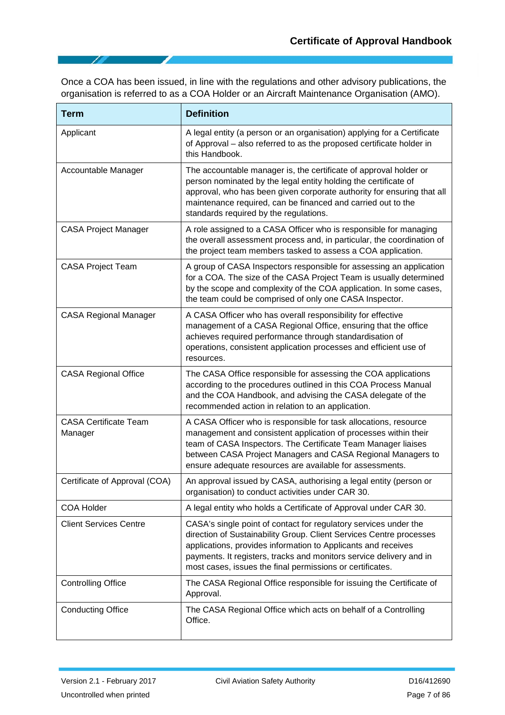Once a COA has been issued, in line with the regulations and other advisory publications, the organisation is referred to as a COA Holder or an Aircraft Maintenance Organisation (AMO).

| <b>Term</b>                             | <b>Definition</b>                                                                                                                                                                                                                                                                                                                            |  |  |
|-----------------------------------------|----------------------------------------------------------------------------------------------------------------------------------------------------------------------------------------------------------------------------------------------------------------------------------------------------------------------------------------------|--|--|
| Applicant                               | A legal entity (a person or an organisation) applying for a Certificate<br>of Approval - also referred to as the proposed certificate holder in<br>this Handbook.                                                                                                                                                                            |  |  |
| Accountable Manager                     | The accountable manager is, the certificate of approval holder or<br>person nominated by the legal entity holding the certificate of<br>approval, who has been given corporate authority for ensuring that all<br>maintenance required, can be financed and carried out to the<br>standards required by the regulations.                     |  |  |
| <b>CASA Project Manager</b>             | A role assigned to a CASA Officer who is responsible for managing<br>the overall assessment process and, in particular, the coordination of<br>the project team members tasked to assess a COA application.                                                                                                                                  |  |  |
| <b>CASA Project Team</b>                | A group of CASA Inspectors responsible for assessing an application<br>for a COA. The size of the CASA Project Team is usually determined<br>by the scope and complexity of the COA application. In some cases,<br>the team could be comprised of only one CASA Inspector.                                                                   |  |  |
| <b>CASA Regional Manager</b>            | A CASA Officer who has overall responsibility for effective<br>management of a CASA Regional Office, ensuring that the office<br>achieves required performance through standardisation of<br>operations, consistent application processes and efficient use of<br>resources.                                                                 |  |  |
| <b>CASA Regional Office</b>             | The CASA Office responsible for assessing the COA applications<br>according to the procedures outlined in this COA Process Manual<br>and the COA Handbook, and advising the CASA delegate of the<br>recommended action in relation to an application.                                                                                        |  |  |
| <b>CASA Certificate Team</b><br>Manager | A CASA Officer who is responsible for task allocations, resource<br>management and consistent application of processes within their<br>team of CASA Inspectors. The Certificate Team Manager liaises<br>between CASA Project Managers and CASA Regional Managers to<br>ensure adequate resources are available for assessments.              |  |  |
| Certificate of Approval (COA)           | An approval issued by CASA, authorising a legal entity (person or<br>organisation) to conduct activities under CAR 30.                                                                                                                                                                                                                       |  |  |
| <b>COA Holder</b>                       | A legal entity who holds a Certificate of Approval under CAR 30.                                                                                                                                                                                                                                                                             |  |  |
| <b>Client Services Centre</b>           | CASA's single point of contact for regulatory services under the<br>direction of Sustainability Group. Client Services Centre processes<br>applications, provides information to Applicants and receives<br>payments. It registers, tracks and monitors service delivery and in<br>most cases, issues the final permissions or certificates. |  |  |
| <b>Controlling Office</b>               | The CASA Regional Office responsible for issuing the Certificate of<br>Approval.                                                                                                                                                                                                                                                             |  |  |
| <b>Conducting Office</b>                | The CASA Regional Office which acts on behalf of a Controlling<br>Office.                                                                                                                                                                                                                                                                    |  |  |

7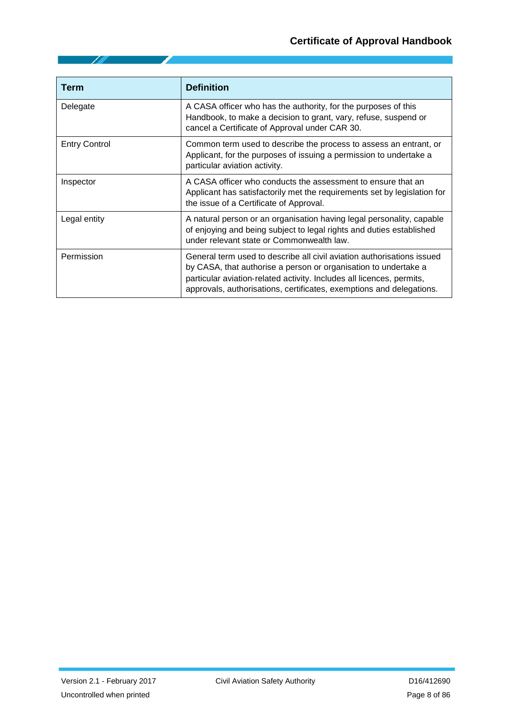| <b>Term</b>          | <b>Definition</b>                                                                                                                                                                                                                                                                          |  |
|----------------------|--------------------------------------------------------------------------------------------------------------------------------------------------------------------------------------------------------------------------------------------------------------------------------------------|--|
| Delegate             | A CASA officer who has the authority, for the purposes of this<br>Handbook, to make a decision to grant, vary, refuse, suspend or<br>cancel a Certificate of Approval under CAR 30.                                                                                                        |  |
| <b>Entry Control</b> | Common term used to describe the process to assess an entrant, or<br>Applicant, for the purposes of issuing a permission to undertake a<br>particular aviation activity.                                                                                                                   |  |
| Inspector            | A CASA officer who conducts the assessment to ensure that an<br>Applicant has satisfactorily met the requirements set by legislation for<br>the issue of a Certificate of Approval.                                                                                                        |  |
| Legal entity         | A natural person or an organisation having legal personality, capable<br>of enjoying and being subject to legal rights and duties established<br>under relevant state or Commonwealth law.                                                                                                 |  |
| Permission           | General term used to describe all civil aviation authorisations issued<br>by CASA, that authorise a person or organisation to undertake a<br>particular aviation-related activity. Includes all licences, permits,<br>approvals, authorisations, certificates, exemptions and delegations. |  |

10

◢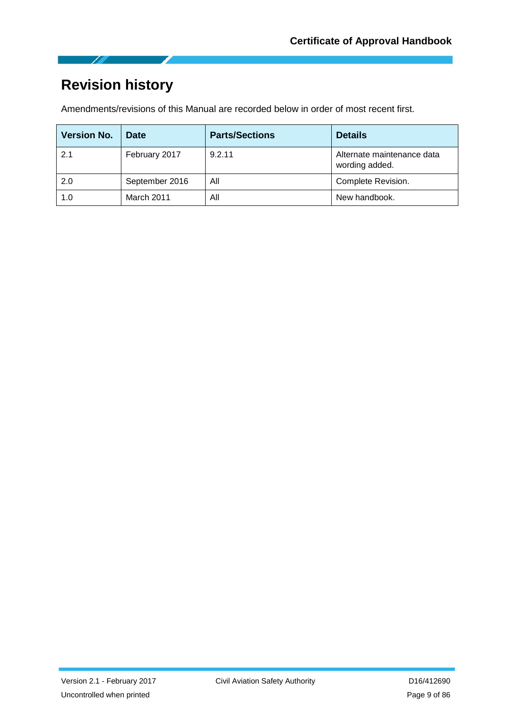

# <span id="page-8-0"></span>**Revision history**

Amendments/revisions of this Manual are recorded below in order of most recent first.

| <b>Version No.</b> | Date           | <b>Parts/Sections</b> | <b>Details</b>                               |
|--------------------|----------------|-----------------------|----------------------------------------------|
| 2.1                | February 2017  | 9.2.11                | Alternate maintenance data<br>wording added. |
| 2.0                | September 2016 | All                   | Complete Revision.                           |
| 1.0                | March 2011     | All                   | New handbook.                                |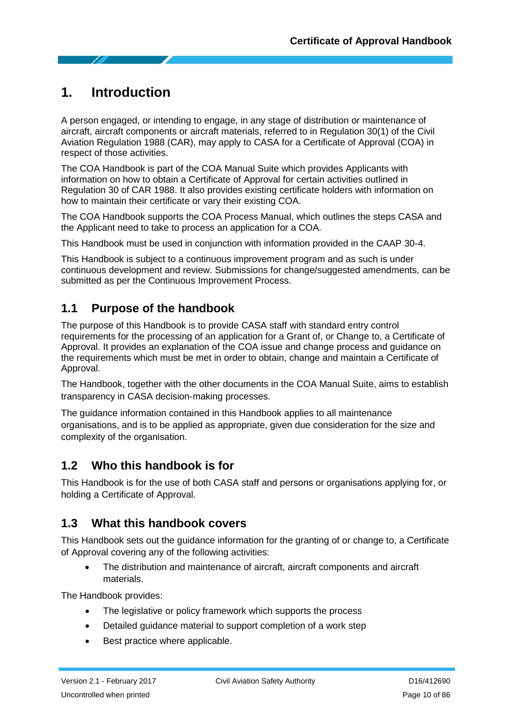# <span id="page-9-0"></span>**1. Introduction**

A person engaged, or intending to engage, in any stage of distribution or maintenance of aircraft, aircraft components or aircraft materials, referred to in Regulation 30(1) of the Civil Aviation Regulation 1988 (CAR), may apply to CASA for a Certificate of Approval (COA) in respect of those activities.

The COA Handbook is part of the COA Manual Suite which provides Applicants with information on how to obtain a Certificate of Approval for certain activities outlined in Regulation 30 of CAR 1988. It also provides existing certificate holders with information on how to maintain their certificate or vary their existing COA.

The COA Handbook supports the COA Process Manual, which outlines the steps CASA and the Applicant need to take to process an application for a COA.

This Handbook must be used in conjunction with information provided in the CAAP 30-4.

This Handbook is subject to a continuous improvement program and as such is under continuous development and review. Submissions for change/suggested amendments, can be submitted as per the Continuous Improvement Process.

# <span id="page-9-1"></span>**1.1 Purpose of the handbook**

The purpose of this Handbook is to provide CASA staff with standard entry control requirements for the processing of an application for a Grant of, or Change to, a Certificate of Approval. It provides an explanation of the COA issue and change process and guidance on the requirements which must be met in order to obtain, change and maintain a Certificate of Approval.

The Handbook, together with the other documents in the COA Manual Suite, aims to establish transparency in CASA decision‐making processes.

The guidance information contained in this Handbook applies to all maintenance organisations, and is to be applied as appropriate, given due consideration for the size and complexity of the organisation.

# <span id="page-9-2"></span>**1.2 Who this handbook is for**

This Handbook is for the use of both CASA staff and persons or organisations applying for, or holding a Certificate of Approval.

# <span id="page-9-3"></span>**1.3 What this handbook covers**

This Handbook sets out the guidance information for the granting of or change to, a Certificate of Approval covering any of the following activities:

• The distribution and maintenance of aircraft, aircraft components and aircraft materials.

The Handbook provides:

- The legislative or policy framework which supports the process
- Detailed guidance material to support completion of a work step
- Best practice where applicable.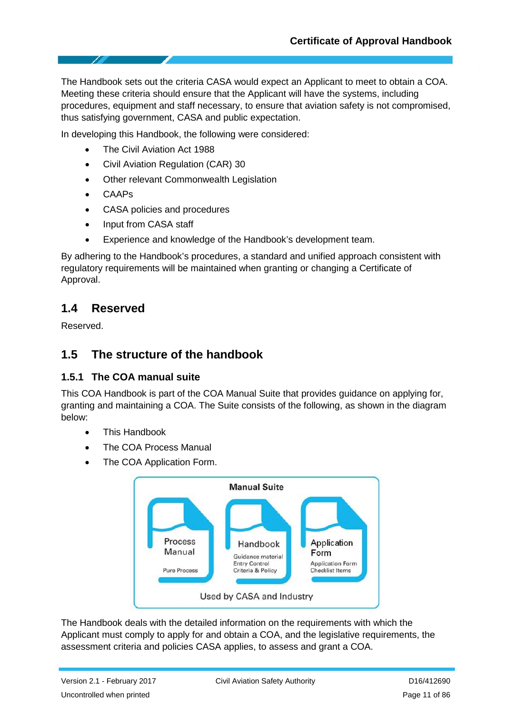The Handbook sets out the criteria CASA would expect an Applicant to meet to obtain a COA. Meeting these criteria should ensure that the Applicant will have the systems, including procedures, equipment and staff necessary, to ensure that aviation safety is not compromised, thus satisfying government, CASA and public expectation.

In developing this Handbook, the following were considered:

- The Civil Aviation Act 1988
- Civil Aviation Regulation (CAR) 30
- Other relevant Commonwealth Legislation
- CAAPs
- CASA policies and procedures
- Input from CASA staff
- Experience and knowledge of the Handbook's development team.

By adhering to the Handbook's procedures, a standard and unified approach consistent with regulatory requirements will be maintained when granting or changing a Certificate of Approval.

### <span id="page-10-0"></span>**1.4 Reserved**

Reserved.

# <span id="page-10-1"></span>**1.5 The structure of the handbook**

#### **1.5.1 The COA manual suite**

This COA Handbook is part of the COA Manual Suite that provides guidance on applying for, granting and maintaining a COA. The Suite consists of the following, as shown in the diagram below:

- This Handbook
- The COA Process Manual
- The COA Application Form.



The Handbook deals with the detailed information on the requirements with which the Applicant must comply to apply for and obtain a COA, and the legislative requirements, the assessment criteria and policies CASA applies, to assess and grant a COA.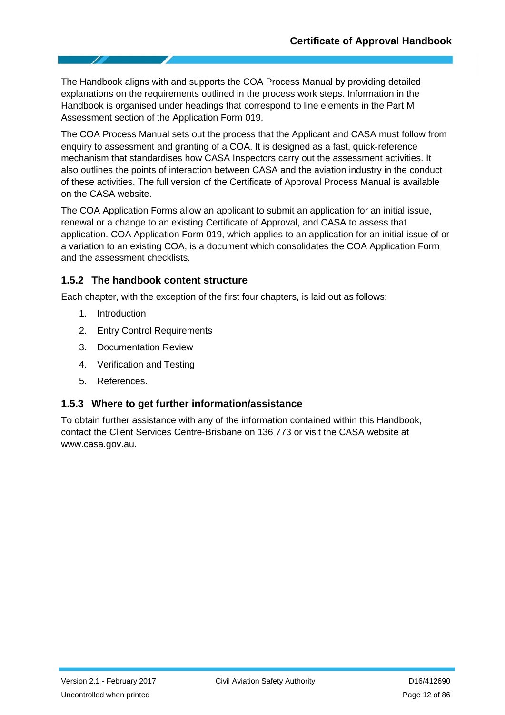The Handbook aligns with and supports the COA Process Manual by providing detailed explanations on the requirements outlined in the process work steps. Information in the Handbook is organised under headings that correspond to line elements in the Part M Assessment section of the Application Form 019.

The COA Process Manual sets out the process that the Applicant and CASA must follow from enquiry to assessment and granting of a COA. It is designed as a fast, quick‐reference mechanism that standardises how CASA Inspectors carry out the assessment activities. It also outlines the points of interaction between CASA and the aviation industry in the conduct of these activities. The full version of the Certificate of Approval Process Manual is available on the CASA website.

The COA Application Forms allow an applicant to submit an application for an initial issue, renewal or a change to an existing Certificate of Approval, and CASA to assess that application. COA Application Form 019, which applies to an application for an initial issue of or a variation to an existing COA, is a document which consolidates the COA Application Form and the assessment checklists.

#### **1.5.2 The handbook content structure**

Each chapter, with the exception of the first four chapters, is laid out as follows:

- 1. Introduction
- 2. Entry Control Requirements
- 3. Documentation Review
- 4. Verification and Testing
- 5. References.

#### **1.5.3 Where to get further information/assistance**

To obtain further assistance with any of the information contained within this Handbook, contact the Client Services Centre‐Brisbane on 136 773 or visit the CASA website at [www.casa.gov.au.](http://www.casa.gov.au/)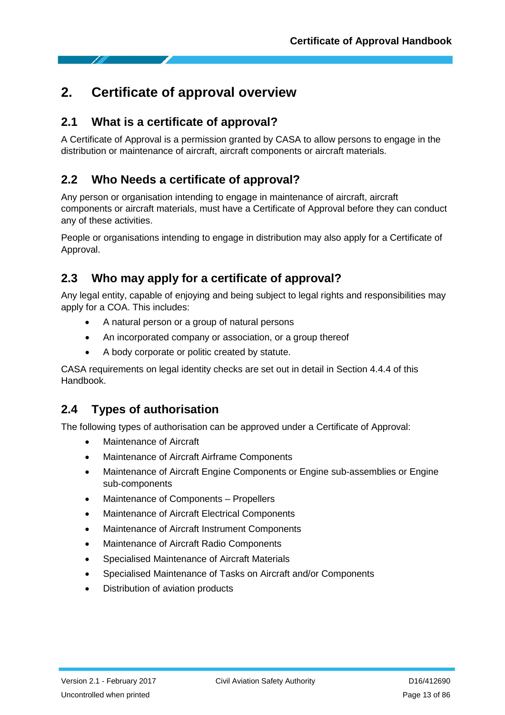# <span id="page-12-0"></span>**2. Certificate of approval overview**

# <span id="page-12-1"></span>**2.1 What is a certificate of approval?**

A Certificate of Approval is a permission granted by CASA to allow persons to engage in the distribution or maintenance of aircraft, aircraft components or aircraft materials.

# <span id="page-12-2"></span>**2.2 Who Needs a certificate of approval?**

Any person or organisation intending to engage in maintenance of aircraft, aircraft components or aircraft materials, must have a Certificate of Approval before they can conduct any of these activities.

People or organisations intending to engage in distribution may also apply for a Certificate of Approval.

# <span id="page-12-3"></span>**2.3 Who may apply for a certificate of approval?**

Any legal entity, capable of enjoying and being subject to legal rights and responsibilities may apply for a COA. This includes:

- A natural person or a group of natural persons
- An incorporated company or association, or a group thereof
- A body corporate or politic created by statute.

CASA requirements on legal identity checks are set out in detail in Section 4.4.4 of this Handbook.

# <span id="page-12-4"></span>**2.4 Types of authorisation**

The following types of authorisation can be approved under a Certificate of Approval:

- Maintenance of Aircraft
- Maintenance of Aircraft Airframe Components
- Maintenance of Aircraft Engine Components or Engine sub-assemblies or Engine sub‐components
- Maintenance of Components Propellers
- Maintenance of Aircraft Electrical Components
- Maintenance of Aircraft Instrument Components
- Maintenance of Aircraft Radio Components
- Specialised Maintenance of Aircraft Materials
- Specialised Maintenance of Tasks on Aircraft and/or Components
- Distribution of aviation products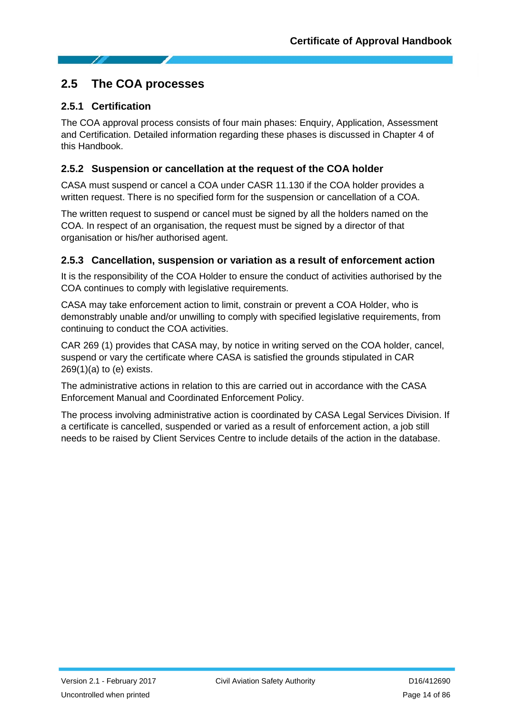### <span id="page-13-0"></span>**2.5 The COA processes**

#### **2.5.1 Certification**

The COA approval process consists of four main phases: Enquiry, Application, Assessment and Certification. Detailed information regarding these phases is discussed in Chapter 4 of this Handbook.

#### **2.5.2 Suspension or cancellation at the request of the COA holder**

CASA must suspend or cancel a COA under CASR 11.130 if the COA holder provides a written request. There is no specified form for the suspension or cancellation of a COA.

The written request to suspend or cancel must be signed by all the holders named on the COA. In respect of an organisation, the request must be signed by a director of that organisation or his/her authorised agent.

#### **2.5.3 Cancellation, suspension or variation as a result of enforcement action**

It is the responsibility of the COA Holder to ensure the conduct of activities authorised by the COA continues to comply with legislative requirements.

CASA may take enforcement action to limit, constrain or prevent a COA Holder, who is demonstrably unable and/or unwilling to comply with specified legislative requirements, from continuing to conduct the COA activities.

CAR 269 (1) provides that CASA may, by notice in writing served on the COA holder, cancel, suspend or vary the certificate where CASA is satisfied the grounds stipulated in CAR  $269(1)(a)$  to (e) exists.

The administrative actions in relation to this are carried out in accordance with the CASA Enforcement Manual and Coordinated Enforcement Policy.

The process involving administrative action is coordinated by CASA Legal Services Division. If a certificate is cancelled, suspended or varied as a result of enforcement action, a job still needs to be raised by Client Services Centre to include details of the action in the database.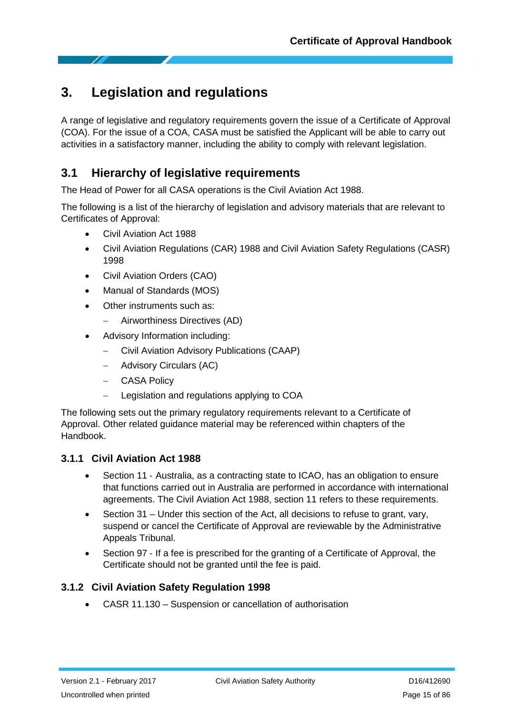# <span id="page-14-0"></span>**3. Legislation and regulations**

A range of legislative and regulatory requirements govern the issue of a Certificate of Approval (COA). For the issue of a COA, CASA must be satisfied the Applicant will be able to carry out activities in a satisfactory manner, including the ability to comply with relevant legislation.

# <span id="page-14-1"></span>**3.1 Hierarchy of legislative requirements**

The Head of Power for all CASA operations is the Civil Aviation Act 1988.

The following is a list of the hierarchy of legislation and advisory materials that are relevant to Certificates of Approval:

- Civil Aviation Act 1988
- Civil Aviation Regulations (CAR) 1988 and Civil Aviation Safety Regulations (CASR) 1998
- Civil Aviation Orders (CAO)
- Manual of Standards (MOS)
- Other instruments such as:
	- − Airworthiness Directives (AD)
- Advisory Information including:
	- − Civil Aviation Advisory Publications (CAAP)
	- − Advisory Circulars (AC)
	- − CASA Policy
	- Legislation and regulations applying to COA

The following sets out the primary regulatory requirements relevant to a Certificate of Approval. Other related guidance material may be referenced within chapters of the Handbook.

#### **3.1.1 Civil Aviation Act 1988**

- Section 11 Australia, as a contracting state to ICAO, has an obligation to ensure that functions carried out in Australia are performed in accordance with international agreements. The Civil Aviation Act 1988, section 11 refers to these requirements.
- Section 31 Under this section of the Act, all decisions to refuse to grant, vary, suspend or cancel the Certificate of Approval are reviewable by the Administrative Appeals Tribunal.
- Section 97 If a fee is prescribed for the granting of a Certificate of Approval, the Certificate should not be granted until the fee is paid.

#### **3.1.2 Civil Aviation Safety Regulation 1998**

• CASR 11.130 – Suspension or cancellation of authorisation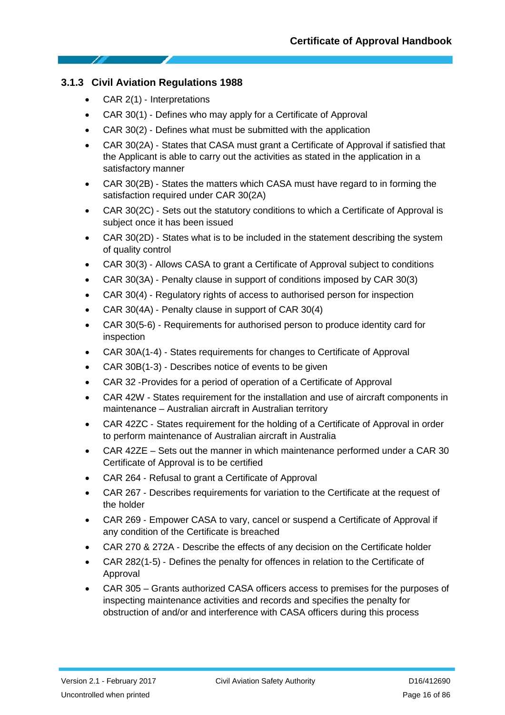#### **3.1.3 Civil Aviation Regulations 1988**

- CAR 2(1) ‐ Interpretations
- CAR 30(1) ‐ Defines who may apply for a Certificate of Approval
- CAR 30(2) ‐ Defines what must be submitted with the application
- CAR 30(2A) ‐ States that CASA must grant a Certificate of Approval if satisfied that the Applicant is able to carry out the activities as stated in the application in a satisfactory manner
- CAR 30(2B) ‐ States the matters which CASA must have regard to in forming the satisfaction required under CAR 30(2A)
- CAR 30(2C) ‐ Sets out the statutory conditions to which a Certificate of Approval is subject once it has been issued
- CAR 30(2D) ‐ States what is to be included in the statement describing the system of quality control
- CAR 30(3) ‐ Allows CASA to grant a Certificate of Approval subject to conditions
- CAR 30(3A) ‐ Penalty clause in support of conditions imposed by CAR 30(3)
- CAR 30(4) ‐ Regulatory rights of access to authorised person for inspection
- CAR 30(4A) ‐ Penalty clause in support of CAR 30(4)
- CAR 30(5‐6) ‐ Requirements for authorised person to produce identity card for inspection
- CAR 30A(1‐4) ‐ States requirements for changes to Certificate of Approval
- CAR 30B(1‐3) ‐ Describes notice of events to be given
- CAR 32 ‐Provides for a period of operation of a Certificate of Approval
- CAR 42W States requirement for the installation and use of aircraft components in maintenance – Australian aircraft in Australian territory
- CAR 42ZC ‐ States requirement for the holding of a Certificate of Approval in order to perform maintenance of Australian aircraft in Australia
- CAR 42ZE Sets out the manner in which maintenance performed under a CAR 30 Certificate of Approval is to be certified
- CAR 264 ‐ Refusal to grant a Certificate of Approval
- CAR 267 ‐ Describes requirements for variation to the Certificate at the request of the holder
- CAR 269 ‐ Empower CASA to vary, cancel or suspend a Certificate of Approval if any condition of the Certificate is breached
- CAR 270 & 272A ‐ Describe the effects of any decision on the Certificate holder
- CAR 282(1‐5) ‐ Defines the penalty for offences in relation to the Certificate of Approval
- CAR 305 Grants authorized CASA officers access to premises for the purposes of inspecting maintenance activities and records and specifies the penalty for obstruction of and/or and interference with CASA officers during this process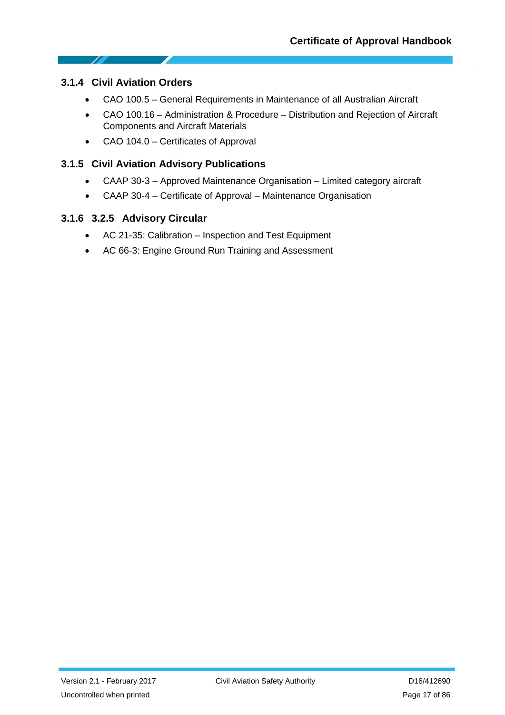#### **3.1.4 Civil Aviation Orders**

1

- CAO 100.5 General Requirements in Maintenance of all Australian Aircraft
- CAO 100.16 Administration & Procedure Distribution and Rejection of Aircraft Components and Aircraft Materials
- CAO 104.0 Certificates of Approval

#### **3.1.5 Civil Aviation Advisory Publications**

- CAAP 30‐3 Approved Maintenance Organisation Limited category aircraft
- CAAP 30-4 Certificate of Approval Maintenance Organisation

#### **3.1.6 3.2.5 Advisory Circular**

- AC 21-35: Calibration Inspection and Test Equipment
- AC 66-3: Engine Ground Run Training and Assessment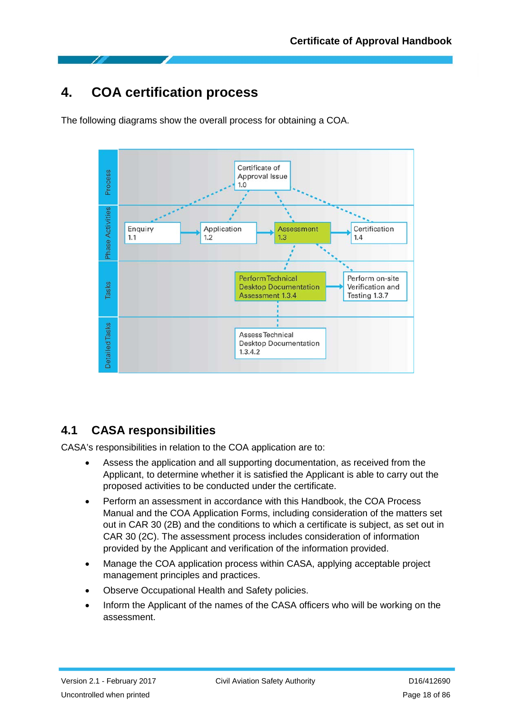# <span id="page-17-0"></span>**4. COA certification process**

The following diagrams show the overall process for obtaining a COA.



# <span id="page-17-1"></span>**4.1 CASA responsibilities**

CASA's responsibilities in relation to the COA application are to:

- Assess the application and all supporting documentation, as received from the Applicant, to determine whether it is satisfied the Applicant is able to carry out the proposed activities to be conducted under the certificate.
- Perform an assessment in accordance with this Handbook, the COA Process Manual and the COA Application Forms, including consideration of the matters set out in CAR 30 (2B) and the conditions to which a certificate is subject, as set out in CAR 30 (2C). The assessment process includes consideration of information provided by the Applicant and verification of the information provided.
- Manage the COA application process within CASA, applying acceptable project management principles and practices.
- Observe Occupational Health and Safety policies.
- Inform the Applicant of the names of the CASA officers who will be working on the assessment.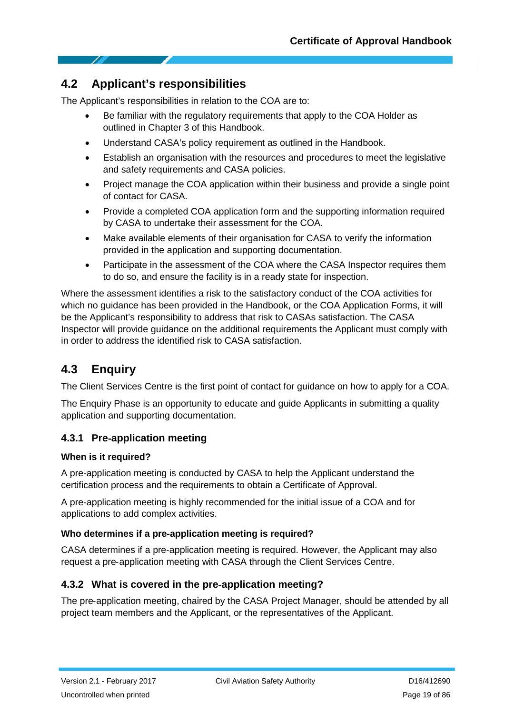# <span id="page-18-0"></span>**4.2 Applicant's responsibilities**

The Applicant's responsibilities in relation to the COA are to:

- Be familiar with the regulatory requirements that apply to the COA Holder as outlined in Chapter 3 of this Handbook.
- Understand CASA's policy requirement as outlined in the Handbook.
- Establish an organisation with the resources and procedures to meet the legislative and safety requirements and CASA policies.
- Project manage the COA application within their business and provide a single point of contact for CASA.
- Provide a completed COA application form and the supporting information required by CASA to undertake their assessment for the COA.
- Make available elements of their organisation for CASA to verify the information provided in the application and supporting documentation.
- Participate in the assessment of the COA where the CASA Inspector requires them to do so, and ensure the facility is in a ready state for inspection.

Where the assessment identifies a risk to the satisfactory conduct of the COA activities for which no guidance has been provided in the Handbook, or the COA Application Forms, it will be the Applicant's responsibility to address that risk to CASAs satisfaction. The CASA Inspector will provide guidance on the additional requirements the Applicant must comply with in order to address the identified risk to CASA satisfaction.

# <span id="page-18-1"></span>**4.3 Enquiry**

The Client Services Centre is the first point of contact for guidance on how to apply for a COA.

The Enquiry Phase is an opportunity to educate and guide Applicants in submitting a quality application and supporting documentation.

#### **4.3.1 Pre**‐**application meeting**

#### **When is it required?**

A pre‐application meeting is conducted by CASA to help the Applicant understand the certification process and the requirements to obtain a Certificate of Approval.

A pre‐application meeting is highly recommended for the initial issue of a COA and for applications to add complex activities.

#### **Who determines if a pre**‐**application meeting is required?**

CASA determines if a pre‐application meeting is required. However, the Applicant may also request a pre‐application meeting with CASA through the Client Services Centre.

#### **4.3.2 What is covered in the pre**‐**application meeting?**

The pre‐application meeting, chaired by the CASA Project Manager, should be attended by all project team members and the Applicant, or the representatives of the Applicant.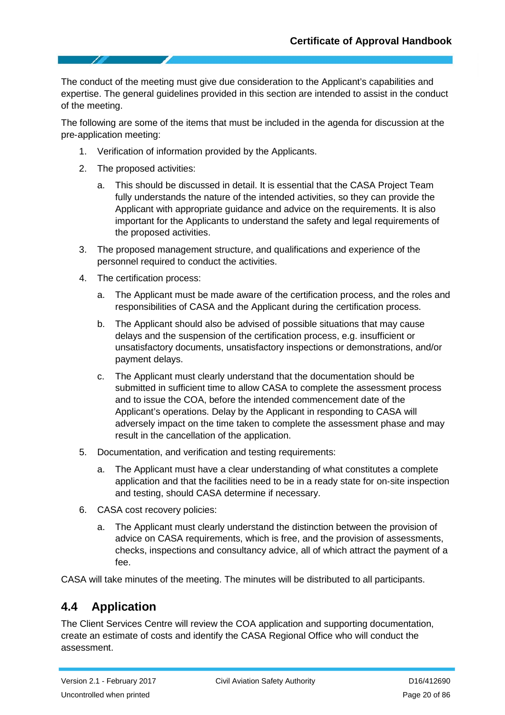The conduct of the meeting must give due consideration to the Applicant's capabilities and expertise. The general guidelines provided in this section are intended to assist in the conduct of the meeting.

The following are some of the items that must be included in the agenda for discussion at the pre‐application meeting:

- 1. Verification of information provided by the Applicants.
- 2. The proposed activities:
	- a. This should be discussed in detail. It is essential that the CASA Project Team fully understands the nature of the intended activities, so they can provide the Applicant with appropriate guidance and advice on the requirements. It is also important for the Applicants to understand the safety and legal requirements of the proposed activities.
- 3. The proposed management structure, and qualifications and experience of the personnel required to conduct the activities.
- 4. The certification process:
	- a. The Applicant must be made aware of the certification process, and the roles and responsibilities of CASA and the Applicant during the certification process.
	- b. The Applicant should also be advised of possible situations that may cause delays and the suspension of the certification process, e.g. insufficient or unsatisfactory documents, unsatisfactory inspections or demonstrations, and/or payment delays.
	- c. The Applicant must clearly understand that the documentation should be submitted in sufficient time to allow CASA to complete the assessment process and to issue the COA, before the intended commencement date of the Applicant's operations. Delay by the Applicant in responding to CASA will adversely impact on the time taken to complete the assessment phase and may result in the cancellation of the application.
- 5. Documentation, and verification and testing requirements:
	- The Applicant must have a clear understanding of what constitutes a complete application and that the facilities need to be in a ready state for on‐site inspection and testing, should CASA determine if necessary.
- 6. CASA cost recovery policies:
	- a. The Applicant must clearly understand the distinction between the provision of advice on CASA requirements, which is free, and the provision of assessments, checks, inspections and consultancy advice, all of which attract the payment of a fee.

CASA will take minutes of the meeting. The minutes will be distributed to all participants.

# <span id="page-19-0"></span>**4.4 Application**

The Client Services Centre will review the COA application and supporting documentation, create an estimate of costs and identify the CASA Regional Office who will conduct the assessment.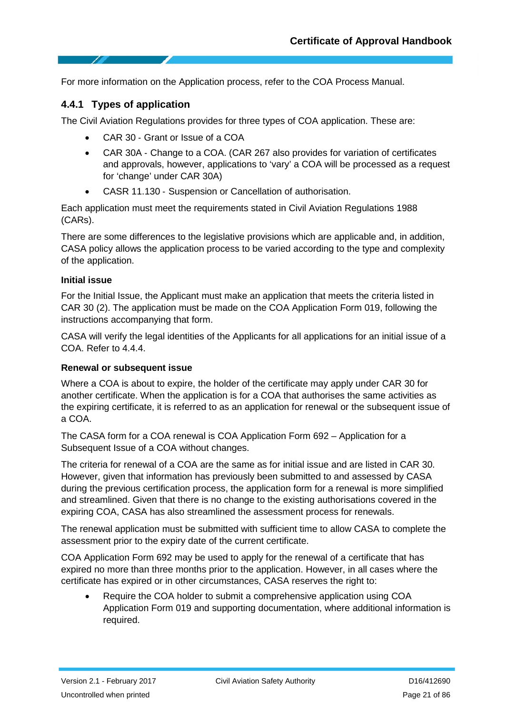For more information on the Application process, refer to the COA Process Manual.

#### **4.4.1 Types of application**

The Civil Aviation Regulations provides for three types of COA application. These are:

- CAR 30 ‐ Grant or Issue of a COA
- CAR 30A Change to a COA. (CAR 267 also provides for variation of certificates and approvals, however, applications to 'vary' a COA will be processed as a request for 'change' under CAR 30A)
- CASR 11.130 ‐ Suspension or Cancellation of authorisation.

Each application must meet the requirements stated in Civil Aviation Regulations 1988 (CARs).

There are some differences to the legislative provisions which are applicable and, in addition, CASA policy allows the application process to be varied according to the type and complexity of the application.

#### **Initial issue**

For the Initial Issue, the Applicant must make an application that meets the criteria listed in CAR 30 (2). The application must be made on the COA Application Form 019, following the instructions accompanying that form.

CASA will verify the legal identities of the Applicants for all applications for an initial issue of a COA. Refer to [4.4.4.](#page-22-0)

#### **Renewal or subsequent issue**

Where a COA is about to expire, the holder of the certificate may apply under CAR 30 for another certificate. When the application is for a COA that authorises the same activities as the expiring certificate, it is referred to as an application for renewal or the subsequent issue of a COA.

The CASA form for a COA renewal is [COA Application Form 692 –](http://www.casa.gov.au/manuals/regulate/cofapp/coa692.pdf) [Application for a](http://www.casa.gov.au/manuals/regulate/cofapp/coa692.pdf)  [Subsequent Issue of a COA without changes.](http://www.casa.gov.au/manuals/regulate/cofapp/coa692.pdf)

The criteria for renewal of a COA are the same as for initial issue and are listed in CAR 30. However, given that information has previously been submitted to and assessed by CASA during the previous certification process, the application form for a renewal is more simplified and streamlined. Given that there is no change to the existing authorisations covered in the expiring COA, CASA has also streamlined the assessment process for renewals.

The renewal application must be submitted with sufficient time to allow CASA to complete the assessment prior to the expiry date of the current certificate.

COA Application Form 692 may be used to apply for the renewal of a certificate that has expired no more than three months prior to the application. However, in all cases where the certificate has expired or in other circumstances, CASA reserves the right to:

• Require the COA holder to submit a comprehensive application using COA Application Form 019 and supporting documentation, where additional information is required.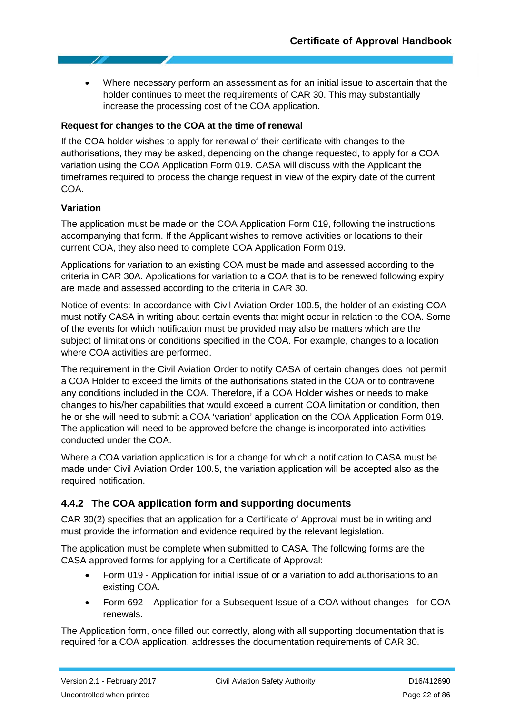• Where necessary perform an assessment as for an initial issue to ascertain that the holder continues to meet the requirements of CAR 30. This may substantially increase the processing cost of the COA application.

#### **Request for changes to the COA at the time of renewal**

If the COA holder wishes to apply for renewal of their certificate with changes to the authorisations, they may be asked, depending on the change requested, to apply for a COA variation using the COA Application Form 019. CASA will discuss with the Applicant the timeframes required to process the change request in view of the expiry date of the current COA.

#### **Variation**

The application must be made on the COA Application Form 019, following the instructions accompanying that form. If the Applicant wishes to remove activities or locations to their current COA, they also need to complete [COA Application Form](http://www.casa.gov.au/manuals/regulate/cofapp/form848.pdf) 019.

Applications for variation to an existing COA must be made and assessed according to the criteria in CAR 30A. Applications for variation to a COA that is to be renewed following expiry are made and assessed according to the criteria in CAR 30.

Notice of events: In accordance with Civil Aviation Order 100.5, the holder of an existing COA must notify CASA in writing about certain events that might occur in relation to the COA. Some of the events for which notification must be provided may also be matters which are the subject of limitations or conditions specified in the COA. For example, changes to a location where COA activities are performed.

The requirement in the Civil Aviation Order to notify CASA of certain changes does not permit a COA Holder to exceed the limits of the authorisations stated in the COA or to contravene any conditions included in the COA. Therefore, if a COA Holder wishes or needs to make changes to his/her capabilities that would exceed a current COA limitation or condition, then he or she will need to submit a COA 'variation' application on the COA Application Form 019. The application will need to be approved before the change is incorporated into activities conducted under the COA.

Where a COA variation application is for a change for which a notification to CASA must be made under Civil Aviation Order 100.5, the variation application will be accepted also as the required notification.

#### **4.4.2 The COA application form and supporting documents**

CAR 30(2) specifies that an application for a Certificate of Approval must be in writing and must provide the information and evidence required by the relevant legislation.

The application must be complete when submitted to CASA. The following forms are the CASA approved forms for applying for a Certificate of Approval:

- Form 019 Application for initial issue of or a variation to add authorisations to an existing COA.
- Form 692 [Application for a Subsequent Issue of a COA](http://www.casa.gov.au/manuals/regulate/cofapp/coa692.pdf) [without changes](http://www.casa.gov.au/manuals/regulate/cofapp/coa692.pdf) ‐ for COA renewals.

The Application form, once filled out correctly, along with all supporting documentation that is required for a COA application, addresses the documentation requirements of CAR 30.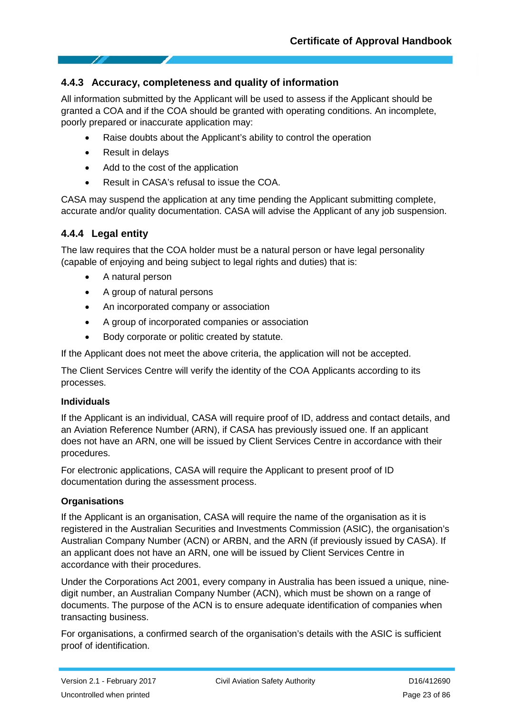#### **4.4.3 Accuracy, completeness and quality of information**

All information submitted by the Applicant will be used to assess if the Applicant should be granted a COA and if the COA should be granted with operating conditions. An incomplete, poorly prepared or inaccurate application may:

- Raise doubts about the Applicant's ability to control the operation
- Result in delays
- Add to the cost of the application
- Result in CASA's refusal to issue the COA.

CASA may suspend the application at any time pending the Applicant submitting complete, accurate and/or quality documentation. CASA will advise the Applicant of any job suspension.

#### <span id="page-22-0"></span>**4.4.4 Legal entity**

The law requires that the COA holder must be a natural person or have legal personality (capable of enjoying and being subject to legal rights and duties) that is:

- A natural person
- A group of natural persons
- An incorporated company or association
- A group of incorporated companies or association
- Body corporate or politic created by statute.

If the Applicant does not meet the above criteria, the application will not be accepted.

The Client Services Centre will verify the identity of the COA Applicants according to its processes.

#### **Individuals**

If the Applicant is an individual, CASA will require proof of ID, address and contact details, and an Aviation Reference Number (ARN), if CASA has previously issued one. If an applicant does not have an ARN, one will be issued by Client Services Centre in accordance with their procedures.

For electronic applications, CASA will require the Applicant to present proof of ID documentation during the assessment process.

#### **Organisations**

If the Applicant is an organisation, CASA will require the name of the organisation as it is registered in the Australian Securities and Investments Commission (ASIC), the organisation's Australian Company Number (ACN) or ARBN, and the ARN (if previously issued by CASA). If an applicant does not have an ARN, one will be issued by Client Services Centre in accordance with their procedures.

Under the Corporations Act 2001, every company in Australia has been issued a unique, nine‐ digit number, an Australian Company Number (ACN), which must be shown on a range of documents. The purpose of the ACN is to ensure adequate identification of companies when transacting business.

For organisations, a confirmed search of the organisation's details with the ASIC is sufficient proof of identification.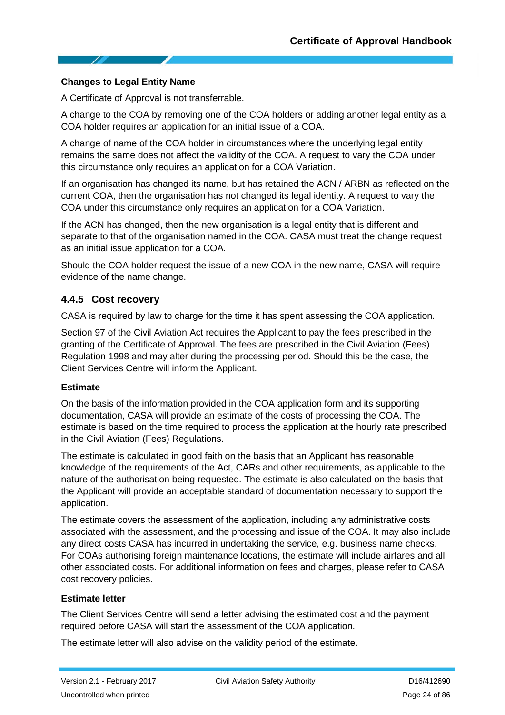#### **Changes to Legal Entity Name**

A Certificate of Approval is not transferrable.

A change to the COA by removing one of the COA holders or adding another legal entity as a COA holder requires an application for an initial issue of a COA.

A change of name of the COA holder in circumstances where the underlying legal entity remains the same does not affect the validity of the COA. A request to vary the COA under this circumstance only requires an application for a COA Variation.

If an organisation has changed its name, but has retained the ACN / ARBN as reflected on the current COA, then the organisation has not changed its legal identity. A request to vary the COA under this circumstance only requires an application for a COA Variation.

If the ACN has changed, then the new organisation is a legal entity that is different and separate to that of the organisation named in the COA. CASA must treat the change request as an initial issue application for a COA.

Should the COA holder request the issue of a new COA in the new name, CASA will require evidence of the name change.

#### **4.4.5 Cost recovery**

CASA is required by law to charge for the time it has spent assessing the COA application.

Section 97 of the Civil Aviation Act requires the Applicant to pay the fees prescribed in the granting of the Certificate of Approval. The fees are prescribed in the Civil Aviation (Fees) Regulation 1998 and may alter during the processing period. Should this be the case, the Client Services Centre will inform the Applicant.

#### **Estimate**

On the basis of the information provided in the COA application form and its supporting documentation, CASA will provide an estimate of the costs of processing the COA. The estimate is based on the time required to process the application at the hourly rate prescribed in the Civil Aviation (Fees) Regulations.

The estimate is calculated in good faith on the basis that an Applicant has reasonable knowledge of the requirements of the Act, CARs and other requirements, as applicable to the nature of the authorisation being requested. The estimate is also calculated on the basis that the Applicant will provide an acceptable standard of documentation necessary to support the application.

The estimate covers the assessment of the application, including any administrative costs associated with the assessment, and the processing and issue of the COA. It may also include any direct costs CASA has incurred in undertaking the service, e.g. business name checks. For COAs authorising foreign maintenance locations, the estimate will include airfares and all other associated costs. For additional information on fees and charges, please refer to [CASA](http://www.casa.gov.au/scripts/nc.dll?WCMS%3ASTANDARD%3A%3Apc=PC_91512)  [cost recovery policies.](http://www.casa.gov.au/scripts/nc.dll?WCMS%3ASTANDARD%3A%3Apc=PC_91512)

#### **Estimate letter**

The Client Services Centre will send a letter advising the estimated cost and the payment required before CASA will start the assessment of the COA application.

The estimate letter will also advise on the validity period of the estimate.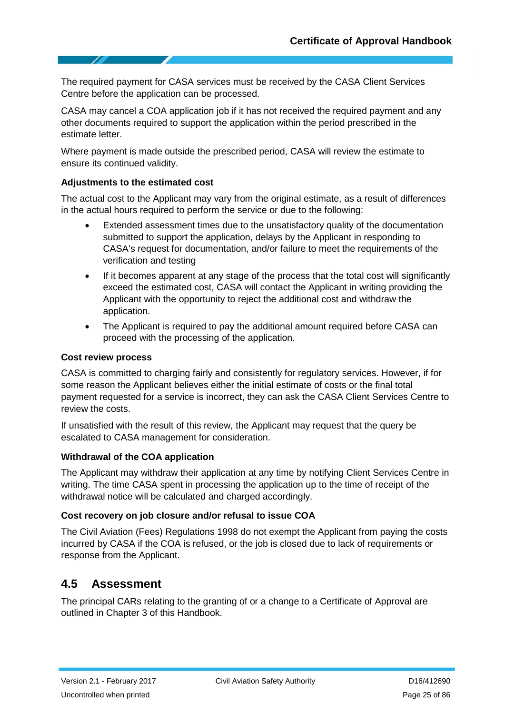The required payment for CASA services must be received by the CASA Client Services Centre before the application can be processed.

CASA may cancel a COA application job if it has not received the required payment and any other documents required to support the application within the period prescribed in the estimate letter.

Where payment is made outside the prescribed period, CASA will review the estimate to ensure its continued validity.

#### **Adjustments to the estimated cost**

The actual cost to the Applicant may vary from the original estimate, as a result of differences in the actual hours required to perform the service or due to the following:

- Extended assessment times due to the unsatisfactory quality of the documentation submitted to support the application, delays by the Applicant in responding to CASA's request for documentation, and/or failure to meet the requirements of the verification and testing
- If it becomes apparent at any stage of the process that the total cost will significantly exceed the estimated cost, CASA will contact the Applicant in writing providing the Applicant with the opportunity to reject the additional cost and withdraw the application.
- The Applicant is required to pay the additional amount required before CASA can proceed with the processing of the application.

#### **Cost review process**

CASA is committed to charging fairly and consistently for regulatory services. However, if for some reason the Applicant believes either the initial estimate of costs or the final total payment requested for a service is incorrect, they can ask the CASA Client Services Centre to review the costs.

If unsatisfied with the result of this review, the Applicant may request that the query be escalated to CASA management for consideration.

#### **Withdrawal of the COA application**

The Applicant may withdraw their application at any time by notifying Client Services Centre in writing. The time CASA spent in processing the application up to the time of receipt of the withdrawal notice will be calculated and charged accordingly.

#### **Cost recovery on job closure and/or refusal to issue COA**

The Civil Aviation (Fees) Regulations 1998 do not exempt the Applicant from paying the costs incurred by CASA if the COA is refused, or the job is closed due to lack of requirements or response from the Applicant.

#### <span id="page-24-0"></span>**4.5 Assessment**

The principal CARs relating to the granting of or a change to a Certificate of Approval are outlined in Chapter 3 of this Handbook.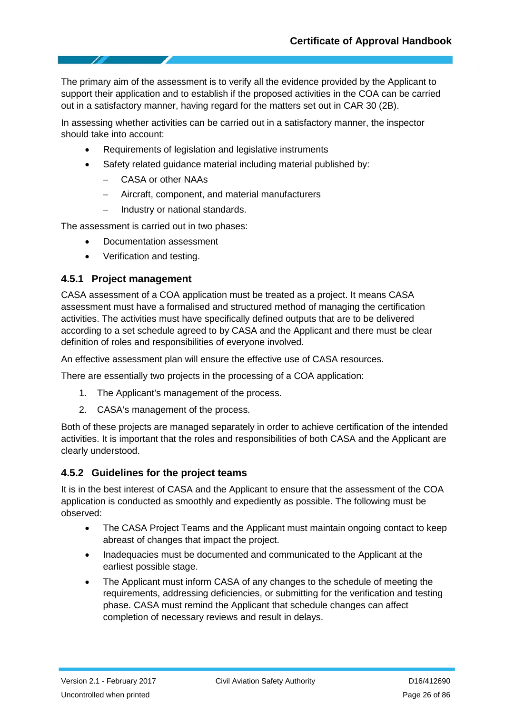The primary aim of the assessment is to verify all the evidence provided by the Applicant to support their application and to establish if the proposed activities in the COA can be carried out in a satisfactory manner, having regard for the matters set out in CAR 30 (2B).

In assessing whether activities can be carried out in a satisfactory manner, the inspector should take into account:

- Requirements of legislation and legislative instruments
- Safety related quidance material including material published by:
	- − CASA or other NAAs
	- − Aircraft, component, and material manufacturers
	- − Industry or national standards.

The assessment is carried out in two phases:

- Documentation assessment
- Verification and testing.

#### **4.5.1 Project management**

CASA assessment of a COA application must be treated as a project. It means CASA assessment must have a formalised and structured method of managing the certification activities. The activities must have specifically defined outputs that are to be delivered according to a set schedule agreed to by CASA and the Applicant and there must be clear definition of roles and responsibilities of everyone involved.

An effective assessment plan will ensure the effective use of CASA resources.

There are essentially two projects in the processing of a COA application:

- 1. The Applicant's management of the process.
- 2. CASA's management of the process.

Both of these projects are managed separately in order to achieve certification of the intended activities. It is important that the roles and responsibilities of both CASA and the Applicant are clearly understood.

#### **4.5.2 Guidelines for the project teams**

It is in the best interest of CASA and the Applicant to ensure that the assessment of the COA application is conducted as smoothly and expediently as possible. The following must be observed:

- The CASA Project Teams and the Applicant must maintain ongoing contact to keep abreast of changes that impact the project.
- Inadequacies must be documented and communicated to the Applicant at the earliest possible stage.
- The Applicant must inform CASA of any changes to the schedule of meeting the requirements, addressing deficiencies, or submitting for the verification and testing phase. CASA must remind the Applicant that schedule changes can affect completion of necessary reviews and result in delays.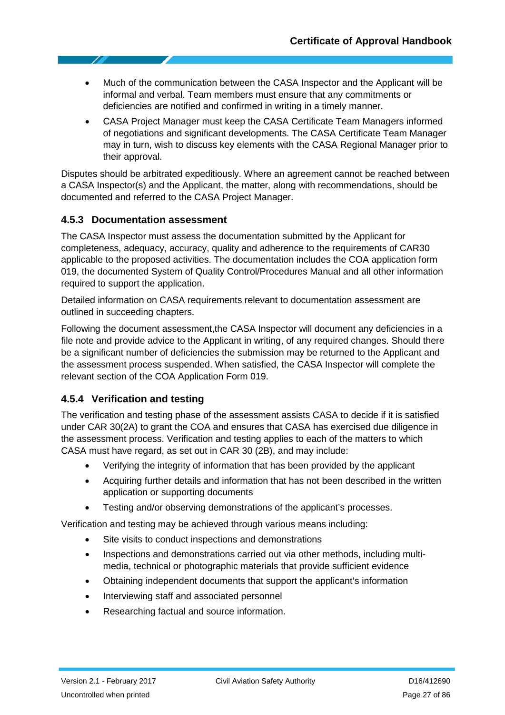- Much of the communication between the CASA Inspector and the Applicant will be informal and verbal. Team members must ensure that any commitments or deficiencies are notified and confirmed in writing in a timely manner.
- CASA Project Manager must keep the CASA Certificate Team Managers informed of negotiations and significant developments. The CASA Certificate Team Manager may in turn, wish to discuss key elements with the CASA Regional Manager prior to their approval.

Disputes should be arbitrated expeditiously. Where an agreement cannot be reached between a CASA Inspector(s) and the Applicant, the matter, along with recommendations, should be documented and referred to the CASA Project Manager.

#### **4.5.3 Documentation assessment**

The CASA Inspector must assess the documentation submitted by the Applicant for completeness, adequacy, accuracy, quality and adherence to the requirements of CAR30 applicable to the proposed activities. The documentation includes the COA application form 019, the documented System of Quality Control/Procedures Manual and all other information required to support the application.

Detailed information on CASA requirements relevant to documentation assessment are outlined in succeeding chapters.

Following the document assessment,the CASA Inspector will document any deficiencies in a file note and provide advice to the Applicant in writing, of any required changes. Should there be a significant number of deficiencies the submission may be returned to the Applicant and the assessment process suspended. When satisfied, the CASA Inspector will complete the relevant section of the COA Application Form 019.

#### **4.5.4 Verification and testing**

The verification and testing phase of the assessment assists CASA to decide if it is satisfied under CAR 30(2A) to grant the COA and ensures that CASA has exercised due diligence in the assessment process. Verification and testing applies to each of the matters to which CASA must have regard, as set out in CAR 30 (2B), and may include:

- Verifying the integrity of information that has been provided by the applicant
- Acquiring further details and information that has not been described in the written application or supporting documents
- Testing and/or observing demonstrations of the applicant's processes.

Verification and testing may be achieved through various means including:

- Site visits to conduct inspections and demonstrations
- Inspections and demonstrations carried out via other methods, including multimedia, technical or photographic materials that provide sufficient evidence
- Obtaining independent documents that support the applicant's information
- Interviewing staff and associated personnel
- Researching factual and source information.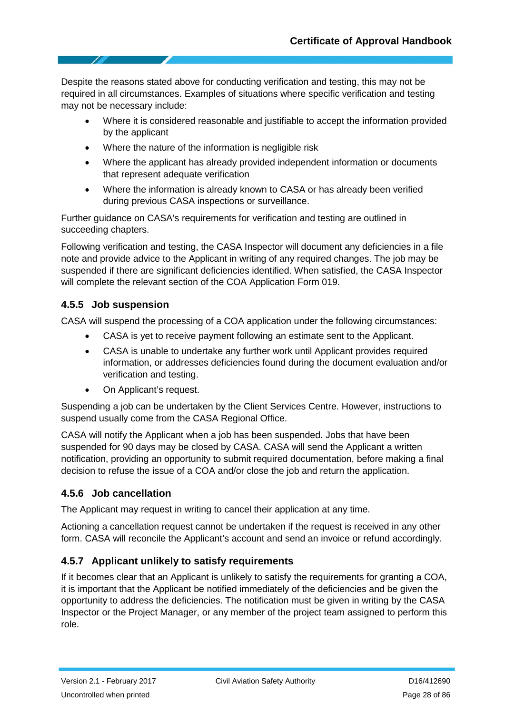Despite the reasons stated above for conducting verification and testing, this may not be required in all circumstances. Examples of situations where specific verification and testing may not be necessary include:

- Where it is considered reasonable and justifiable to accept the information provided by the applicant
- Where the nature of the information is negligible risk
- Where the applicant has already provided independent information or documents that represent adequate verification
- Where the information is already known to CASA or has already been verified during previous CASA inspections or surveillance.

Further guidance on CASA's requirements for verification and testing are outlined in succeeding chapters.

Following verification and testing, the CASA Inspector will document any deficiencies in a file note and provide advice to the Applicant in writing of any required changes. The job may be suspended if there are significant deficiencies identified. When satisfied, the CASA Inspector will complete the relevant section of the COA Application Form 019.

#### **4.5.5 Job suspension**

CASA will suspend the processing of a COA application under the following circumstances:

- CASA is yet to receive payment following an estimate sent to the Applicant.
- CASA is unable to undertake any further work until Applicant provides required information, or addresses deficiencies found during the document evaluation and/or verification and testing.
- On Applicant's request.

Suspending a job can be undertaken by the Client Services Centre. However, instructions to suspend usually come from the CASA Regional Office.

CASA will notify the Applicant when a job has been suspended. Jobs that have been suspended for 90 days may be closed by CASA. CASA will send the Applicant a written notification, providing an opportunity to submit required documentation, before making a final decision to refuse the issue of a COA and/or close the job and return the application.

#### **4.5.6 Job cancellation**

The Applicant may request in writing to cancel their application at any time.

Actioning a cancellation request cannot be undertaken if the request is received in any other form. CASA will reconcile the Applicant's account and send an invoice or refund accordingly.

### **4.5.7 Applicant unlikely to satisfy requirements**

If it becomes clear that an Applicant is unlikely to satisfy the requirements for granting a COA, it is important that the Applicant be notified immediately of the deficiencies and be given the opportunity to address the deficiencies. The notification must be given in writing by the CASA Inspector or the Project Manager, or any member of the project team assigned to perform this role.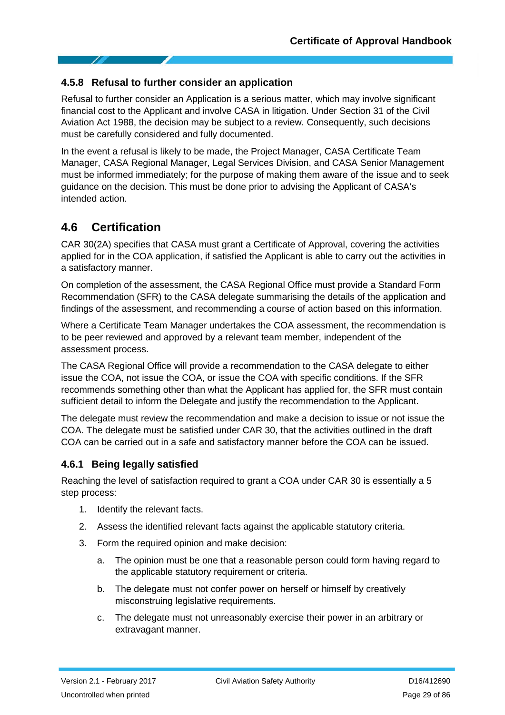#### **4.5.8 Refusal to further consider an application**

Refusal to further consider an Application is a serious matter, which may involve significant financial cost to the Applicant and involve CASA in litigation. Under Section 31 of the Civil Aviation Act 1988, the decision may be subject to a review. Consequently, such decisions must be carefully considered and fully documented.

In the event a refusal is likely to be made, the Project Manager, CASA Certificate Team Manager, CASA Regional Manager, Legal Services Division, and CASA Senior Management must be informed immediately; for the purpose of making them aware of the issue and to seek guidance on the decision. This must be done prior to advising the Applicant of CASA's intended action.

### <span id="page-28-0"></span>**4.6 Certification**

CAR 30(2A) specifies that CASA must grant a Certificate of Approval, covering the activities applied for in the COA application, if satisfied the Applicant is able to carry out the activities in a satisfactory manner.

On completion of the assessment, the CASA Regional Office must provide a Standard Form Recommendation (SFR) to the CASA delegate summarising the details of the application and findings of the assessment, and recommending a course of action based on this information.

Where a Certificate Team Manager undertakes the COA assessment, the recommendation is to be peer reviewed and approved by a relevant team member, independent of the assessment process.

The CASA Regional Office will provide a recommendation to the CASA delegate to either issue the COA, not issue the COA, or issue the COA with specific conditions. If the SFR recommends something other than what the Applicant has applied for, the SFR must contain sufficient detail to inform the Delegate and justify the recommendation to the Applicant.

The delegate must review the recommendation and make a decision to issue or not issue the COA. The delegate must be satisfied under CAR 30, that the activities outlined in the draft COA can be carried out in a safe and satisfactory manner before the COA can be issued.

#### **4.6.1 Being legally satisfied**

Reaching the level of satisfaction required to grant a COA under CAR 30 is essentially a 5 step process:

- 1. Identify the relevant facts.
- 2. Assess the identified relevant facts against the applicable statutory criteria.
- 3. Form the required opinion and make decision:
	- a. The opinion must be one that a reasonable person could form having regard to the applicable statutory requirement or criteria.
	- b. The delegate must not confer power on herself or himself by creatively misconstruing legislative requirements.
	- c. The delegate must not unreasonably exercise their power in an arbitrary or extravagant manner.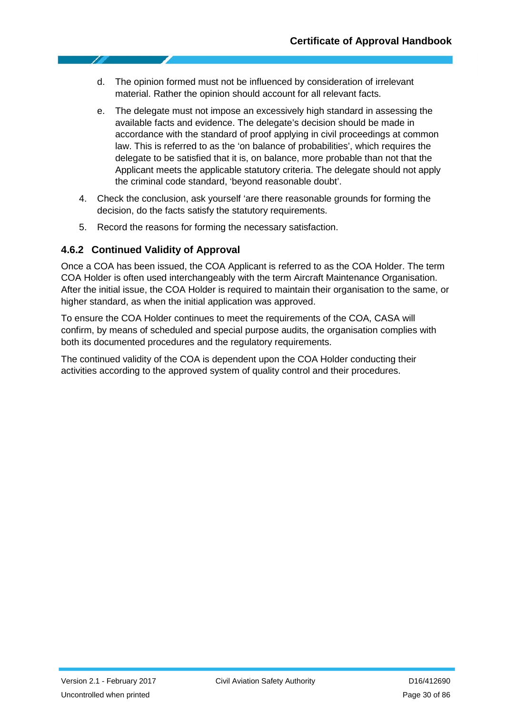- d. The opinion formed must not be influenced by consideration of irrelevant material. Rather the opinion should account for all relevant facts.
- e. The delegate must not impose an excessively high standard in assessing the available facts and evidence. The delegate's decision should be made in accordance with the standard of proof applying in civil proceedings at common law. This is referred to as the 'on balance of probabilities', which requires the delegate to be satisfied that it is, on balance, more probable than not that the Applicant meets the applicable statutory criteria. The delegate should not apply the criminal code standard, 'beyond reasonable doubt'.
- 4. Check the conclusion, ask yourself 'are there reasonable grounds for forming the decision, do the facts satisfy the statutory requirements.
- 5. Record the reasons for forming the necessary satisfaction.

#### **4.6.2 Continued Validity of Approval**

Once a COA has been issued, the COA Applicant is referred to as the COA Holder. The term COA Holder is often used interchangeably with the term Aircraft Maintenance Organisation. After the initial issue, the COA Holder is required to maintain their organisation to the same, or higher standard, as when the initial application was approved.

To ensure the COA Holder continues to meet the requirements of the COA, CASA will confirm, by means of scheduled and special purpose audits, the organisation complies with both its documented procedures and the regulatory requirements.

The continued validity of the COA is dependent upon the COA Holder conducting their activities according to the approved system of quality control and their procedures.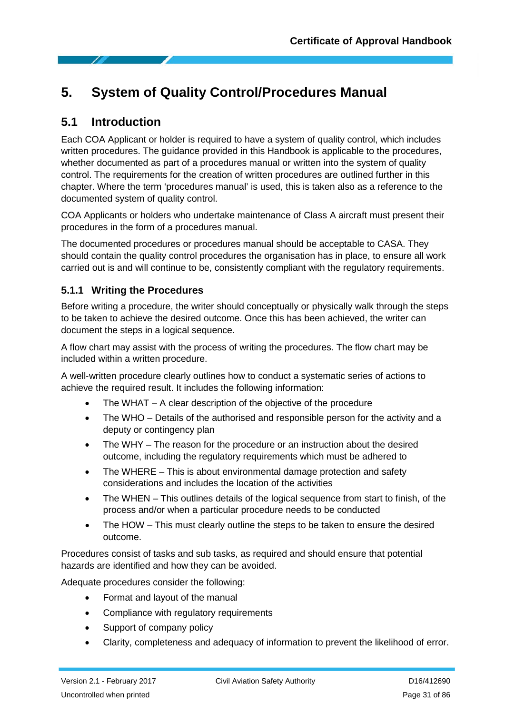# <span id="page-30-0"></span>**5. System of Quality Control/Procedures Manual**

### <span id="page-30-1"></span>**5.1 Introduction**

Each COA Applicant or holder is required to have a system of quality control, which includes written procedures. The guidance provided in this Handbook is applicable to the procedures, whether documented as part of a procedures manual or written into the system of quality control. The requirements for the creation of written procedures are outlined further in this chapter. Where the term 'procedures manual' is used, this is taken also as a reference to the documented system of quality control.

COA Applicants or holders who undertake maintenance of Class A aircraft must present their procedures in the form of a procedures manual.

The documented procedures or procedures manual should be acceptable to CASA. They should contain the quality control procedures the organisation has in place, to ensure all work carried out is and will continue to be, consistently compliant with the regulatory requirements.

#### **5.1.1 Writing the Procedures**

Before writing a procedure, the writer should conceptually or physically walk through the steps to be taken to achieve the desired outcome. Once this has been achieved, the writer can document the steps in a logical sequence.

A flow chart may assist with the process of writing the procedures. The flow chart may be included within a written procedure.

A well-written procedure clearly outlines how to conduct a systematic series of actions to achieve the required result. It includes the following information:

- The WHAT  $-$  A clear description of the objective of the procedure
- The WHO Details of the authorised and responsible person for the activity and a deputy or contingency plan
- The WHY The reason for the procedure or an instruction about the desired outcome, including the regulatory requirements which must be adhered to
- The WHERE This is about environmental damage protection and safety considerations and includes the location of the activities
- The WHEN This outlines details of the logical sequence from start to finish, of the process and/or when a particular procedure needs to be conducted
- The HOW This must clearly outline the steps to be taken to ensure the desired outcome.

Procedures consist of tasks and sub tasks, as required and should ensure that potential hazards are identified and how they can be avoided.

Adequate procedures consider the following:

- Format and layout of the manual
- Compliance with regulatory requirements
- Support of company policy
- Clarity, completeness and adequacy of information to prevent the likelihood of error.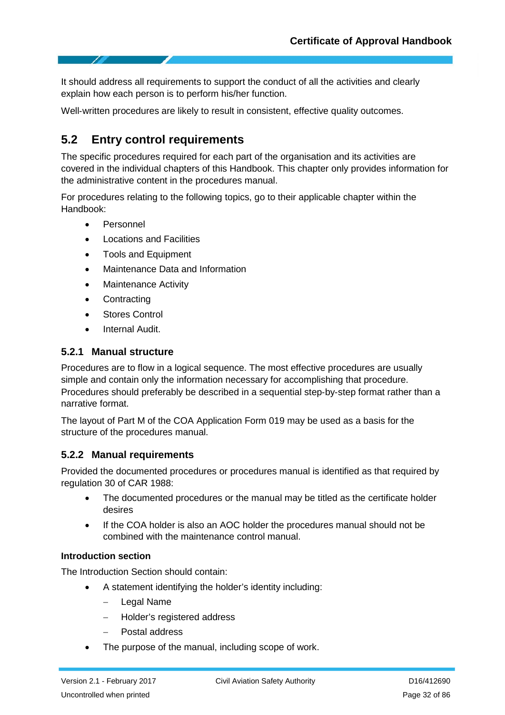It should address all requirements to support the conduct of all the activities and clearly explain how each person is to perform his/her function.

<span id="page-31-0"></span>Well-written procedures are likely to result in consistent, effective quality outcomes.

# **5.2 Entry control requirements**

The specific procedures required for each part of the organisation and its activities are covered in the individual chapters of this Handbook. This chapter only provides information for the administrative content in the procedures manual.

For procedures relating to the following topics, go to their applicable chapter within the Handbook:

- Personnel
- Locations and Facilities
- Tools and Equipment
- Maintenance Data and Information
- Maintenance Activity
- Contracting
- Stores Control
- Internal Audit.

#### **5.2.1 Manual structure**

Procedures are to flow in a logical sequence. The most effective procedures are usually simple and contain only the information necessary for accomplishing that procedure. Procedures should preferably be described in a sequential step‐by‐step format rather than a narrative format.

The layout of Part M of the COA Application Form 019 may be used as a basis for the structure of the procedures manual.

#### **5.2.2 Manual requirements**

Provided the documented procedures or procedures manual is identified as that required by regulation 30 of CAR 1988:

- The documented procedures or the manual may be titled as the certificate holder desires
- If the COA holder is also an AOC holder the procedures manual should not be combined with the maintenance control manual.

#### **Introduction section**

The Introduction Section should contain:

- A statement identifying the holder's identity including:
	- − Legal Name
	- − Holder's registered address
	- − Postal address
- The purpose of the manual, including scope of work.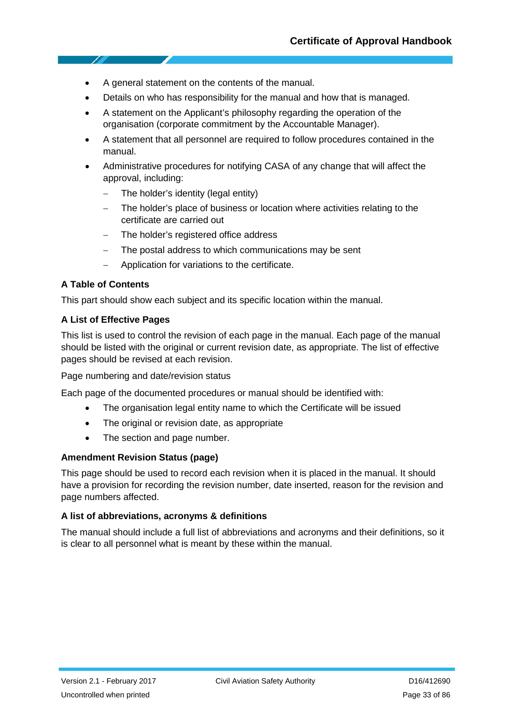- A general statement on the contents of the manual.
- Details on who has responsibility for the manual and how that is managed.
- A statement on the Applicant's philosophy regarding the operation of the organisation (corporate commitment by the Accountable Manager).
- A statement that all personnel are required to follow procedures contained in the manual.
- Administrative procedures for notifying CASA of any change that will affect the approval, including:
	- − The holder's identity (legal entity)
	- The holder's place of business or location where activities relating to the certificate are carried out
	- − The holder's registered office address
	- The postal address to which communications may be sent
	- − Application for variations to the certificate.

#### **A Table of Contents**

This part should show each subject and its specific location within the manual.

#### **A List of Effective Pages**

This list is used to control the revision of each page in the manual. Each page of the manual should be listed with the original or current revision date, as appropriate. The list of effective pages should be revised at each revision.

Page numbering and date/revision status

Each page of the documented procedures or manual should be identified with:

- The organisation legal entity name to which the Certificate will be issued
- The original or revision date, as appropriate
- The section and page number.

#### **Amendment Revision Status (page)**

This page should be used to record each revision when it is placed in the manual. It should have a provision for recording the revision number, date inserted, reason for the revision and page numbers affected.

#### **A list of abbreviations, acronyms & definitions**

The manual should include a full list of abbreviations and acronyms and their definitions, so it is clear to all personnel what is meant by these within the manual.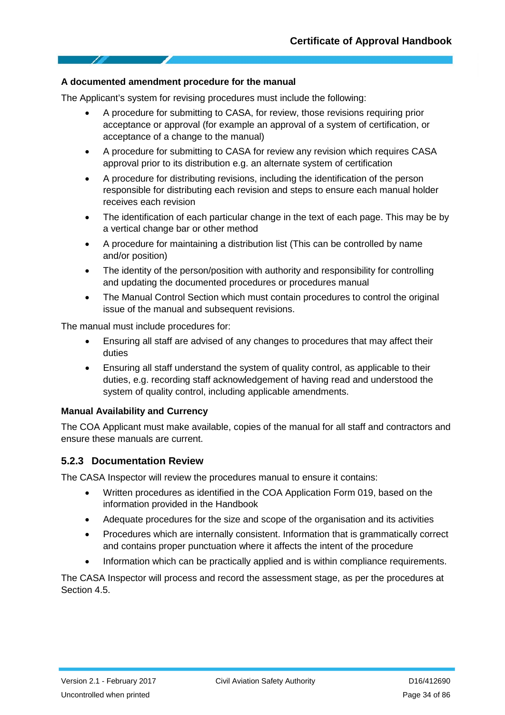#### **A documented amendment procedure for the manual**

The Applicant's system for revising procedures must include the following:

- A procedure for submitting to CASA, for review, those revisions requiring prior acceptance or approval (for example an approval of a system of certification, or acceptance of a change to the manual)
- A procedure for submitting to CASA for review any revision which requires CASA approval prior to its distribution e.g. an alternate system of certification
- A procedure for distributing revisions, including the identification of the person responsible for distributing each revision and steps to ensure each manual holder receives each revision
- The identification of each particular change in the text of each page. This may be by a vertical change bar or other method
- A procedure for maintaining a distribution list (This can be controlled by name and/or position)
- The identity of the person/position with authority and responsibility for controlling and updating the documented procedures or procedures manual
- The Manual Control Section which must contain procedures to control the original issue of the manual and subsequent revisions.

The manual must include procedures for:

- Ensuring all staff are advised of any changes to procedures that may affect their duties
- Ensuring all staff understand the system of quality control, as applicable to their duties, e.g. recording staff acknowledgement of having read and understood the system of quality control, including applicable amendments.

#### **Manual Availability and Currency**

The COA Applicant must make available, copies of the manual for all staff and contractors and ensure these manuals are current.

#### **5.2.3 Documentation Review**

The CASA Inspector will review the procedures manual to ensure it contains:

- Written procedures as identified in the COA Application Form 019, based on the information provided in the Handbook
- Adequate procedures for the size and scope of the organisation and its activities
- Procedures which are internally consistent. Information that is grammatically correct and contains proper punctuation where it affects the intent of the procedure
- Information which can be practically applied and is within compliance requirements.

The CASA Inspector will process and record the assessment stage, as per the procedures at Section 4.5.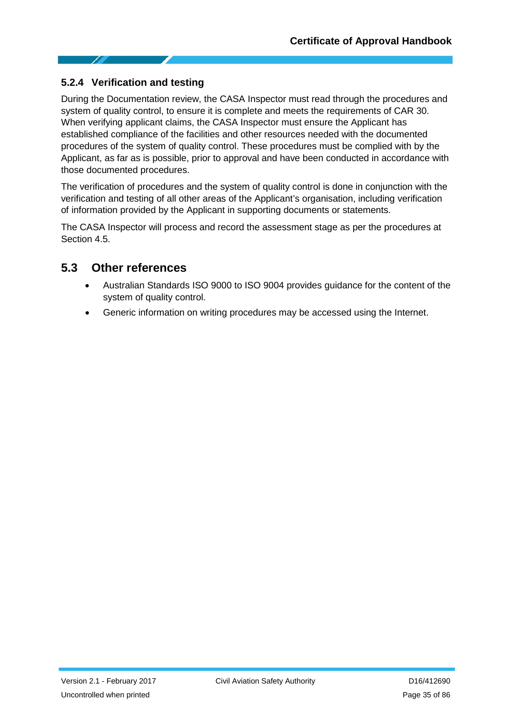### **5.2.4 Verification and testing**

During the Documentation review, the CASA Inspector must read through the procedures and system of quality control, to ensure it is complete and meets the requirements of CAR 30. When verifying applicant claims, the CASA Inspector must ensure the Applicant has established compliance of the facilities and other resources needed with the documented procedures of the system of quality control. These procedures must be complied with by the Applicant, as far as is possible, prior to approval and have been conducted in accordance with those documented procedures.

The verification of procedures and the system of quality control is done in conjunction with the verification and testing of all other areas of the Applicant's organisation, including verification of information provided by the Applicant in supporting documents or statements.

The CASA Inspector will process and record the assessment stage as per the procedures at Section 4.5

### <span id="page-34-0"></span>**5.3 Other references**

- Australian Standards ISO 9000 to ISO 9004 provides guidance for the content of the system of quality control.
- Generic information on writing procedures may be accessed using the Internet.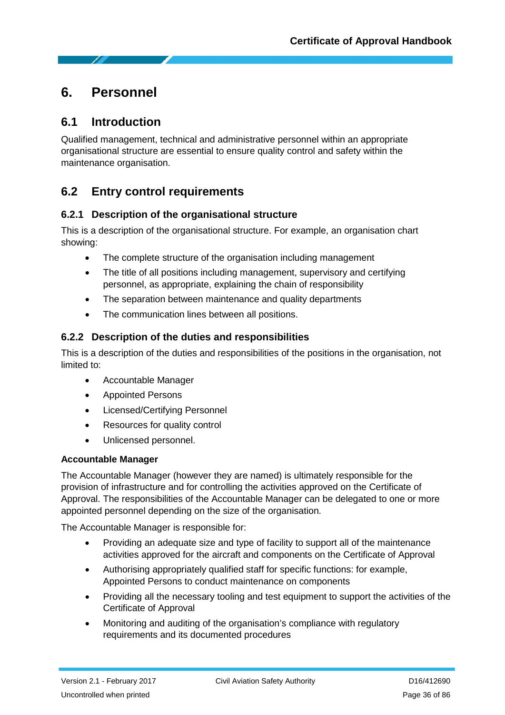# <span id="page-35-0"></span>**6. Personnel**

### <span id="page-35-1"></span>**6.1 Introduction**

Qualified management, technical and administrative personnel within an appropriate organisational structure are essential to ensure quality control and safety within the maintenance organisation.

# <span id="page-35-2"></span>**6.2 Entry control requirements**

#### **6.2.1 Description of the organisational structure**

This is a description of the organisational structure. For example, an organisation chart showing:

- The complete structure of the organisation including management
- The title of all positions including management, supervisory and certifying personnel, as appropriate, explaining the chain of responsibility
- The separation between maintenance and quality departments
- The communication lines between all positions.

### **6.2.2 Description of the duties and responsibilities**

This is a description of the duties and responsibilities of the positions in the organisation, not limited to:

- Accountable Manager
- Appointed Persons
- Licensed/Certifying Personnel
- Resources for quality control
- Unlicensed personnel.

#### **Accountable Manager**

The Accountable Manager (however they are named) is ultimately responsible for the provision of infrastructure and for controlling the activities approved on the Certificate of Approval. The responsibilities of the Accountable Manager can be delegated to one or more appointed personnel depending on the size of the organisation.

The Accountable Manager is responsible for:

- Providing an adequate size and type of facility to support all of the maintenance activities approved for the aircraft and components on the Certificate of Approval
- Authorising appropriately qualified staff for specific functions: for example, Appointed Persons to conduct maintenance on components
- Providing all the necessary tooling and test equipment to support the activities of the Certificate of Approval
- Monitoring and auditing of the organisation's compliance with regulatory requirements and its documented procedures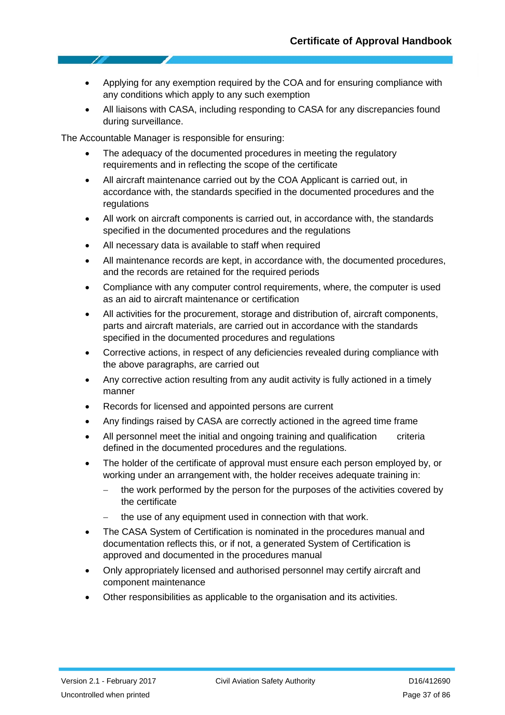- Applying for any exemption required by the COA and for ensuring compliance with any conditions which apply to any such exemption
- All liaisons with CASA, including responding to CASA for any discrepancies found during surveillance.

The Accountable Manager is responsible for ensuring:

- The adequacy of the documented procedures in meeting the regulatory requirements and in reflecting the scope of the certificate
- All aircraft maintenance carried out by the COA Applicant is carried out, in accordance with, the standards specified in the documented procedures and the regulations
- All work on aircraft components is carried out, in accordance with, the standards specified in the documented procedures and the regulations
- All necessary data is available to staff when required
- All maintenance records are kept, in accordance with, the documented procedures, and the records are retained for the required periods
- Compliance with any computer control requirements, where, the computer is used as an aid to aircraft maintenance or certification
- All activities for the procurement, storage and distribution of, aircraft components, parts and aircraft materials, are carried out in accordance with the standards specified in the documented procedures and regulations
- Corrective actions, in respect of any deficiencies revealed during compliance with the above paragraphs, are carried out
- Any corrective action resulting from any audit activity is fully actioned in a timely manner
- Records for licensed and appointed persons are current
- Any findings raised by CASA are correctly actioned in the agreed time frame
- All personnel meet the initial and ongoing training and qualification criteria defined in the documented procedures and the regulations.
- The holder of the certificate of approval must ensure each person employed by, or working under an arrangement with, the holder receives adequate training in:
	- − the work performed by the person for the purposes of the activities covered by the certificate
	- the use of any equipment used in connection with that work.
- The CASA System of Certification is nominated in the procedures manual and documentation reflects this, or if not, a generated System of Certification is approved and documented in the procedures manual
- Only appropriately licensed and authorised personnel may certify aircraft and component maintenance
- Other responsibilities as applicable to the organisation and its activities.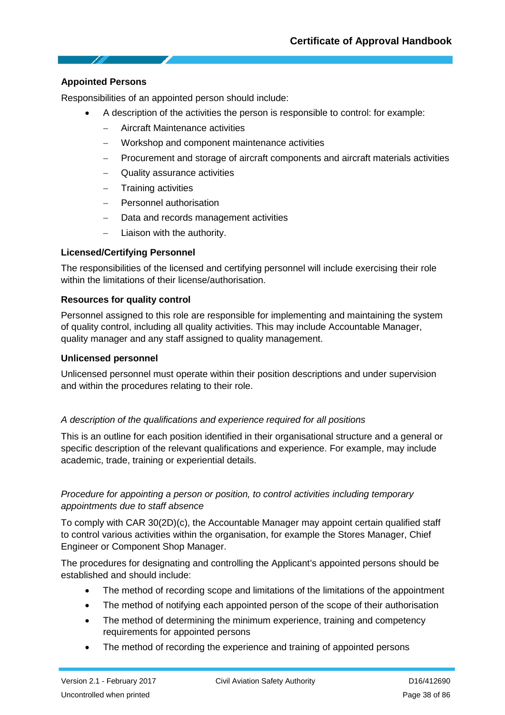#### **Appointed Persons**

Responsibilities of an appointed person should include:

- A description of the activities the person is responsible to control: for example:
	- − Aircraft Maintenance activities
	- − Workshop and component maintenance activities
	- − Procurement and storage of aircraft components and aircraft materials activities
	- − Quality assurance activities
	- − Training activities
	- − Personnel authorisation
	- Data and records management activities
	- − Liaison with the authority.

#### **Licensed/Certifying Personnel**

The responsibilities of the licensed and certifying personnel will include exercising their role within the limitations of their license/authorisation.

#### **Resources for quality control**

Personnel assigned to this role are responsible for implementing and maintaining the system of quality control, including all quality activities. This may include Accountable Manager, quality manager and any staff assigned to quality management.

#### **Unlicensed personnel**

Unlicensed personnel must operate within their position descriptions and under supervision and within the procedures relating to their role.

#### *A description of the qualifications and experience required for all positions*

This is an outline for each position identified in their organisational structure and a general or specific description of the relevant qualifications and experience. For example, may include academic, trade, training or experiential details.

#### *Procedure for appointing a person or position, to control activities including temporary appointments due to staff absence*

To comply with CAR 30(2D)(c), the Accountable Manager may appoint certain qualified staff to control various activities within the organisation, for example the Stores Manager, Chief Engineer or Component Shop Manager.

The procedures for designating and controlling the Applicant's appointed persons should be established and should include:

- The method of recording scope and limitations of the limitations of the appointment
- The method of notifying each appointed person of the scope of their authorisation
- The method of determining the minimum experience, training and competency requirements for appointed persons
- The method of recording the experience and training of appointed persons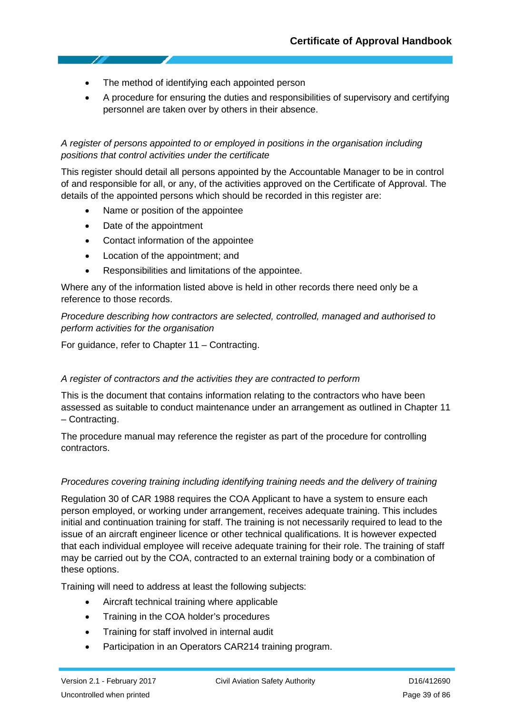- The method of identifying each appointed person
- A procedure for ensuring the duties and responsibilities of supervisory and certifying personnel are taken over by others in their absence.

#### *A register of persons appointed to or employed in positions in the organisation including positions that control activities under the certificate*

This register should detail all persons appointed by the Accountable Manager to be in control of and responsible for all, or any, of the activities approved on the Certificate of Approval. The details of the appointed persons which should be recorded in this register are:

- Name or position of the appointee
- Date of the appointment
- Contact information of the appointee
- Location of the appointment; and
- Responsibilities and limitations of the appointee.

Where any of the information listed above is held in other records there need only be a reference to those records.

*Procedure describing how contractors are selected, controlled, managed and authorised to perform activities for the organisation*

For guidance, refer to Chapter 11 – Contracting.

#### *A register of contractors and the activities they are contracted to perform*

This is the document that contains information relating to the contractors who have been assessed as suitable to conduct maintenance under an arrangement as outlined in Chapter 11 – Contracting.

The procedure manual may reference the register as part of the procedure for controlling contractors.

#### *Procedures covering training including identifying training needs and the delivery of training*

Regulation 30 of CAR 1988 requires the COA Applicant to have a system to ensure each person employed, or working under arrangement, receives adequate training. This includes initial and continuation training for staff. The training is not necessarily required to lead to the issue of an aircraft engineer licence or other technical qualifications. It is however expected that each individual employee will receive adequate training for their role. The training of staff may be carried out by the COA, contracted to an external training body or a combination of these options.

Training will need to address at least the following subjects:

- Aircraft technical training where applicable
- Training in the COA holder's procedures
- Training for staff involved in internal audit
- Participation in an Operators CAR214 training program.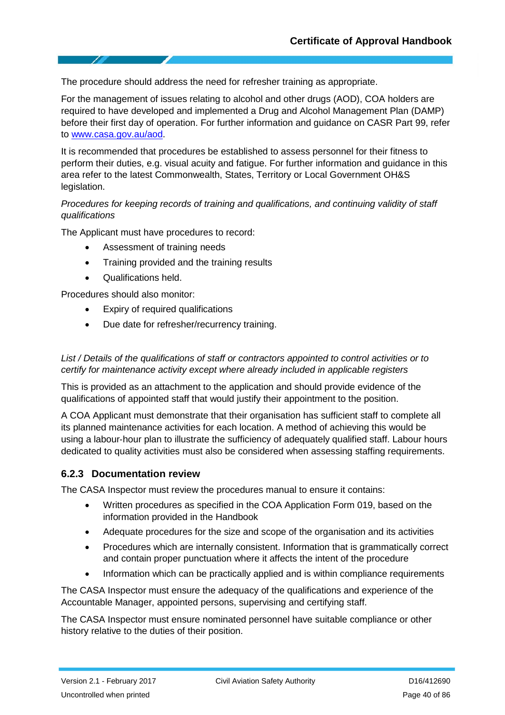The procedure should address the need for refresher training as appropriate.

For the management of issues relating to alcohol and other drugs (AOD), COA holders are required to have developed and implemented a Drug and Alcohol Management Plan (DAMP) before their first day of operation. For further information and guidance on CASR Part 99, refer to [www.casa.gov.au/aod.](http://www.casa.gov.au/aod)

It is recommended that procedures be established to assess personnel for their fitness to perform their duties, e.g. visual acuity and fatigue. For further information and guidance in this area refer to the latest Commonwealth, States, Territory or Local Government OH&S legislation.

#### *Procedures for keeping records of training and qualifications, and continuing validity of staff qualifications*

The Applicant must have procedures to record:

- Assessment of training needs
- Training provided and the training results
- Qualifications held.

Procedures should also monitor:

- Expiry of required qualifications
- Due date for refresher/recurrency training.

#### *List / Details of the qualifications of staff or contractors appointed to control activities or to certify for maintenance activity except where already included in applicable registers*

This is provided as an attachment to the application and should provide evidence of the qualifications of appointed staff that would justify their appointment to the position.

A COA Applicant must demonstrate that their organisation has sufficient staff to complete all its planned maintenance activities for each location. A method of achieving this would be using a labour‐hour plan to illustrate the sufficiency of adequately qualified staff. Labour hours dedicated to quality activities must also be considered when assessing staffing requirements.

#### **6.2.3 Documentation review**

The CASA Inspector must review the procedures manual to ensure it contains:

- Written procedures as specified in the COA Application Form 019, based on the information provided in the Handbook
- Adequate procedures for the size and scope of the organisation and its activities
- Procedures which are internally consistent. Information that is grammatically correct and contain proper punctuation where it affects the intent of the procedure
- Information which can be practically applied and is within compliance requirements

The CASA Inspector must ensure the adequacy of the qualifications and experience of the Accountable Manager, appointed persons, supervising and certifying staff.

The CASA Inspector must ensure nominated personnel have suitable compliance or other history relative to the duties of their position.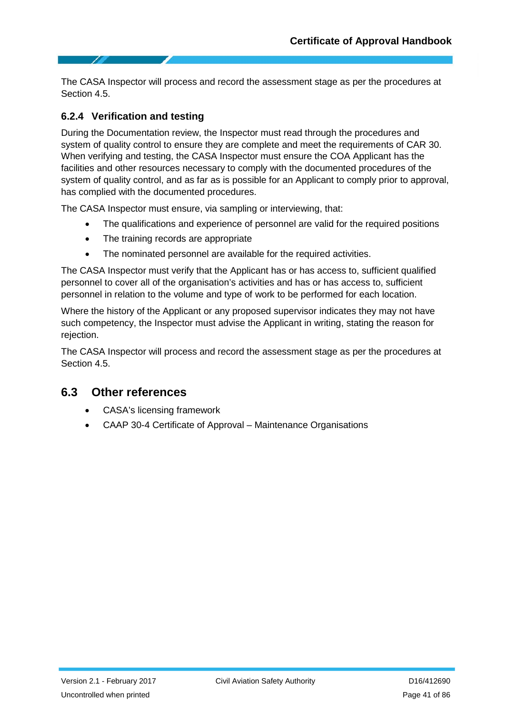The CASA Inspector will process and record the assessment stage as per the procedures at Section 4.5.

#### **6.2.4 Verification and testing**

During the Documentation review, the Inspector must read through the procedures and system of quality control to ensure they are complete and meet the requirements of CAR 30. When verifying and testing, the CASA Inspector must ensure the COA Applicant has the facilities and other resources necessary to comply with the documented procedures of the system of quality control, and as far as is possible for an Applicant to comply prior to approval, has complied with the documented procedures.

The CASA Inspector must ensure, via sampling or interviewing, that:

- The qualifications and experience of personnel are valid for the required positions
- The training records are appropriate
- The nominated personnel are available for the required activities.

The CASA Inspector must verify that the Applicant has or has access to, sufficient qualified personnel to cover all of the organisation's activities and has or has access to, sufficient personnel in relation to the volume and type of work to be performed for each location.

Where the history of the Applicant or any proposed supervisor indicates they may not have such competency, the Inspector must advise the Applicant in writing, stating the reason for rejection.

The CASA Inspector will process and record the assessment stage as per the procedures at Section 4.5.

### **6.3 Other references**

- CASA's licensing framework
- CAAP 30-4 Certificate of Approval Maintenance Organisations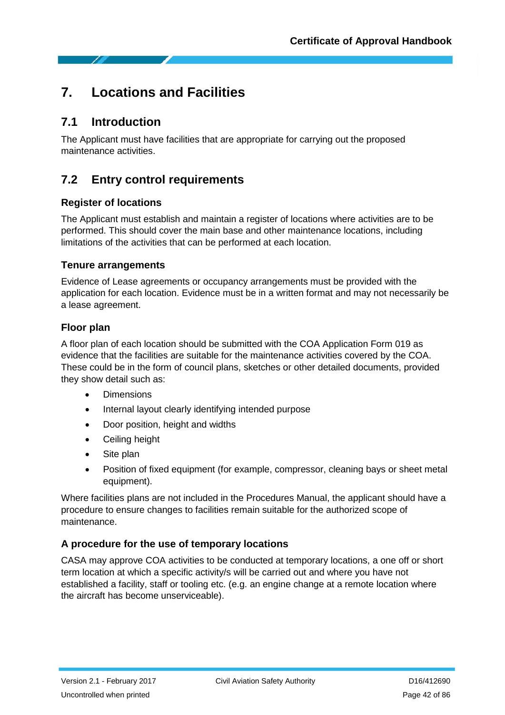# **7. Locations and Facilities**

### **7.1 Introduction**

The Applicant must have facilities that are appropriate for carrying out the proposed maintenance activities.

## **7.2 Entry control requirements**

#### **Register of locations**

The Applicant must establish and maintain a register of locations where activities are to be performed. This should cover the main base and other maintenance locations, including limitations of the activities that can be performed at each location.

#### **Tenure arrangements**

Evidence of Lease agreements or occupancy arrangements must be provided with the application for each location. Evidence must be in a written format and may not necessarily be a lease agreement.

#### **Floor plan**

A floor plan of each location should be submitted with the COA Application Form 019 as evidence that the facilities are suitable for the maintenance activities covered by the COA. These could be in the form of council plans, sketches or other detailed documents, provided they show detail such as:

- Dimensions
- Internal layout clearly identifying intended purpose
- Door position, height and widths
- Ceiling height
- Site plan
- Position of fixed equipment (for example, compressor, cleaning bays or sheet metal equipment).

Where facilities plans are not included in the Procedures Manual, the applicant should have a procedure to ensure changes to facilities remain suitable for the authorized scope of maintenance.

### **A procedure for the use of temporary locations**

CASA may approve COA activities to be conducted at temporary locations, a one off or short term location at which a specific activity/s will be carried out and where you have not established a facility, staff or tooling etc. (e.g. an engine change at a remote location where the aircraft has become unserviceable).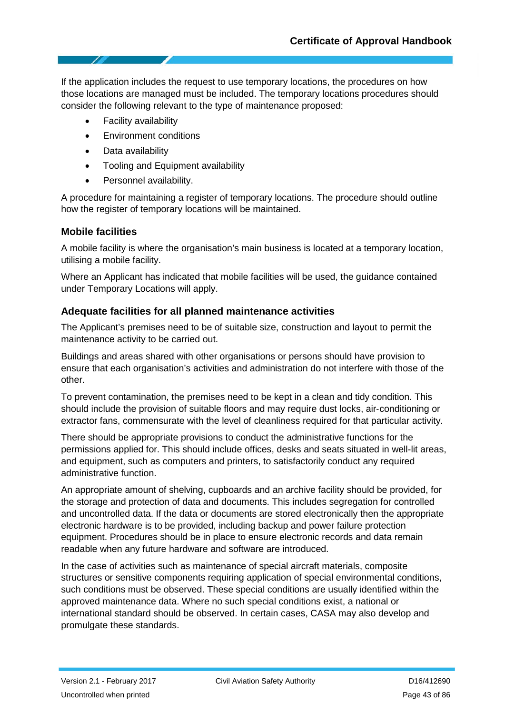If the application includes the request to use temporary locations, the procedures on how those locations are managed must be included. The temporary locations procedures should consider the following relevant to the type of maintenance proposed:

- Facility availability
- Environment conditions
- Data availability
- Tooling and Equipment availability
- Personnel availability.

A procedure for maintaining a register of temporary locations. The procedure should outline how the register of temporary locations will be maintained.

#### **Mobile facilities**

A mobile facility is where the organisation's main business is located at a temporary location, utilising a mobile facility.

Where an Applicant has indicated that mobile facilities will be used, the guidance contained under Temporary Locations will apply.

#### **Adequate facilities for all planned maintenance activities**

The Applicant's premises need to be of suitable size, construction and layout to permit the maintenance activity to be carried out.

Buildings and areas shared with other organisations or persons should have provision to ensure that each organisation's activities and administration do not interfere with those of the other.

To prevent contamination, the premises need to be kept in a clean and tidy condition. This should include the provision of suitable floors and may require dust locks, air‐conditioning or extractor fans, commensurate with the level of cleanliness required for that particular activity.

There should be appropriate provisions to conduct the administrative functions for the permissions applied for. This should include offices, desks and seats situated in well-lit areas, and equipment, such as computers and printers, to satisfactorily conduct any required administrative function.

An appropriate amount of shelving, cupboards and an archive facility should be provided, for the storage and protection of data and documents. This includes segregation for controlled and uncontrolled data. If the data or documents are stored electronically then the appropriate electronic hardware is to be provided, including backup and power failure protection equipment. Procedures should be in place to ensure electronic records and data remain readable when any future hardware and software are introduced.

In the case of activities such as maintenance of special aircraft materials, composite structures or sensitive components requiring application of special environmental conditions, such conditions must be observed. These special conditions are usually identified within the approved maintenance data. Where no such special conditions exist, a national or international standard should be observed. In certain cases, CASA may also develop and promulgate these standards.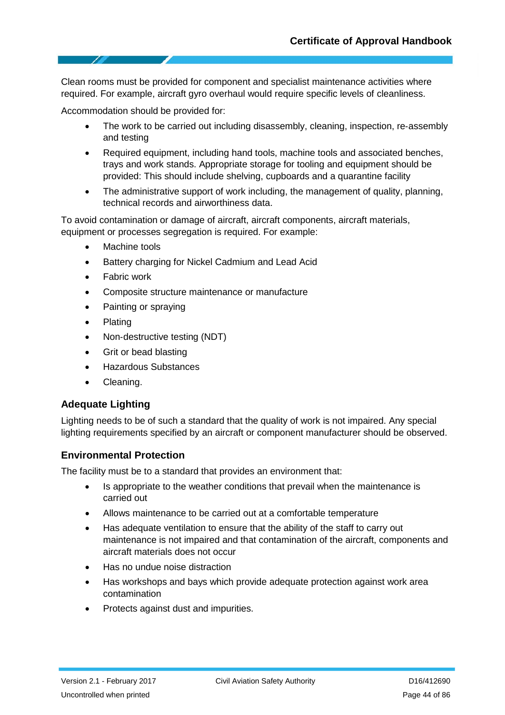Clean rooms must be provided for component and specialist maintenance activities where required. For example, aircraft gyro overhaul would require specific levels of cleanliness.

Accommodation should be provided for:

- The work to be carried out including disassembly, cleaning, inspection, re-assembly and testing
- Required equipment, including hand tools, machine tools and associated benches, trays and work stands. Appropriate storage for tooling and equipment should be provided: This should include shelving, cupboards and a quarantine facility
- The administrative support of work including, the management of quality, planning, technical records and airworthiness data.

To avoid contamination or damage of aircraft, aircraft components, aircraft materials, equipment or processes segregation is required. For example:

- Machine tools
- Battery charging for Nickel Cadmium and Lead Acid
- **Fabric work**
- Composite structure maintenance or manufacture
- Painting or spraying
- Plating
- Non‐destructive testing (NDT)
- Grit or bead blasting
- Hazardous Substances
- Cleaning.

#### **Adequate Lighting**

Lighting needs to be of such a standard that the quality of work is not impaired. Any special lighting requirements specified by an aircraft or component manufacturer should be observed.

#### **Environmental Protection**

The facility must be to a standard that provides an environment that:

- Is appropriate to the weather conditions that prevail when the maintenance is carried out
- Allows maintenance to be carried out at a comfortable temperature
- Has adequate ventilation to ensure that the ability of the staff to carry out maintenance is not impaired and that contamination of the aircraft, components and aircraft materials does not occur
- Has no undue noise distraction
- Has workshops and bays which provide adequate protection against work area contamination
- Protects against dust and impurities.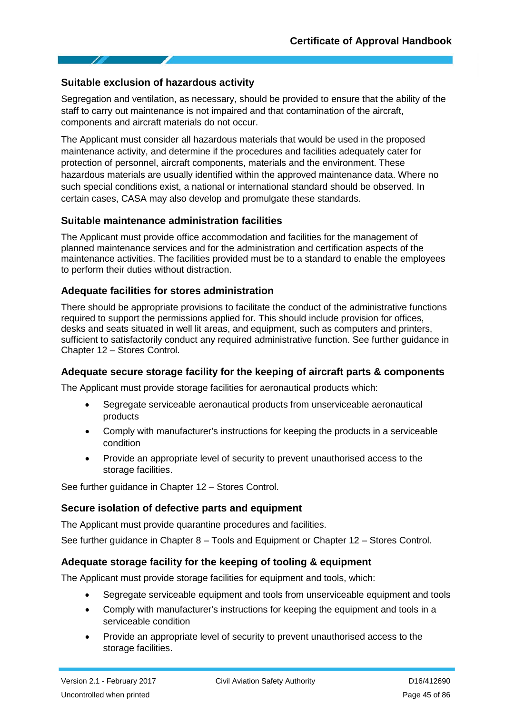#### **Suitable exclusion of hazardous activity**

Segregation and ventilation, as necessary, should be provided to ensure that the ability of the staff to carry out maintenance is not impaired and that contamination of the aircraft, components and aircraft materials do not occur.

The Applicant must consider all hazardous materials that would be used in the proposed maintenance activity, and determine if the procedures and facilities adequately cater for protection of personnel, aircraft components, materials and the environment. These hazardous materials are usually identified within the approved maintenance data. Where no such special conditions exist, a national or international standard should be observed. In certain cases, CASA may also develop and promulgate these standards.

#### **Suitable maintenance administration facilities**

The Applicant must provide office accommodation and facilities for the management of planned maintenance services and for the administration and certification aspects of the maintenance activities. The facilities provided must be to a standard to enable the employees to perform their duties without distraction.

#### **Adequate facilities for stores administration**

There should be appropriate provisions to facilitate the conduct of the administrative functions required to support the permissions applied for. This should include provision for offices, desks and seats situated in well lit areas, and equipment, such as computers and printers, sufficient to satisfactorily conduct any required administrative function. See further quidance in Chapter 12 – Stores Control.

#### **Adequate secure storage facility for the keeping of aircraft parts & components**

The Applicant must provide storage facilities for aeronautical products which:

- Segregate serviceable aeronautical products from unserviceable aeronautical products
- Comply with manufacturer's instructions for keeping the products in a serviceable condition
- Provide an appropriate level of security to prevent unauthorised access to the storage facilities.

See further guidance in Chapter 12 – Stores Control.

#### **Secure isolation of defective parts and equipment**

The Applicant must provide quarantine procedures and facilities.

See further guidance in Chapter 8 – Tools and Equipment or Chapter 12 – Stores Control.

#### **Adequate storage facility for the keeping of tooling & equipment**

The Applicant must provide storage facilities for equipment and tools, which:

- Segregate serviceable equipment and tools from unserviceable equipment and tools
- Comply with manufacturer's instructions for keeping the equipment and tools in a serviceable condition
- Provide an appropriate level of security to prevent unauthorised access to the storage facilities.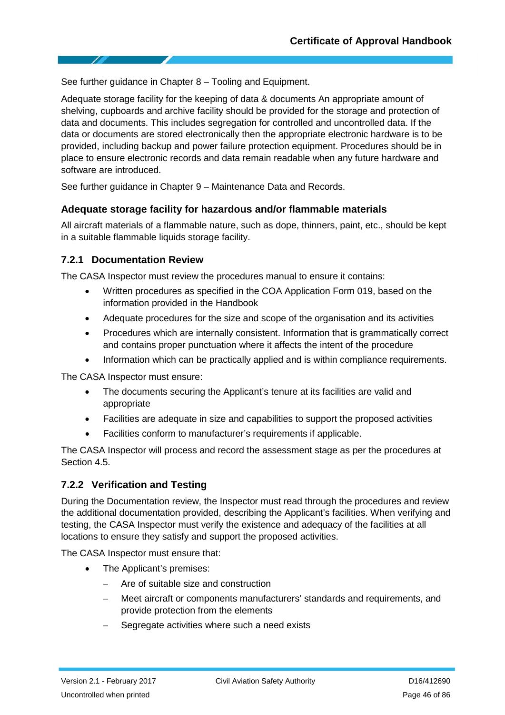See further guidance in Chapter 8 – Tooling and Equipment.

Adequate storage facility for the keeping of data & documents An appropriate amount of shelving, cupboards and archive facility should be provided for the storage and protection of data and documents. This includes segregation for controlled and uncontrolled data. If the data or documents are stored electronically then the appropriate electronic hardware is to be provided, including backup and power failure protection equipment. Procedures should be in place to ensure electronic records and data remain readable when any future hardware and software are introduced.

See further guidance in Chapter 9 – Maintenance Data and Records.

#### **Adequate storage facility for hazardous and/or flammable materials**

All aircraft materials of a flammable nature, such as dope, thinners, paint, etc., should be kept in a suitable flammable liquids storage facility.

#### **7.2.1 Documentation Review**

The CASA Inspector must review the procedures manual to ensure it contains:

- Written procedures as specified in the COA Application Form 019, based on the information provided in the Handbook
- Adequate procedures for the size and scope of the organisation and its activities
- Procedures which are internally consistent. Information that is grammatically correct and contains proper punctuation where it affects the intent of the procedure
- Information which can be practically applied and is within compliance requirements.

The CASA Inspector must ensure:

- The documents securing the Applicant's tenure at its facilities are valid and appropriate
- Facilities are adequate in size and capabilities to support the proposed activities
- Facilities conform to manufacturer's requirements if applicable.

The CASA Inspector will process and record the assessment stage as per the procedures at Section 4.5.

#### **7.2.2 Verification and Testing**

During the Documentation review, the Inspector must read through the procedures and review the additional documentation provided, describing the Applicant's facilities. When verifying and testing, the CASA Inspector must verify the existence and adequacy of the facilities at all locations to ensure they satisfy and support the proposed activities.

The CASA Inspector must ensure that:

- The Applicant's premises:
	- − Are of suitable size and construction
	- − Meet aircraft or components manufacturers' standards and requirements, and provide protection from the elements
	- Segregate activities where such a need exists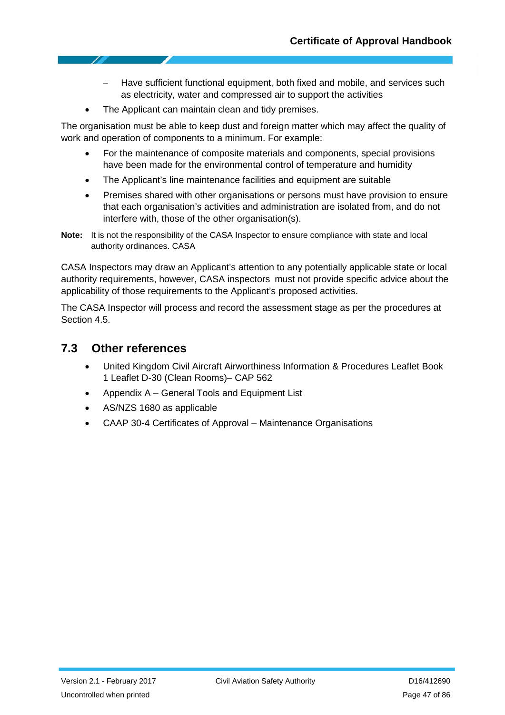- − Have sufficient functional equipment, both fixed and mobile, and services such as electricity, water and compressed air to support the activities
- The Applicant can maintain clean and tidy premises.

The organisation must be able to keep dust and foreign matter which may affect the quality of work and operation of components to a minimum. For example:

- For the maintenance of composite materials and components, special provisions have been made for the environmental control of temperature and humidity
- The Applicant's line maintenance facilities and equipment are suitable
- Premises shared with other organisations or persons must have provision to ensure that each organisation's activities and administration are isolated from, and do not interfere with, those of the other organisation(s).

CASA Inspectors may draw an Applicant's attention to any potentially applicable state or local authority requirements, however, CASA inspectors must not provide specific advice about the applicability of those requirements to the Applicant's proposed activities.

The CASA Inspector will process and record the assessment stage as per the procedures at Section 4.5.

### **7.3 Other references**

- United Kingdom Civil Aircraft Airworthiness Information & Procedures Leaflet Book 1 Leaflet D-30 (Clean Rooms)– CAP 562
- Appendix A General Tools and Equipment List
- AS/NZS 1680 as applicable
- CAAP 30-4 Certificates of Approval Maintenance Organisations

**Note:** It is not the responsibility of the CASA Inspector to ensure compliance with state and local authority ordinances. CASA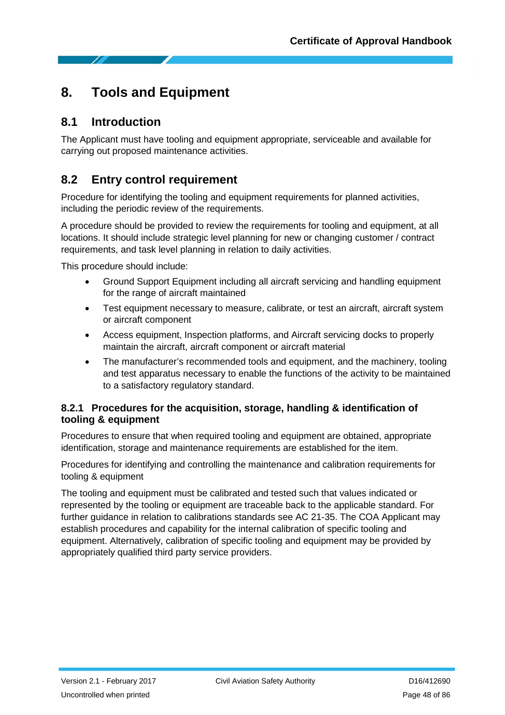# **8. Tools and Equipment**

### **8.1 Introduction**

The Applicant must have tooling and equipment appropriate, serviceable and available for carrying out proposed maintenance activities.

## **8.2 Entry control requirement**

Procedure for identifying the tooling and equipment requirements for planned activities, including the periodic review of the requirements.

A procedure should be provided to review the requirements for tooling and equipment, at all locations. It should include strategic level planning for new or changing customer / contract requirements, and task level planning in relation to daily activities.

This procedure should include:

- Ground Support Equipment including all aircraft servicing and handling equipment for the range of aircraft maintained
- Test equipment necessary to measure, calibrate, or test an aircraft, aircraft system or aircraft component
- Access equipment, Inspection platforms, and Aircraft servicing docks to properly maintain the aircraft, aircraft component or aircraft material
- The manufacturer's recommended tools and equipment, and the machinery, tooling and test apparatus necessary to enable the functions of the activity to be maintained to a satisfactory regulatory standard.

#### **8.2.1 Procedures for the acquisition, storage, handling & identification of tooling & equipment**

Procedures to ensure that when required tooling and equipment are obtained, appropriate identification, storage and maintenance requirements are established for the item.

Procedures for identifying and controlling the maintenance and calibration requirements for tooling & equipment

The tooling and equipment must be calibrated and tested such that values indicated or represented by the tooling or equipment are traceable back to the applicable standard. For further guidance in relation to calibrations standards see AC 21-35. The COA Applicant may establish procedures and capability for the internal calibration of specific tooling and equipment. Alternatively, calibration of specific tooling and equipment may be provided by appropriately qualified third party service providers.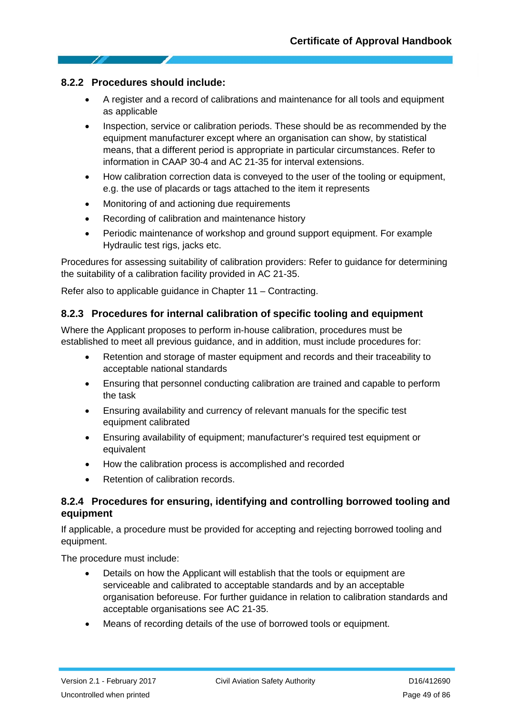#### **8.2.2 Procedures should include:**

- A register and a record of calibrations and maintenance for all tools and equipment as applicable
- Inspection, service or calibration periods. These should be as recommended by the equipment manufacturer except where an organisation can show, by statistical means, that a different period is appropriate in particular circumstances. Refer to information in CAAP 30-4 and AC 21-35 for interval extensions.
- How calibration correction data is conveyed to the user of the tooling or equipment, e.g. the use of placards or tags attached to the item it represents
- Monitoring of and actioning due requirements
- Recording of calibration and maintenance history
- Periodic maintenance of workshop and ground support equipment. For example Hydraulic test rigs, jacks etc.

Procedures for assessing suitability of calibration providers: Refer to guidance for determining the suitability of a calibration facility provided in AC 21-35.

Refer also to applicable guidance in Chapter 11 – Contracting.

#### **8.2.3 Procedures for internal calibration of specific tooling and equipment**

Where the Applicant proposes to perform in‐house calibration, procedures must be established to meet all previous guidance, and in addition, must include procedures for:

- Retention and storage of master equipment and records and their traceability to acceptable national standards
- Ensuring that personnel conducting calibration are trained and capable to perform the task
- Ensuring availability and currency of relevant manuals for the specific test equipment calibrated
- Ensuring availability of equipment; manufacturer's required test equipment or equivalent
- How the calibration process is accomplished and recorded
- Retention of calibration records.

#### **8.2.4 Procedures for ensuring, identifying and controlling borrowed tooling and equipment**

If applicable, a procedure must be provided for accepting and rejecting borrowed tooling and equipment.

The procedure must include:

- Details on how the Applicant will establish that the tools or equipment are serviceable and calibrated to acceptable standards and by an acceptable organisation beforeuse. For further guidance in relation to calibration standards and acceptable organisations see AC 21-35.
- Means of recording details of the use of borrowed tools or equipment.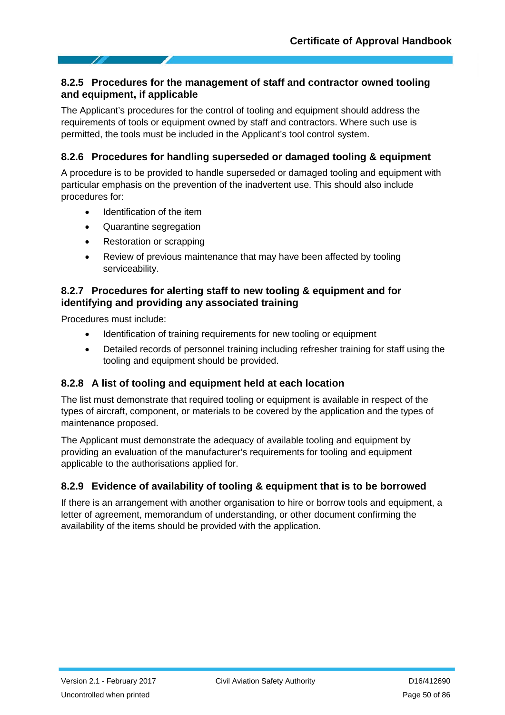#### **8.2.5 Procedures for the management of staff and contractor owned tooling and equipment, if applicable**

The Applicant's procedures for the control of tooling and equipment should address the requirements of tools or equipment owned by staff and contractors. Where such use is permitted, the tools must be included in the Applicant's tool control system.

### **8.2.6 Procedures for handling superseded or damaged tooling & equipment**

A procedure is to be provided to handle superseded or damaged tooling and equipment with particular emphasis on the prevention of the inadvertent use. This should also include procedures for:

- Identification of the item
- Quarantine segregation
- Restoration or scrapping
- Review of previous maintenance that may have been affected by tooling serviceability.

#### **8.2.7 Procedures for alerting staff to new tooling & equipment and for identifying and providing any associated training**

Procedures must include:

- Identification of training requirements for new tooling or equipment
- Detailed records of personnel training including refresher training for staff using the tooling and equipment should be provided.

### **8.2.8 A list of tooling and equipment held at each location**

The list must demonstrate that required tooling or equipment is available in respect of the types of aircraft, component, or materials to be covered by the application and the types of maintenance proposed.

The Applicant must demonstrate the adequacy of available tooling and equipment by providing an evaluation of the manufacturer's requirements for tooling and equipment applicable to the authorisations applied for.

### **8.2.9 Evidence of availability of tooling & equipment that is to be borrowed**

If there is an arrangement with another organisation to hire or borrow tools and equipment, a letter of agreement, memorandum of understanding, or other document confirming the availability of the items should be provided with the application.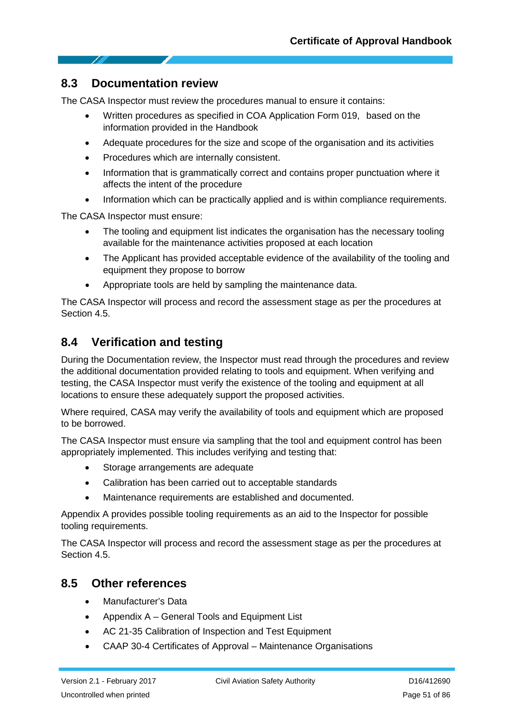### **8.3 Documentation review**

The CASA Inspector must review the procedures manual to ensure it contains:

- Written procedures as specified in COA Application Form 019, based on the information provided in the Handbook
- Adequate procedures for the size and scope of the organisation and its activities
- Procedures which are internally consistent.
- Information that is grammatically correct and contains proper punctuation where it affects the intent of the procedure
- Information which can be practically applied and is within compliance requirements.

The CASA Inspector must ensure:

- The tooling and equipment list indicates the organisation has the necessary tooling available for the maintenance activities proposed at each location
- The Applicant has provided acceptable evidence of the availability of the tooling and equipment they propose to borrow
- Appropriate tools are held by sampling the maintenance data.

The CASA Inspector will process and record the assessment stage as per the procedures at Section 4.5.

### **8.4 Verification and testing**

During the Documentation review, the Inspector must read through the procedures and review the additional documentation provided relating to tools and equipment. When verifying and testing, the CASA Inspector must verify the existence of the tooling and equipment at all locations to ensure these adequately support the proposed activities.

Where required, CASA may verify the availability of tools and equipment which are proposed to be borrowed.

The CASA Inspector must ensure via sampling that the tool and equipment control has been appropriately implemented. This includes verifying and testing that:

- Storage arrangements are adequate
- Calibration has been carried out to acceptable standards
- Maintenance requirements are established and documented.

Appendix A provides possible tooling requirements as an aid to the Inspector for possible tooling requirements.

The CASA Inspector will process and record the assessment stage as per the procedures at Section 4.5.

### **8.5 Other references**

- Manufacturer's Data
- Appendix A General Tools and Equipment List
- AC 21-35 Calibration of Inspection and Test Equipment
- CAAP 30-4 Certificates of Approval Maintenance Organisations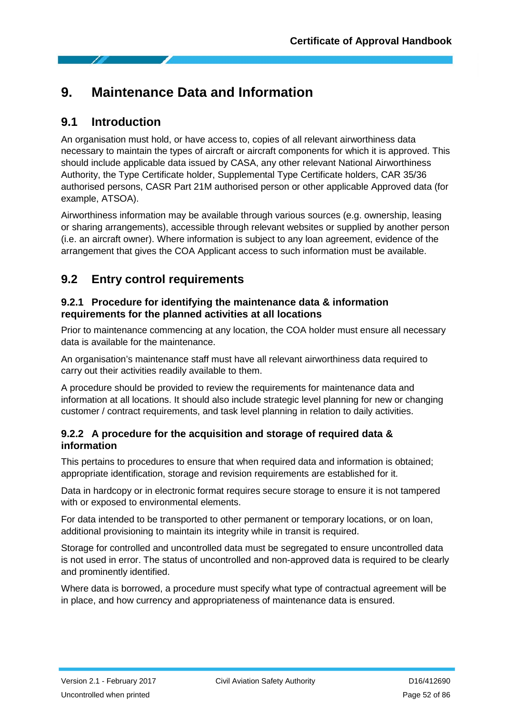# **9. Maintenance Data and Information**

## **9.1 Introduction**

An organisation must hold, or have access to, copies of all relevant airworthiness data necessary to maintain the types of aircraft or aircraft components for which it is approved. This should include applicable data issued by CASA, any other relevant National Airworthiness Authority, the Type Certificate holder, Supplemental Type Certificate holders, CAR 35/36 authorised persons, CASR Part 21M authorised person or other applicable Approved data (for example, ATSOA).

Airworthiness information may be available through various sources (e.g. ownership, leasing or sharing arrangements), accessible through relevant websites or supplied by another person (i.e. an aircraft owner). Where information is subject to any loan agreement, evidence of the arrangement that gives the COA Applicant access to such information must be available.

## **9.2 Entry control requirements**

#### **9.2.1 Procedure for identifying the maintenance data & information requirements for the planned activities at all locations**

Prior to maintenance commencing at any location, the COA holder must ensure all necessary data is available for the maintenance.

An organisation's maintenance staff must have all relevant airworthiness data required to carry out their activities readily available to them.

A procedure should be provided to review the requirements for maintenance data and information at all locations. It should also include strategic level planning for new or changing customer / contract requirements, and task level planning in relation to daily activities.

#### **9.2.2 A procedure for the acquisition and storage of required data & information**

This pertains to procedures to ensure that when required data and information is obtained; appropriate identification, storage and revision requirements are established for it.

Data in hardcopy or in electronic format requires secure storage to ensure it is not tampered with or exposed to environmental elements.

For data intended to be transported to other permanent or temporary locations, or on loan, additional provisioning to maintain its integrity while in transit is required.

Storage for controlled and uncontrolled data must be segregated to ensure uncontrolled data is not used in error. The status of uncontrolled and non-approved data is required to be clearly and prominently identified.

Where data is borrowed, a procedure must specify what type of contractual agreement will be in place, and how currency and appropriateness of maintenance data is ensured.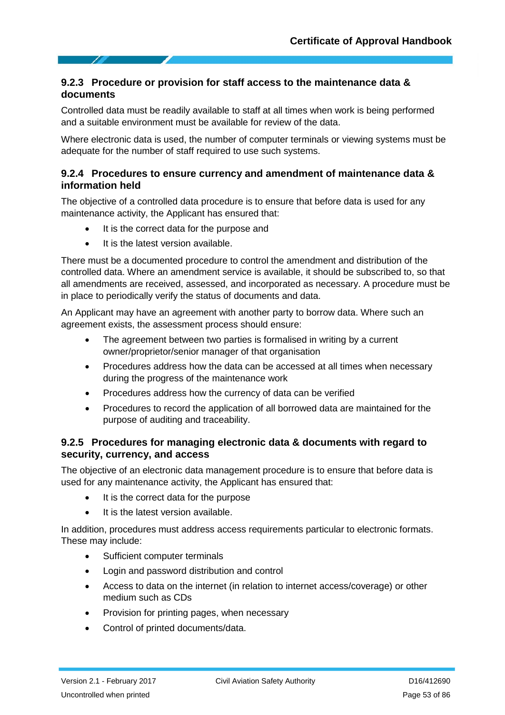#### **9.2.3 Procedure or provision for staff access to the maintenance data & documents**

Controlled data must be readily available to staff at all times when work is being performed and a suitable environment must be available for review of the data.

Where electronic data is used, the number of computer terminals or viewing systems must be adequate for the number of staff required to use such systems.

#### **9.2.4 Procedures to ensure currency and amendment of maintenance data & information held**

The objective of a controlled data procedure is to ensure that before data is used for any maintenance activity, the Applicant has ensured that:

- It is the correct data for the purpose and
- It is the latest version available.

There must be a documented procedure to control the amendment and distribution of the controlled data. Where an amendment service is available, it should be subscribed to, so that all amendments are received, assessed, and incorporated as necessary. A procedure must be in place to periodically verify the status of documents and data.

An Applicant may have an agreement with another party to borrow data. Where such an agreement exists, the assessment process should ensure:

- The agreement between two parties is formalised in writing by a current owner/proprietor/senior manager of that organisation
- Procedures address how the data can be accessed at all times when necessary during the progress of the maintenance work
- Procedures address how the currency of data can be verified
- Procedures to record the application of all borrowed data are maintained for the purpose of auditing and traceability.

#### **9.2.5 Procedures for managing electronic data & documents with regard to security, currency, and access**

The objective of an electronic data management procedure is to ensure that before data is used for any maintenance activity, the Applicant has ensured that:

- It is the correct data for the purpose
- It is the latest version available.

In addition, procedures must address access requirements particular to electronic formats. These may include:

- Sufficient computer terminals
- Login and password distribution and control
- Access to data on the internet (in relation to internet access/coverage) or other medium such as CDs
- Provision for printing pages, when necessary
- Control of printed documents/data.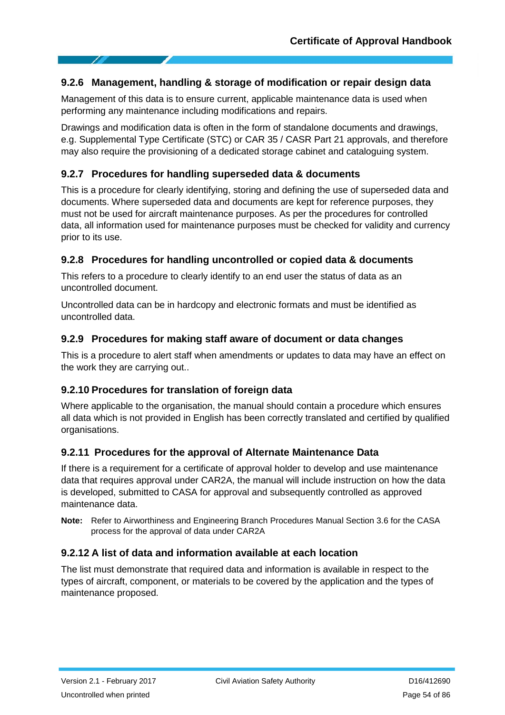#### **9.2.6 Management, handling & storage of modification or repair design data**

Management of this data is to ensure current, applicable maintenance data is used when performing any maintenance including modifications and repairs.

Drawings and modification data is often in the form of standalone documents and drawings, e.g. Supplemental Type Certificate (STC) or CAR 35 / CASR Part 21 approvals, and therefore may also require the provisioning of a dedicated storage cabinet and cataloguing system.

#### **9.2.7 Procedures for handling superseded data & documents**

This is a procedure for clearly identifying, storing and defining the use of superseded data and documents. Where superseded data and documents are kept for reference purposes, they must not be used for aircraft maintenance purposes. As per the procedures for controlled data, all information used for maintenance purposes must be checked for validity and currency prior to its use.

#### **9.2.8 Procedures for handling uncontrolled or copied data & documents**

This refers to a procedure to clearly identify to an end user the status of data as an uncontrolled document.

Uncontrolled data can be in hardcopy and electronic formats and must be identified as uncontrolled data.

#### **9.2.9 Procedures for making staff aware of document or data changes**

This is a procedure to alert staff when amendments or updates to data may have an effect on the work they are carrying out..

#### **9.2.10 Procedures for translation of foreign data**

Where applicable to the organisation, the manual should contain a procedure which ensures all data which is not provided in English has been correctly translated and certified by qualified organisations.

#### **9.2.11 Procedures for the approval of Alternate Maintenance Data**

If there is a requirement for a certificate of approval holder to develop and use maintenance data that requires approval under CAR2A, the manual will include instruction on how the data is developed, submitted to CASA for approval and subsequently controlled as approved maintenance data.

**Note:** Refer to Airworthiness and Engineering Branch Procedures Manual Section 3.6 for the CASA process for the approval of data under CAR2A

#### **9.2.12 A list of data and information available at each location**

The list must demonstrate that required data and information is available in respect to the types of aircraft, component, or materials to be covered by the application and the types of maintenance proposed.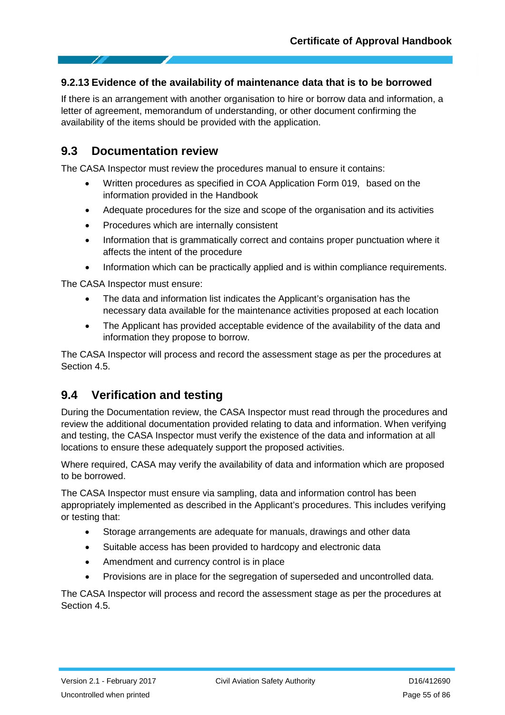#### **9.2.13 Evidence of the availability of maintenance data that is to be borrowed**

If there is an arrangement with another organisation to hire or borrow data and information, a letter of agreement, memorandum of understanding, or other document confirming the availability of the items should be provided with the application.

### **9.3 Documentation review**

The CASA Inspector must review the procedures manual to ensure it contains:

- Written procedures as specified in COA Application Form 019, based on the information provided in the Handbook
- Adequate procedures for the size and scope of the organisation and its activities
- Procedures which are internally consistent
- Information that is grammatically correct and contains proper punctuation where it affects the intent of the procedure
- Information which can be practically applied and is within compliance requirements.

The CASA Inspector must ensure:

- The data and information list indicates the Applicant's organisation has the necessary data available for the maintenance activities proposed at each location
- The Applicant has provided acceptable evidence of the availability of the data and information they propose to borrow.

The CASA Inspector will process and record the assessment stage as per the procedures at Section 4.5.

### **9.4 Verification and testing**

During the Documentation review, the CASA Inspector must read through the procedures and review the additional documentation provided relating to data and information. When verifying and testing, the CASA Inspector must verify the existence of the data and information at all locations to ensure these adequately support the proposed activities.

Where required, CASA may verify the availability of data and information which are proposed to be borrowed.

The CASA Inspector must ensure via sampling, data and information control has been appropriately implemented as described in the Applicant's procedures. This includes verifying or testing that:

- Storage arrangements are adequate for manuals, drawings and other data
- Suitable access has been provided to hardcopy and electronic data
- Amendment and currency control is in place
- Provisions are in place for the segregation of superseded and uncontrolled data.

The CASA Inspector will process and record the assessment stage as per the procedures at Section 4.5.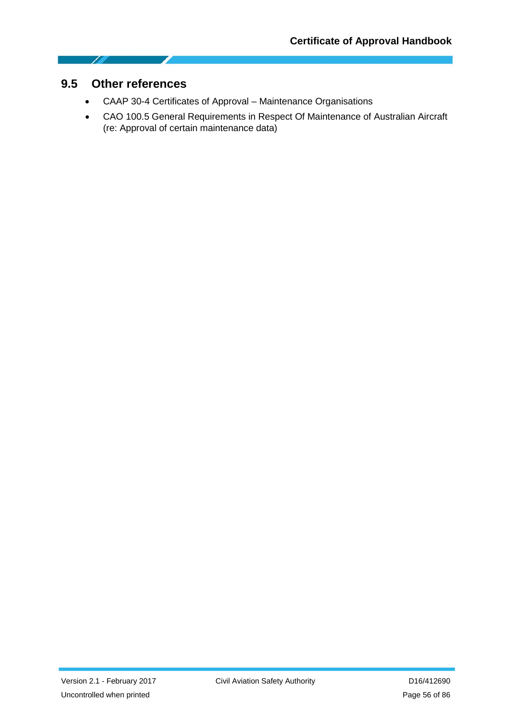### **9.5 Other references**

1

- CAAP 30-4 Certificates of Approval Maintenance Organisations
- CAO 100.5 General Requirements in Respect Of Maintenance of Australian Aircraft (re: Approval of certain maintenance data)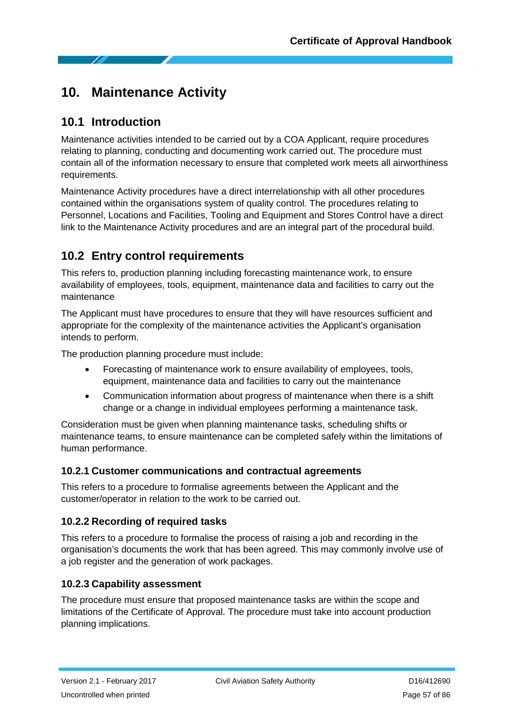# **10. Maintenance Activity**

## **10.1 Introduction**

Maintenance activities intended to be carried out by a COA Applicant, require procedures relating to planning, conducting and documenting work carried out. The procedure must contain all of the information necessary to ensure that completed work meets all airworthiness requirements.

Maintenance Activity procedures have a direct interrelationship with all other procedures contained within the organisations system of quality control. The procedures relating to Personnel, Locations and Facilities, Tooling and Equipment and Stores Control have a direct link to the Maintenance Activity procedures and are an integral part of the procedural build.

# **10.2 Entry control requirements**

This refers to, production planning including forecasting maintenance work, to ensure availability of employees, tools, equipment, maintenance data and facilities to carry out the maintenance

The Applicant must have procedures to ensure that they will have resources sufficient and appropriate for the complexity of the maintenance activities the Applicant's organisation intends to perform.

The production planning procedure must include:

- Forecasting of maintenance work to ensure availability of employees, tools, equipment, maintenance data and facilities to carry out the maintenance
- Communication information about progress of maintenance when there is a shift change or a change in individual employees performing a maintenance task.

Consideration must be given when planning maintenance tasks, scheduling shifts or maintenance teams, to ensure maintenance can be completed safely within the limitations of human performance.

### **10.2.1 Customer communications and contractual agreements**

This refers to a procedure to formalise agreements between the Applicant and the customer/operator in relation to the work to be carried out.

### **10.2.2 Recording of required tasks**

This refers to a procedure to formalise the process of raising a job and recording in the organisation's documents the work that has been agreed. This may commonly involve use of a job register and the generation of work packages.

#### **10.2.3 Capability assessment**

The procedure must ensure that proposed maintenance tasks are within the scope and limitations of the Certificate of Approval. The procedure must take into account production planning implications.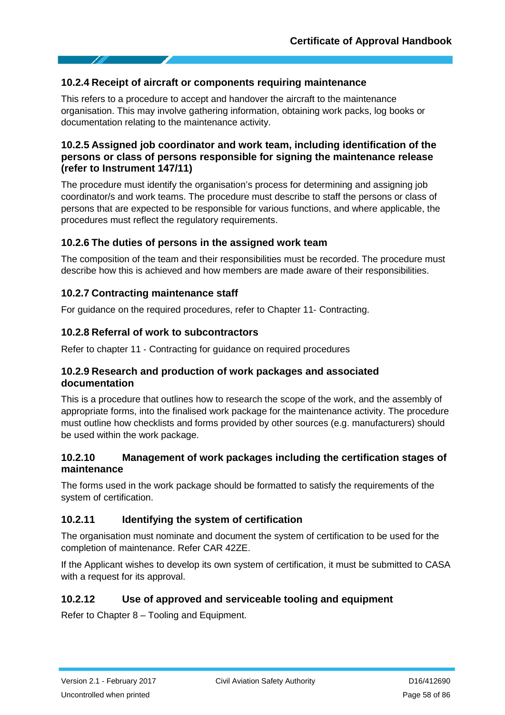#### **10.2.4 Receipt of aircraft or components requiring maintenance**

This refers to a procedure to accept and handover the aircraft to the maintenance organisation. This may involve gathering information, obtaining work packs, log books or documentation relating to the maintenance activity.

#### **10.2.5 Assigned job coordinator and work team, including identification of the persons or class of persons responsible for signing the maintenance release (refer to Instrument 147/11)**

The procedure must identify the organisation's process for determining and assigning job coordinator/s and work teams. The procedure must describe to staff the persons or class of persons that are expected to be responsible for various functions, and where applicable, the procedures must reflect the regulatory requirements.

#### **10.2.6 The duties of persons in the assigned work team**

The composition of the team and their responsibilities must be recorded. The procedure must describe how this is achieved and how members are made aware of their responsibilities.

#### **10.2.7 Contracting maintenance staff**

For guidance on the required procedures, refer to Chapter 11‐ Contracting.

#### **10.2.8 Referral of work to subcontractors**

Refer to chapter 11 - Contracting for guidance on required procedures

#### **10.2.9 Research and production of work packages and associated documentation**

This is a procedure that outlines how to research the scope of the work, and the assembly of appropriate forms, into the finalised work package for the maintenance activity. The procedure must outline how checklists and forms provided by other sources (e.g. manufacturers) should be used within the work package.

#### **10.2.10 Management of work packages including the certification stages of maintenance**

The forms used in the work package should be formatted to satisfy the requirements of the system of certification.

#### **10.2.11 Identifying the system of certification**

The organisation must nominate and document the system of certification to be used for the completion of maintenance. Refer CAR 42ZE.

If the Applicant wishes to develop its own system of certification, it must be submitted to CASA with a request for its approval.

### **10.2.12 Use of approved and serviceable tooling and equipment**

Refer to Chapter 8 – Tooling and Equipment.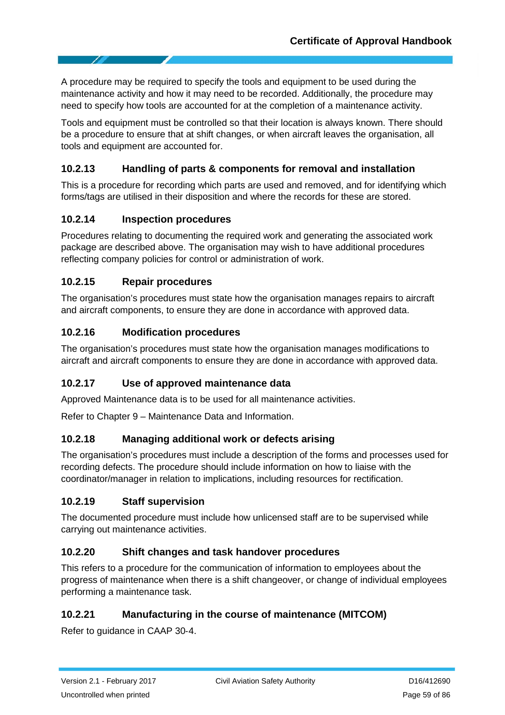A procedure may be required to specify the tools and equipment to be used during the maintenance activity and how it may need to be recorded. Additionally, the procedure may need to specify how tools are accounted for at the completion of a maintenance activity.

Tools and equipment must be controlled so that their location is always known. There should be a procedure to ensure that at shift changes, or when aircraft leaves the organisation, all tools and equipment are accounted for.

### **10.2.13 Handling of parts & components for removal and installation**

This is a procedure for recording which parts are used and removed, and for identifying which forms/tags are utilised in their disposition and where the records for these are stored.

### **10.2.14 Inspection procedures**

Procedures relating to documenting the required work and generating the associated work package are described above. The organisation may wish to have additional procedures reflecting company policies for control or administration of work.

### **10.2.15 Repair procedures**

The organisation's procedures must state how the organisation manages repairs to aircraft and aircraft components, to ensure they are done in accordance with approved data.

### **10.2.16 Modification procedures**

The organisation's procedures must state how the organisation manages modifications to aircraft and aircraft components to ensure they are done in accordance with approved data.

### **10.2.17 Use of approved maintenance data**

Approved Maintenance data is to be used for all maintenance activities.

Refer to Chapter 9 – Maintenance Data and Information.

### **10.2.18 Managing additional work or defects arising**

The organisation's procedures must include a description of the forms and processes used for recording defects. The procedure should include information on how to liaise with the coordinator/manager in relation to implications, including resources for rectification.

### **10.2.19 Staff supervision**

The documented procedure must include how unlicensed staff are to be supervised while carrying out maintenance activities.

#### **10.2.20 Shift changes and task handover procedures**

This refers to a procedure for the communication of information to employees about the progress of maintenance when there is a shift changeover, or change of individual employees performing a maintenance task.

### **10.2.21 Manufacturing in the course of maintenance (MITCOM)**

Refer to guidance in CAAP 30‐4.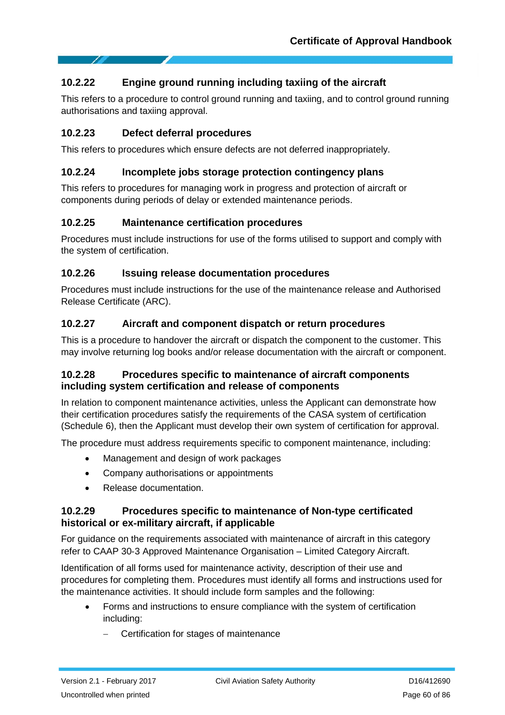### **10.2.22 Engine ground running including taxiing of the aircraft**

This refers to a procedure to control ground running and taxiing, and to control ground running authorisations and taxiing approval.

#### **10.2.23 Defect deferral procedures**

This refers to procedures which ensure defects are not deferred inappropriately.

#### **10.2.24 Incomplete jobs storage protection contingency plans**

This refers to procedures for managing work in progress and protection of aircraft or components during periods of delay or extended maintenance periods.

#### **10.2.25 Maintenance certification procedures**

Procedures must include instructions for use of the forms utilised to support and comply with the system of certification.

#### **10.2.26 Issuing release documentation procedures**

Procedures must include instructions for the use of the maintenance release and Authorised Release Certificate (ARC).

#### **10.2.27 Aircraft and component dispatch or return procedures**

This is a procedure to handover the aircraft or dispatch the component to the customer. This may involve returning log books and/or release documentation with the aircraft or component.

#### **10.2.28 Procedures specific to maintenance of aircraft components including system certification and release of components**

In relation to component maintenance activities, unless the Applicant can demonstrate how their certification procedures satisfy the requirements of the CASA system of certification (Schedule 6), then the Applicant must develop their own system of certification for approval.

The procedure must address requirements specific to component maintenance, including:

- Management and design of work packages
- Company authorisations or appointments
- Release documentation.

#### **10.2.29 Procedures specific to maintenance of Non**‐**type certificated historical or ex**‐**military aircraft, if applicable**

For guidance on the requirements associated with maintenance of aircraft in this category refer to CAAP 30‐3 Approved Maintenance Organisation – Limited Category Aircraft.

Identification of all forms used for maintenance activity, description of their use and procedures for completing them. Procedures must identify all forms and instructions used for the maintenance activities. It should include form samples and the following:

- Forms and instructions to ensure compliance with the system of certification including:
	- − Certification for stages of maintenance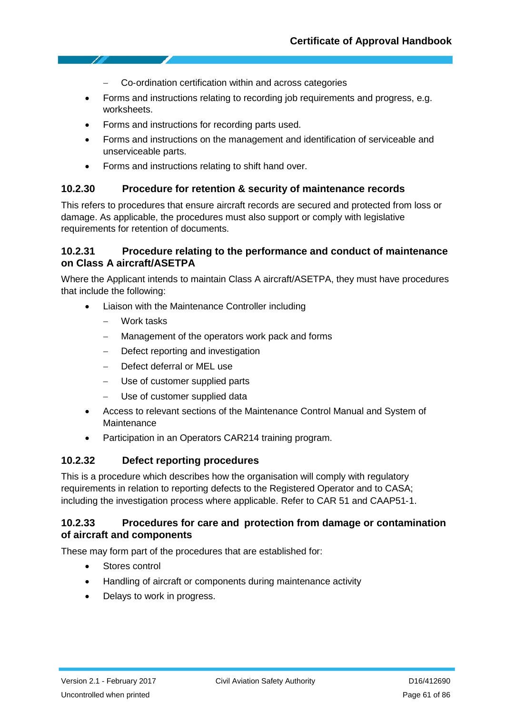- − Co‐ordination certification within and across categories
- Forms and instructions relating to recording job requirements and progress, e.g. worksheets.
- Forms and instructions for recording parts used.
- Forms and instructions on the management and identification of serviceable and unserviceable parts.
- Forms and instructions relating to shift hand over.

#### **10.2.30 Procedure for retention & security of maintenance records**

This refers to procedures that ensure aircraft records are secured and protected from loss or damage. As applicable, the procedures must also support or comply with legislative requirements for retention of documents.

#### **10.2.31 Procedure relating to the performance and conduct of maintenance on Class A aircraft/ASETPA**

Where the Applicant intends to maintain Class A aircraft/ASETPA, they must have procedures that include the following:

- Liaison with the Maintenance Controller including
	- − Work tasks
	- Management of the operators work pack and forms
	- − Defect reporting and investigation
	- − Defect deferral or MEL use
	- Use of customer supplied parts
	- Use of customer supplied data
- Access to relevant sections of the Maintenance Control Manual and System of Maintenance
- Participation in an Operators CAR214 training program.

#### **10.2.32 Defect reporting procedures**

This is a procedure which describes how the organisation will comply with regulatory requirements in relation to reporting defects to the Registered Operator and to CASA; including the investigation process where applicable. Refer to CAR 51 and CAAP51‐1.

#### **10.2.33 Procedures for care and protection from damage or contamination of aircraft and components**

These may form part of the procedures that are established for:

- Stores control
- Handling of aircraft or components during maintenance activity
- Delays to work in progress.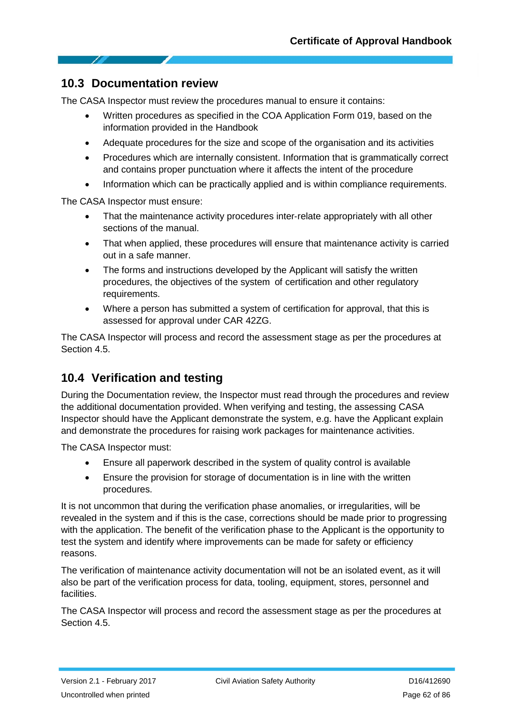### **10.3 Documentation review**

The CASA Inspector must review the procedures manual to ensure it contains:

- Written procedures as specified in the COA Application Form 019, based on the information provided in the Handbook
- Adequate procedures for the size and scope of the organisation and its activities
- Procedures which are internally consistent. Information that is grammatically correct and contains proper punctuation where it affects the intent of the procedure
- Information which can be practically applied and is within compliance requirements.

The CASA Inspector must ensure:

- That the maintenance activity procedures inter-relate appropriately with all other sections of the manual.
- That when applied, these procedures will ensure that maintenance activity is carried out in a safe manner.
- The forms and instructions developed by the Applicant will satisfy the written procedures, the objectives of the system of certification and other regulatory requirements.
- Where a person has submitted a system of certification for approval, that this is assessed for approval under CAR 42ZG.

The CASA Inspector will process and record the assessment stage as per the procedures at Section 4.5.

## **10.4 Verification and testing**

During the Documentation review, the Inspector must read through the procedures and review the additional documentation provided. When verifying and testing, the assessing CASA Inspector should have the Applicant demonstrate the system, e.g. have the Applicant explain and demonstrate the procedures for raising work packages for maintenance activities.

The CASA Inspector must:

- Ensure all paperwork described in the system of quality control is available
- Ensure the provision for storage of documentation is in line with the written procedures.

It is not uncommon that during the verification phase anomalies, or irregularities, will be revealed in the system and if this is the case, corrections should be made prior to progressing with the application. The benefit of the verification phase to the Applicant is the opportunity to test the system and identify where improvements can be made for safety or efficiency reasons.

The verification of maintenance activity documentation will not be an isolated event, as it will also be part of the verification process for data, tooling, equipment, stores, personnel and facilities.

The CASA Inspector will process and record the assessment stage as per the procedures at Section 4.5.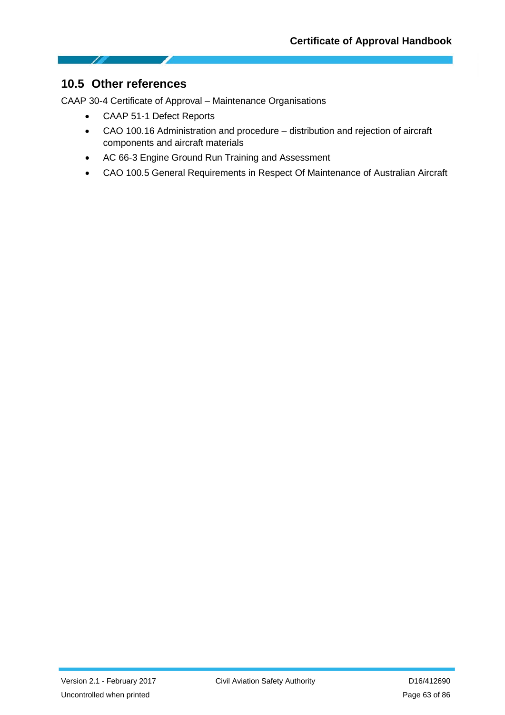

CAAP 30-4 Certificate of Approval – Maintenance Organisations

- CAAP 51-1 Defect Reports
- CAO 100.16 Administration and procedure distribution and rejection of aircraft components and aircraft materials
- AC 66-3 Engine Ground Run Training and Assessment
- CAO 100.5 General Requirements in Respect Of Maintenance of Australian Aircraft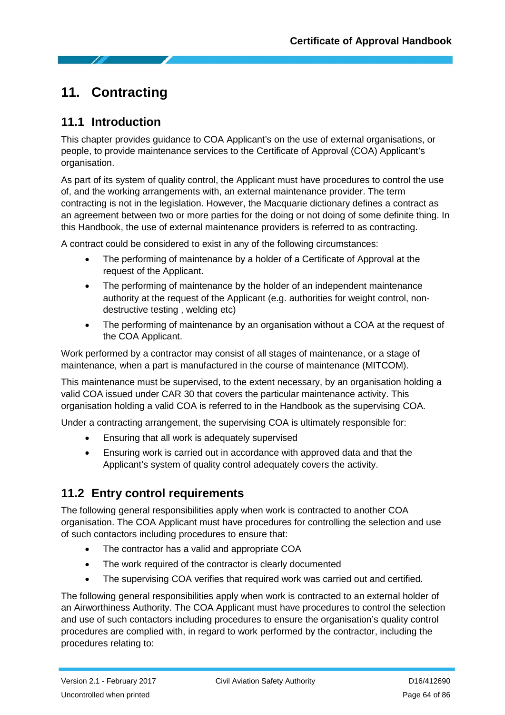# **11. Contracting**

# **11.1 Introduction**

This chapter provides guidance to COA Applicant's on the use of external organisations, or people, to provide maintenance services to the Certificate of Approval (COA) Applicant's organisation.

As part of its system of quality control, the Applicant must have procedures to control the use of, and the working arrangements with, an external maintenance provider. The term contracting is not in the legislation. However, the Macquarie dictionary defines a contract as an agreement between two or more parties for the doing or not doing of some definite thing. In this Handbook, the use of external maintenance providers is referred to as contracting.

A contract could be considered to exist in any of the following circumstances:

- The performing of maintenance by a holder of a Certificate of Approval at the request of the Applicant.
- The performing of maintenance by the holder of an independent maintenance authority at the request of the Applicant (e.g. authorities for weight control, non‐ destructive testing , welding etc)
- The performing of maintenance by an organisation without a COA at the request of the COA Applicant.

Work performed by a contractor may consist of all stages of maintenance, or a stage of maintenance, when a part is manufactured in the course of maintenance (MITCOM).

This maintenance must be supervised, to the extent necessary, by an organisation holding a valid COA issued under CAR 30 that covers the particular maintenance activity. This organisation holding a valid COA is referred to in the Handbook as the supervising COA.

Under a contracting arrangement, the supervising COA is ultimately responsible for:

- Ensuring that all work is adequately supervised
- Ensuring work is carried out in accordance with approved data and that the Applicant's system of quality control adequately covers the activity.

## **11.2 Entry control requirements**

The following general responsibilities apply when work is contracted to another COA organisation. The COA Applicant must have procedures for controlling the selection and use of such contactors including procedures to ensure that:

- The contractor has a valid and appropriate COA
- The work required of the contractor is clearly documented
- The supervising COA verifies that required work was carried out and certified.

The following general responsibilities apply when work is contracted to an external holder of an Airworthiness Authority. The COA Applicant must have procedures to control the selection and use of such contactors including procedures to ensure the organisation's quality control procedures are complied with, in regard to work performed by the contractor, including the procedures relating to: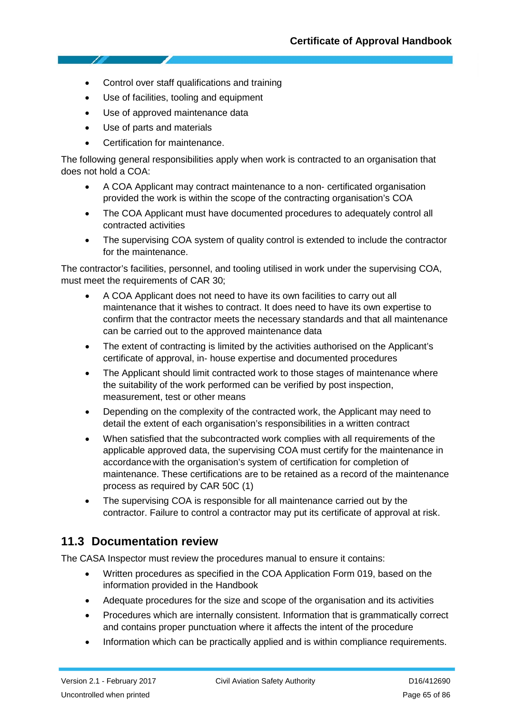- Control over staff qualifications and training
- Use of facilities, tooling and equipment
- Use of approved maintenance data
- Use of parts and materials
- Certification for maintenance.

The following general responsibilities apply when work is contracted to an organisation that does not hold a COA:

- A COA Applicant may contract maintenance to a non‐ certificated organisation provided the work is within the scope of the contracting organisation's COA
- The COA Applicant must have documented procedures to adequately control all contracted activities
- The supervising COA system of quality control is extended to include the contractor for the maintenance.

The contractor's facilities, personnel, and tooling utilised in work under the supervising COA, must meet the requirements of CAR 30;

- A COA Applicant does not need to have its own facilities to carry out all maintenance that it wishes to contract. It does need to have its own expertise to confirm that the contractor meets the necessary standards and that all maintenance can be carried out to the approved maintenance data
- The extent of contracting is limited by the activities authorised on the Applicant's certificate of approval, in‐ house expertise and documented procedures
- The Applicant should limit contracted work to those stages of maintenance where the suitability of the work performed can be verified by post inspection, measurement, test or other means
- Depending on the complexity of the contracted work, the Applicant may need to detail the extent of each organisation's responsibilities in a written contract
- When satisfied that the subcontracted work complies with all requirements of the applicable approved data, the supervising COA must certify for the maintenance in accordancewith the organisation's system of certification for completion of maintenance. These certifications are to be retained as a record of the maintenance process as required by CAR 50C (1)
- The supervising COA is responsible for all maintenance carried out by the contractor. Failure to control a contractor may put its certificate of approval at risk.

### **11.3 Documentation review**

The CASA Inspector must review the procedures manual to ensure it contains:

- Written procedures as specified in the COA Application Form 019, based on the information provided in the Handbook
- Adequate procedures for the size and scope of the organisation and its activities
- Procedures which are internally consistent. Information that is grammatically correct and contains proper punctuation where it affects the intent of the procedure
- Information which can be practically applied and is within compliance requirements.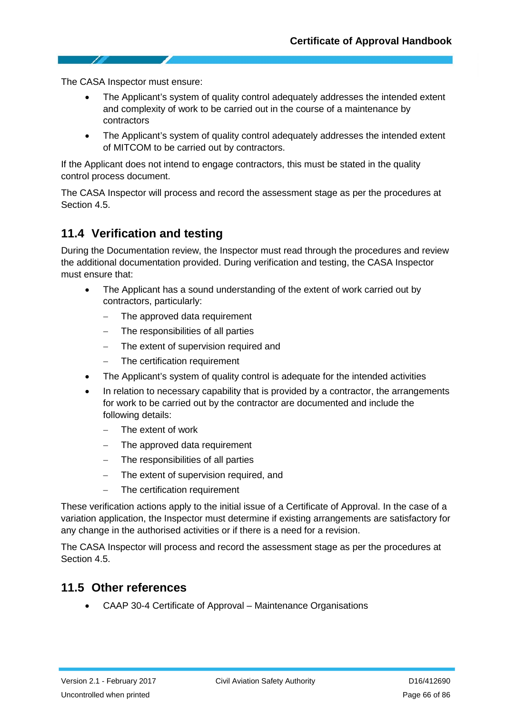The CASA Inspector must ensure:

- The Applicant's system of quality control adequately addresses the intended extent and complexity of work to be carried out in the course of a maintenance by contractors
- The Applicant's system of quality control adequately addresses the intended extent of MITCOM to be carried out by contractors.

If the Applicant does not intend to engage contractors, this must be stated in the quality control process document.

The CASA Inspector will process and record the assessment stage as per the procedures at Section 4.5.

### **11.4 Verification and testing**

During the Documentation review, the Inspector must read through the procedures and review the additional documentation provided. During verification and testing, the CASA Inspector must ensure that:

- The Applicant has a sound understanding of the extent of work carried out by contractors, particularly:
	- − The approved data requirement
	- The responsibilities of all parties
	- − The extent of supervision required and
	- The certification requirement
- The Applicant's system of quality control is adequate for the intended activities
- In relation to necessary capability that is provided by a contractor, the arrangements for work to be carried out by the contractor are documented and include the following details:
	- − The extent of work
	- − The approved data requirement
	- The responsibilities of all parties
	- The extent of supervision required, and
	- The certification requirement

These verification actions apply to the initial issue of a Certificate of Approval. In the case of a variation application, the Inspector must determine if existing arrangements are satisfactory for any change in the authorised activities or if there is a need for a revision.

The CASA Inspector will process and record the assessment stage as per the procedures at Section 4.5.

### **11.5 Other references**

• CAAP 30-4 Certificate of Approval – Maintenance Organisations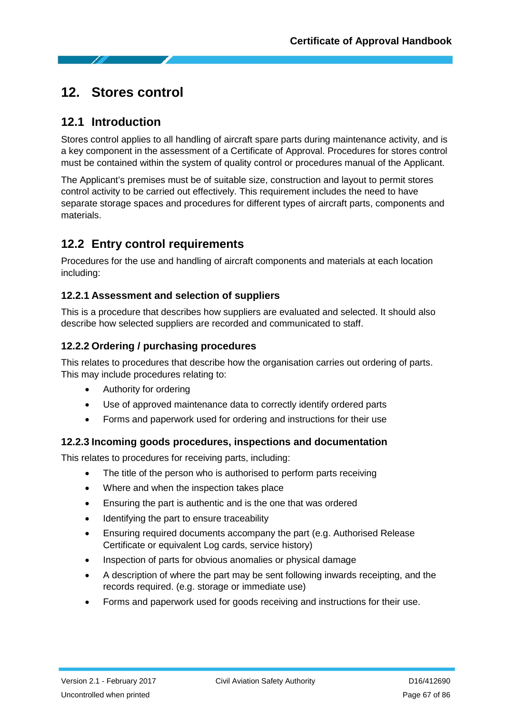# **12. Stores control**

### **12.1 Introduction**

Stores control applies to all handling of aircraft spare parts during maintenance activity, and is a key component in the assessment of a Certificate of Approval. Procedures for stores control must be contained within the system of quality control or procedures manual of the Applicant.

The Applicant's premises must be of suitable size, construction and layout to permit stores control activity to be carried out effectively. This requirement includes the need to have separate storage spaces and procedures for different types of aircraft parts, components and materials.

# **12.2 Entry control requirements**

Procedures for the use and handling of aircraft components and materials at each location including:

### **12.2.1 Assessment and selection of suppliers**

This is a procedure that describes how suppliers are evaluated and selected. It should also describe how selected suppliers are recorded and communicated to staff.

### **12.2.2 Ordering / purchasing procedures**

This relates to procedures that describe how the organisation carries out ordering of parts. This may include procedures relating to:

- Authority for ordering
- Use of approved maintenance data to correctly identify ordered parts
- Forms and paperwork used for ordering and instructions for their use

### **12.2.3 Incoming goods procedures, inspections and documentation**

This relates to procedures for receiving parts, including:

- The title of the person who is authorised to perform parts receiving
- Where and when the inspection takes place
- Ensuring the part is authentic and is the one that was ordered
- Identifying the part to ensure traceability
- Ensuring required documents accompany the part (e.g. Authorised Release Certificate or equivalent Log cards, service history)
- Inspection of parts for obvious anomalies or physical damage
- A description of where the part may be sent following inwards receipting, and the records required. (e.g. storage or immediate use)
- Forms and paperwork used for goods receiving and instructions for their use.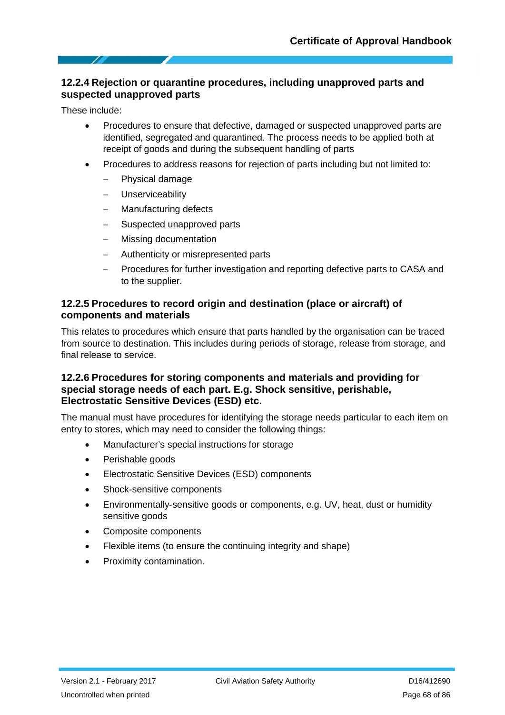#### **12.2.4 Rejection or quarantine procedures, including unapproved parts and suspected unapproved parts**

These include:

- Procedures to ensure that defective, damaged or suspected unapproved parts are identified, segregated and quarantined. The process needs to be applied both at receipt of goods and during the subsequent handling of parts
- Procedures to address reasons for rejection of parts including but not limited to:
	- − Physical damage
	- − Unserviceability
	- Manufacturing defects
	- Suspected unapproved parts
	- − Missing documentation
	- − Authenticity or misrepresented parts
	- − Procedures for further investigation and reporting defective parts to CASA and to the supplier.

#### **12.2.5 Procedures to record origin and destination (place or aircraft) of components and materials**

This relates to procedures which ensure that parts handled by the organisation can be traced from source to destination. This includes during periods of storage, release from storage, and final release to service.

#### **12.2.6 Procedures for storing components and materials and providing for special storage needs of each part. E.g. Shock sensitive, perishable, Electrostatic Sensitive Devices (ESD) etc.**

The manual must have procedures for identifying the storage needs particular to each item on entry to stores, which may need to consider the following things:

- Manufacturer's special instructions for storage
- Perishable goods
- Electrostatic Sensitive Devices (ESD) components
- Shock-sensitive components
- Environmentally‐sensitive goods or components, e.g. UV, heat, dust or humidity sensitive goods
- Composite components
- Flexible items (to ensure the continuing integrity and shape)
- Proximity contamination.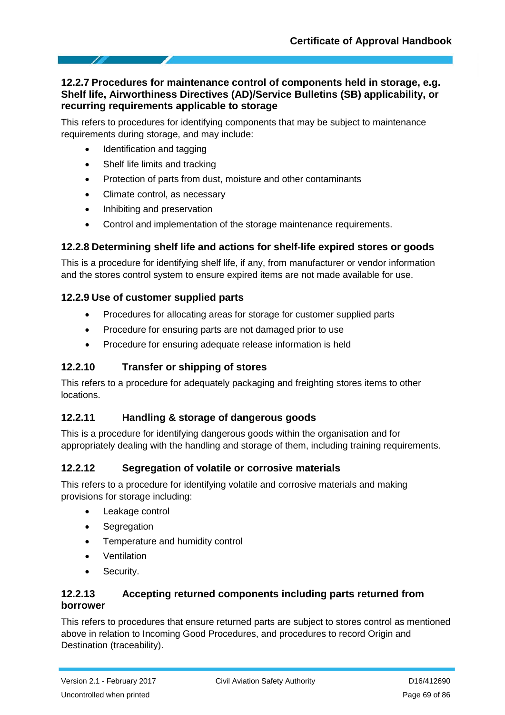#### **12.2.7 Procedures for maintenance control of components held in storage, e.g. Shelf life, Airworthiness Directives (AD)/Service Bulletins (SB) applicability, or recurring requirements applicable to storage**

This refers to procedures for identifying components that may be subject to maintenance requirements during storage, and may include:

- Identification and tagging
- Shelf life limits and tracking
- Protection of parts from dust, moisture and other contaminants
- Climate control, as necessary
- Inhibiting and preservation
- Control and implementation of the storage maintenance requirements.

### **12.2.8 Determining shelf life and actions for shelf**‐**life expired stores or goods**

This is a procedure for identifying shelf life, if any, from manufacturer or vendor information and the stores control system to ensure expired items are not made available for use.

#### **12.2.9 Use of customer supplied parts**

- Procedures for allocating areas for storage for customer supplied parts
- Procedure for ensuring parts are not damaged prior to use
- Procedure for ensuring adequate release information is held

### **12.2.10 Transfer or shipping of stores**

This refers to a procedure for adequately packaging and freighting stores items to other locations.

### **12.2.11 Handling & storage of dangerous goods**

This is a procedure for identifying dangerous goods within the organisation and for appropriately dealing with the handling and storage of them, including training requirements.

### **12.2.12 Segregation of volatile or corrosive materials**

This refers to a procedure for identifying volatile and corrosive materials and making provisions for storage including:

- Leakage control
- **Segregation**
- Temperature and humidity control
- Ventilation
- Security.

### **12.2.13 Accepting returned components including parts returned from borrower**

This refers to procedures that ensure returned parts are subject to stores control as mentioned above in relation to Incoming Good Procedures, and procedures to record Origin and Destination (traceability).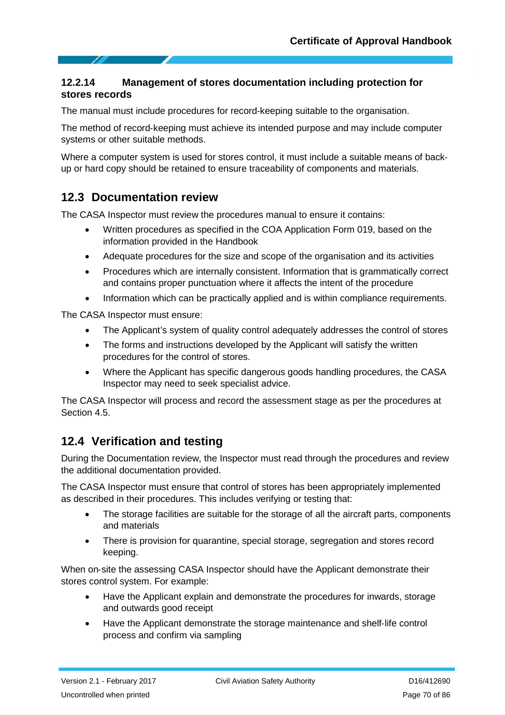#### **12.2.14 Management of stores documentation including protection for stores records**

The manual must include procedures for record-keeping suitable to the organisation.

The method of record‐keeping must achieve its intended purpose and may include computer systems or other suitable methods.

Where a computer system is used for stores control, it must include a suitable means of back‐ up or hard copy should be retained to ensure traceability of components and materials.

### **12.3 Documentation review**

The CASA Inspector must review the procedures manual to ensure it contains:

- Written procedures as specified in the COA Application Form 019, based on the information provided in the Handbook
- Adequate procedures for the size and scope of the organisation and its activities
- Procedures which are internally consistent. Information that is grammatically correct and contains proper punctuation where it affects the intent of the procedure
- Information which can be practically applied and is within compliance requirements.

The CASA Inspector must ensure:

- The Applicant's system of quality control adequately addresses the control of stores
- The forms and instructions developed by the Applicant will satisfy the written procedures for the control of stores.
- Where the Applicant has specific dangerous goods handling procedures, the CASA Inspector may need to seek specialist advice.

The CASA Inspector will process and record the assessment stage as per the procedures at Section 4.5.

## **12.4 Verification and testing**

During the Documentation review, the Inspector must read through the procedures and review the additional documentation provided.

The CASA Inspector must ensure that control of stores has been appropriately implemented as described in their procedures. This includes verifying or testing that:

- The storage facilities are suitable for the storage of all the aircraft parts, components and materials
- There is provision for quarantine, special storage, segregation and stores record keeping.

When on-site the assessing CASA Inspector should have the Applicant demonstrate their stores control system. For example:

- Have the Applicant explain and demonstrate the procedures for inwards, storage and outwards good receipt
- Have the Applicant demonstrate the storage maintenance and shelf‐life control process and confirm via sampling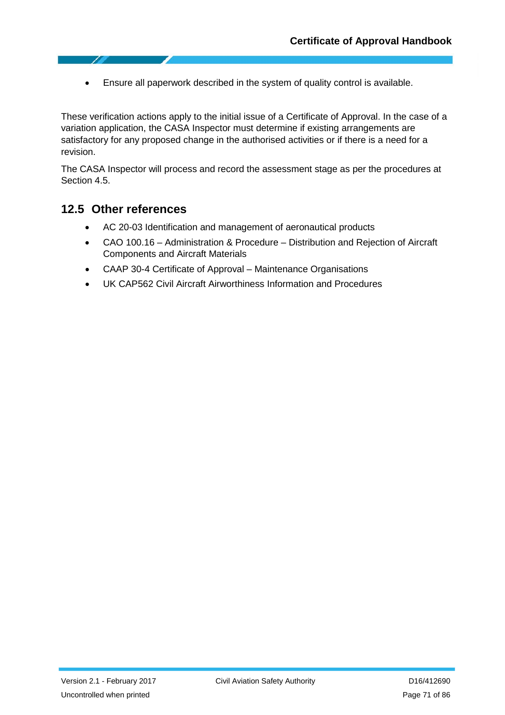• Ensure all paperwork described in the system of quality control is available.

These verification actions apply to the initial issue of a Certificate of Approval. In the case of a variation application, the CASA Inspector must determine if existing arrangements are satisfactory for any proposed change in the authorised activities or if there is a need for a revision.

The CASA Inspector will process and record the assessment stage as per the procedures at Section 4.5.

### **12.5 Other references**

- AC 20-03 Identification and management of aeronautical products
- CAO 100.16 Administration & Procedure Distribution and Rejection of Aircraft Components and Aircraft Materials
- CAAP 30-4 Certificate of Approval Maintenance Organisations
- UK CAP562 Civil Aircraft Airworthiness Information and Procedures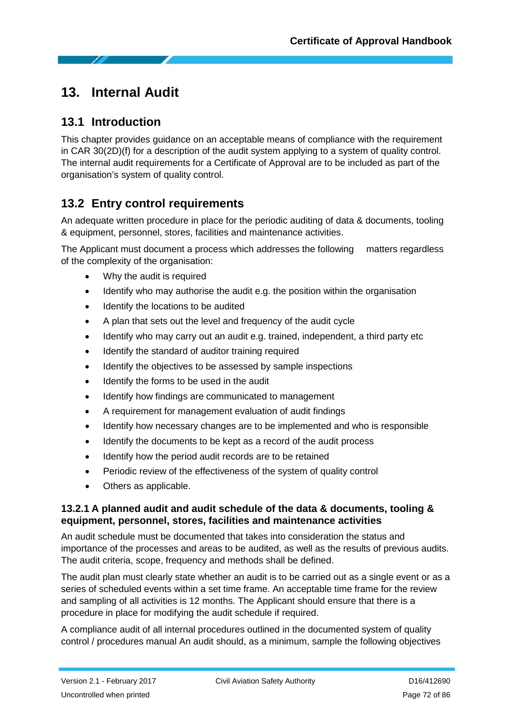# **13. Internal Audit**

# **13.1 Introduction**

This chapter provides guidance on an acceptable means of compliance with the requirement in CAR 30(2D)(f) for a description of the audit system applying to a system of quality control. The internal audit requirements for a Certificate of Approval are to be included as part of the organisation's system of quality control.

# **13.2 Entry control requirements**

An adequate written procedure in place for the periodic auditing of data & documents, tooling & equipment, personnel, stores, facilities and maintenance activities.

The Applicant must document a process which addresses the following matters regardless of the complexity of the organisation:

- Why the audit is required
- Identify who may authorise the audit e.g. the position within the organisation
- Identify the locations to be audited
- A plan that sets out the level and frequency of the audit cycle
- Identify who may carry out an audit e.g. trained, independent, a third party etc
- Identify the standard of auditor training required
- Identify the objectives to be assessed by sample inspections
- Identify the forms to be used in the audit
- Identify how findings are communicated to management
- A requirement for management evaluation of audit findings
- Identify how necessary changes are to be implemented and who is responsible
- Identify the documents to be kept as a record of the audit process
- Identify how the period audit records are to be retained
- Periodic review of the effectiveness of the system of quality control
- Others as applicable.

#### **13.2.1 A planned audit and audit schedule of the data & documents, tooling & equipment, personnel, stores, facilities and maintenance activities**

An audit schedule must be documented that takes into consideration the status and importance of the processes and areas to be audited, as well as the results of previous audits. The audit criteria, scope, frequency and methods shall be defined.

The audit plan must clearly state whether an audit is to be carried out as a single event or as a series of scheduled events within a set time frame. An acceptable time frame for the review and sampling of all activities is 12 months. The Applicant should ensure that there is a procedure in place for modifying the audit schedule if required.

A compliance audit of all internal procedures outlined in the documented system of quality control / procedures manual An audit should, as a minimum, sample the following objectives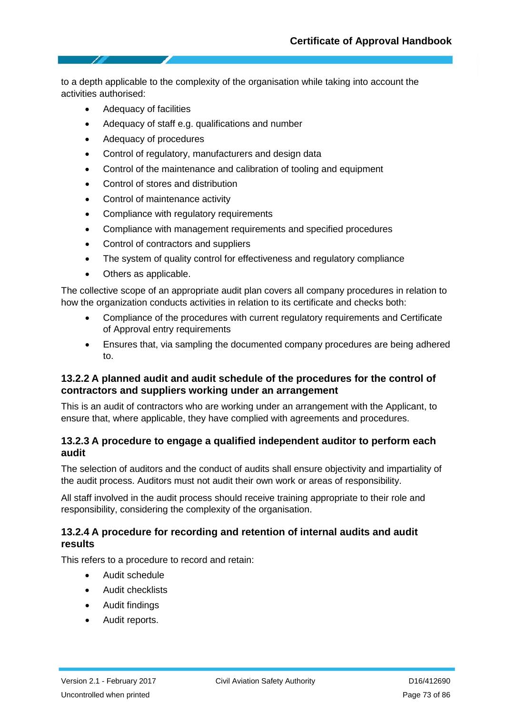to a depth applicable to the complexity of the organisation while taking into account the activities authorised:

- Adequacy of facilities
- Adequacy of staff e.g. qualifications and number
- Adequacy of procedures
- Control of regulatory, manufacturers and design data
- Control of the maintenance and calibration of tooling and equipment
- Control of stores and distribution
- Control of maintenance activity
- Compliance with regulatory requirements
- Compliance with management requirements and specified procedures
- Control of contractors and suppliers
- The system of quality control for effectiveness and regulatory compliance
- Others as applicable.

The collective scope of an appropriate audit plan covers all company procedures in relation to how the organization conducts activities in relation to its certificate and checks both:

- Compliance of the procedures with current regulatory requirements and Certificate of Approval entry requirements
- Ensures that, via sampling the documented company procedures are being adhered to.

### **13.2.2 A planned audit and audit schedule of the procedures for the control of contractors and suppliers working under an arrangement**

This is an audit of contractors who are working under an arrangement with the Applicant, to ensure that, where applicable, they have complied with agreements and procedures.

### **13.2.3 A procedure to engage a qualified independent auditor to perform each audit**

The selection of auditors and the conduct of audits shall ensure objectivity and impartiality of the audit process. Auditors must not audit their own work or areas of responsibility.

All staff involved in the audit process should receive training appropriate to their role and responsibility, considering the complexity of the organisation.

### **13.2.4 A procedure for recording and retention of internal audits and audit results**

This refers to a procedure to record and retain:

- Audit schedule
- Audit checklists
- Audit findings
- Audit reports.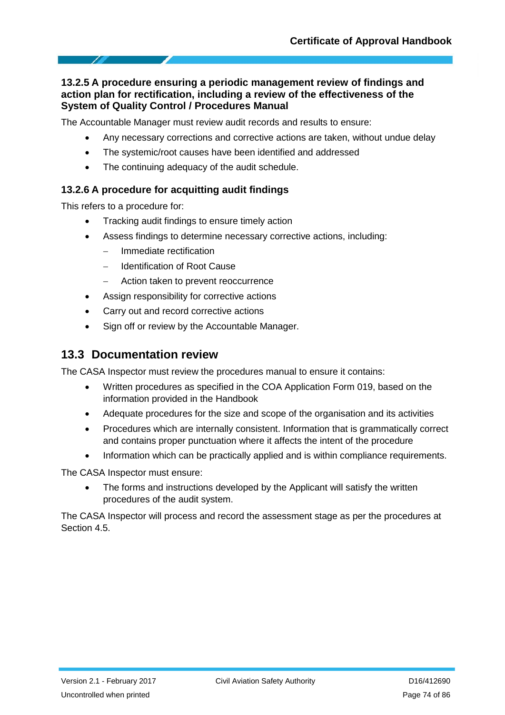## **13.2.5 A procedure ensuring a periodic management review of findings and action plan for rectification, including a review of the effectiveness of the System of Quality Control / Procedures Manual**

The Accountable Manager must review audit records and results to ensure:

- Any necessary corrections and corrective actions are taken, without undue delay
- The systemic/root causes have been identified and addressed
- The continuing adequacy of the audit schedule.

## **13.2.6 A procedure for acquitting audit findings**

This refers to a procedure for:

- Tracking audit findings to ensure timely action
- Assess findings to determine necessary corrective actions, including:
	- − Immediate rectification
	- − Identification of Root Cause
	- − Action taken to prevent reoccurrence
- Assign responsibility for corrective actions
- Carry out and record corrective actions
- Sign off or review by the Accountable Manager.

# **13.3 Documentation review**

The CASA Inspector must review the procedures manual to ensure it contains:

- Written procedures as specified in the COA Application Form 019, based on the information provided in the Handbook
- Adequate procedures for the size and scope of the organisation and its activities
- Procedures which are internally consistent. Information that is grammatically correct and contains proper punctuation where it affects the intent of the procedure
- Information which can be practically applied and is within compliance requirements.

The CASA Inspector must ensure:

The forms and instructions developed by the Applicant will satisfy the written procedures of the audit system.

The CASA Inspector will process and record the assessment stage as per the procedures at Section 4.5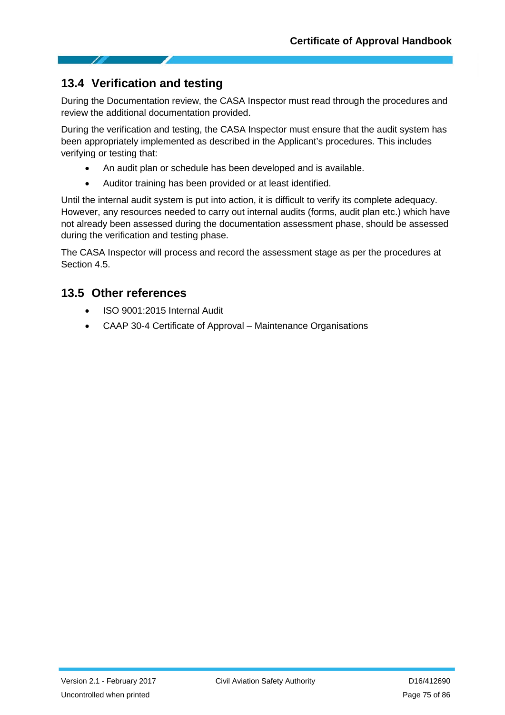# **13.4 Verification and testing**

During the Documentation review, the CASA Inspector must read through the procedures and review the additional documentation provided.

During the verification and testing, the CASA Inspector must ensure that the audit system has been appropriately implemented as described in the Applicant's procedures. This includes verifying or testing that:

- An audit plan or schedule has been developed and is available.
- Auditor training has been provided or at least identified.

Until the internal audit system is put into action, it is difficult to verify its complete adequacy. However, any resources needed to carry out internal audits (forms, audit plan etc.) which have not already been assessed during the documentation assessment phase, should be assessed during the verification and testing phase.

The CASA Inspector will process and record the assessment stage as per the procedures at Section 4.5.

# **13.5 Other references**

- ISO 9001:2015 Internal Audit
- CAAP 30-4 Certificate of Approval Maintenance Organisations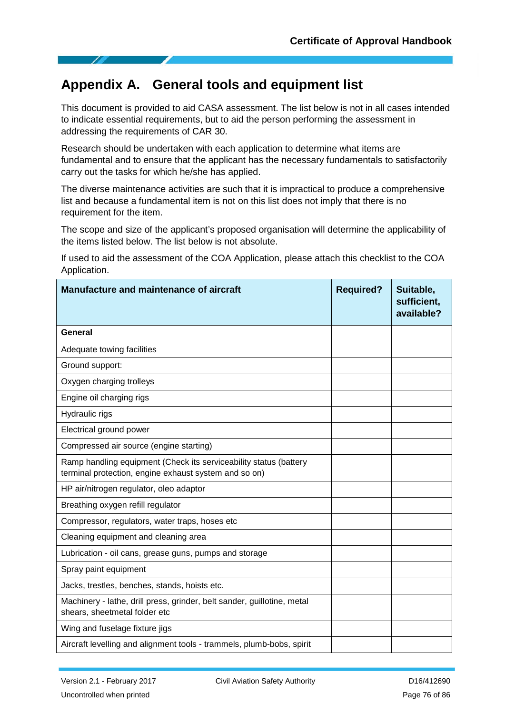# **Appendix A. General tools and equipment list**

This document is provided to aid CASA assessment. The list below is not in all cases intended to indicate essential requirements, but to aid the person performing the assessment in addressing the requirements of CAR 30.

Research should be undertaken with each application to determine what items are fundamental and to ensure that the applicant has the necessary fundamentals to satisfactorily carry out the tasks for which he/she has applied.

The diverse maintenance activities are such that it is impractical to produce a comprehensive list and because a fundamental item is not on this list does not imply that there is no requirement for the item.

The scope and size of the applicant's proposed organisation will determine the applicability of the items listed below. The list below is not absolute.

If used to aid the assessment of the COA Application, please attach this checklist to the COA Application.

| Manufacture and maintenance of aircraft                                                                                    | <b>Required?</b> | Suitable,<br>sufficient,<br>available? |
|----------------------------------------------------------------------------------------------------------------------------|------------------|----------------------------------------|
| <b>General</b>                                                                                                             |                  |                                        |
| Adequate towing facilities                                                                                                 |                  |                                        |
| Ground support:                                                                                                            |                  |                                        |
| Oxygen charging trolleys                                                                                                   |                  |                                        |
| Engine oil charging rigs                                                                                                   |                  |                                        |
| Hydraulic rigs                                                                                                             |                  |                                        |
| Electrical ground power                                                                                                    |                  |                                        |
| Compressed air source (engine starting)                                                                                    |                  |                                        |
| Ramp handling equipment (Check its serviceability status (battery<br>terminal protection, engine exhaust system and so on) |                  |                                        |
| HP air/nitrogen regulator, oleo adaptor                                                                                    |                  |                                        |
| Breathing oxygen refill regulator                                                                                          |                  |                                        |
| Compressor, regulators, water traps, hoses etc                                                                             |                  |                                        |
| Cleaning equipment and cleaning area                                                                                       |                  |                                        |
| Lubrication - oil cans, grease guns, pumps and storage                                                                     |                  |                                        |
| Spray paint equipment                                                                                                      |                  |                                        |
| Jacks, trestles, benches, stands, hoists etc.                                                                              |                  |                                        |
| Machinery - lathe, drill press, grinder, belt sander, guillotine, metal<br>shears, sheetmetal folder etc                   |                  |                                        |
| Wing and fuselage fixture jigs                                                                                             |                  |                                        |
| Aircraft levelling and alignment tools - trammels, plumb-bobs, spirit                                                      |                  |                                        |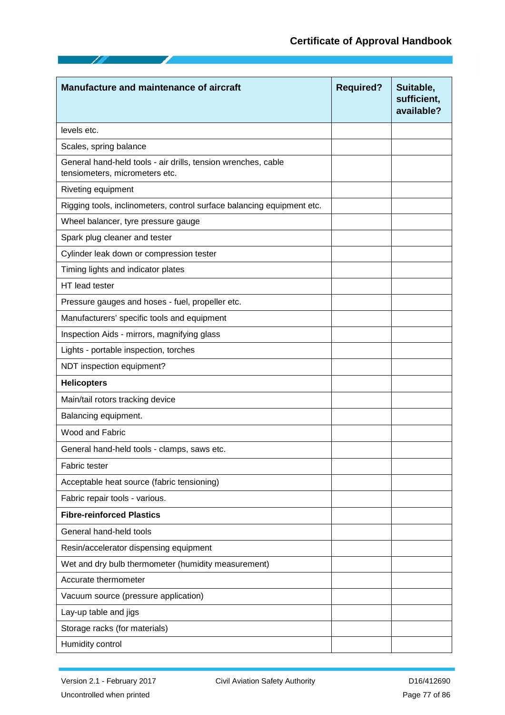| <b>Manufacture and maintenance of aircraft</b>                                                  | <b>Required?</b> | Suitable,<br>sufficient,<br>available? |
|-------------------------------------------------------------------------------------------------|------------------|----------------------------------------|
| levels etc.                                                                                     |                  |                                        |
| Scales, spring balance                                                                          |                  |                                        |
| General hand-held tools - air drills, tension wrenches, cable<br>tensiometers, micrometers etc. |                  |                                        |
| Riveting equipment                                                                              |                  |                                        |
| Rigging tools, inclinometers, control surface balancing equipment etc.                          |                  |                                        |
| Wheel balancer, tyre pressure gauge                                                             |                  |                                        |
| Spark plug cleaner and tester                                                                   |                  |                                        |
| Cylinder leak down or compression tester                                                        |                  |                                        |
| Timing lights and indicator plates                                                              |                  |                                        |
| HT lead tester                                                                                  |                  |                                        |
| Pressure gauges and hoses - fuel, propeller etc.                                                |                  |                                        |
| Manufacturers' specific tools and equipment                                                     |                  |                                        |
| Inspection Aids - mirrors, magnifying glass                                                     |                  |                                        |
| Lights - portable inspection, torches                                                           |                  |                                        |
| NDT inspection equipment?                                                                       |                  |                                        |
| <b>Helicopters</b>                                                                              |                  |                                        |
| Main/tail rotors tracking device                                                                |                  |                                        |
| Balancing equipment.                                                                            |                  |                                        |
| Wood and Fabric                                                                                 |                  |                                        |
| General hand-held tools - clamps, saws etc.                                                     |                  |                                        |
| Fabric tester                                                                                   |                  |                                        |
| Acceptable heat source (fabric tensioning)                                                      |                  |                                        |
| Fabric repair tools - various.                                                                  |                  |                                        |
| <b>Fibre-reinforced Plastics</b>                                                                |                  |                                        |
| General hand-held tools                                                                         |                  |                                        |
| Resin/accelerator dispensing equipment                                                          |                  |                                        |
| Wet and dry bulb thermometer (humidity measurement)                                             |                  |                                        |
| Accurate thermometer                                                                            |                  |                                        |
| Vacuum source (pressure application)                                                            |                  |                                        |
| Lay-up table and jigs                                                                           |                  |                                        |
| Storage racks (for materials)                                                                   |                  |                                        |
| Humidity control                                                                                |                  |                                        |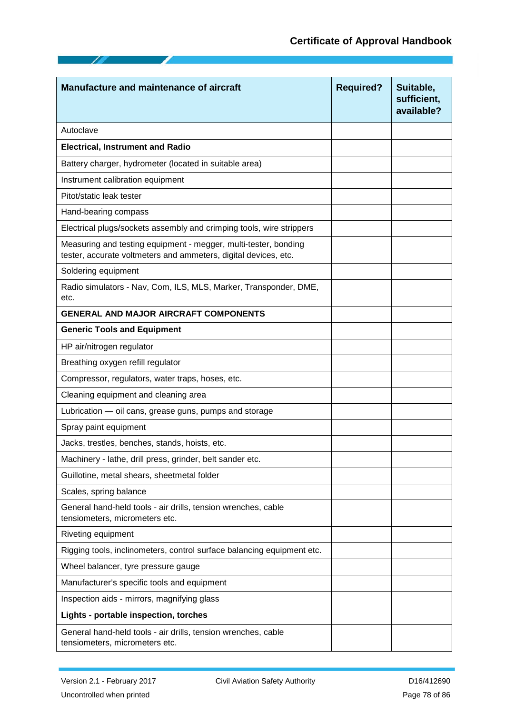| <b>Manufacture and maintenance of aircraft</b>                                                                                     | <b>Required?</b> | Suitable,<br>sufficient,<br>available? |
|------------------------------------------------------------------------------------------------------------------------------------|------------------|----------------------------------------|
| Autoclave                                                                                                                          |                  |                                        |
| <b>Electrical, Instrument and Radio</b>                                                                                            |                  |                                        |
| Battery charger, hydrometer (located in suitable area)                                                                             |                  |                                        |
| Instrument calibration equipment                                                                                                   |                  |                                        |
| Pitot/static leak tester                                                                                                           |                  |                                        |
| Hand-bearing compass                                                                                                               |                  |                                        |
| Electrical plugs/sockets assembly and crimping tools, wire strippers                                                               |                  |                                        |
| Measuring and testing equipment - megger, multi-tester, bonding<br>tester, accurate voltmeters and ammeters, digital devices, etc. |                  |                                        |
| Soldering equipment                                                                                                                |                  |                                        |
| Radio simulators - Nav, Com, ILS, MLS, Marker, Transponder, DME,<br>etc.                                                           |                  |                                        |
| <b>GENERAL AND MAJOR AIRCRAFT COMPONENTS</b>                                                                                       |                  |                                        |
| <b>Generic Tools and Equipment</b>                                                                                                 |                  |                                        |
| HP air/nitrogen regulator                                                                                                          |                  |                                        |
| Breathing oxygen refill regulator                                                                                                  |                  |                                        |
| Compressor, regulators, water traps, hoses, etc.                                                                                   |                  |                                        |
| Cleaning equipment and cleaning area                                                                                               |                  |                                        |
| Lubrication - oil cans, grease guns, pumps and storage                                                                             |                  |                                        |
| Spray paint equipment                                                                                                              |                  |                                        |
| Jacks, trestles, benches, stands, hoists, etc.                                                                                     |                  |                                        |
| Machinery - lathe, drill press, grinder, belt sander etc.                                                                          |                  |                                        |
| Guillotine, metal shears, sheetmetal folder                                                                                        |                  |                                        |
| Scales, spring balance                                                                                                             |                  |                                        |
| General hand-held tools - air drills, tension wrenches, cable<br>tensiometers, micrometers etc.                                    |                  |                                        |
| Riveting equipment                                                                                                                 |                  |                                        |
| Rigging tools, inclinometers, control surface balancing equipment etc.                                                             |                  |                                        |
| Wheel balancer, tyre pressure gauge                                                                                                |                  |                                        |
| Manufacturer's specific tools and equipment                                                                                        |                  |                                        |
| Inspection aids - mirrors, magnifying glass                                                                                        |                  |                                        |
| Lights - portable inspection, torches                                                                                              |                  |                                        |
| General hand-held tools - air drills, tension wrenches, cable<br>tensiometers, micrometers etc.                                    |                  |                                        |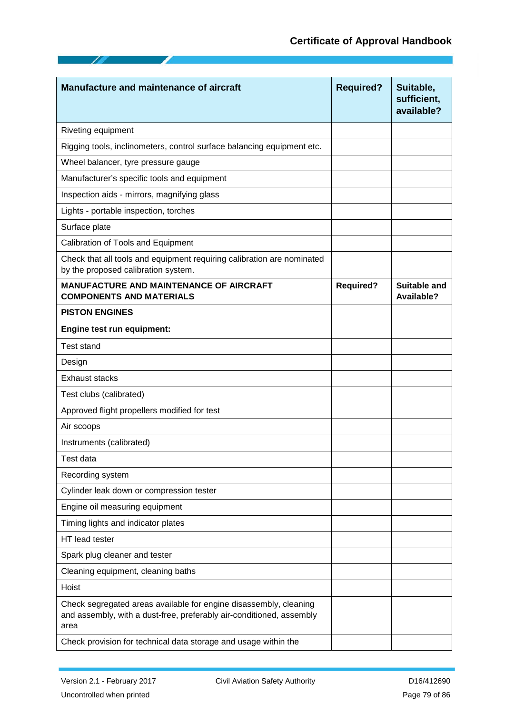| <b>Manufacture and maintenance of aircraft</b>                                                                                                    | <b>Required?</b> | Suitable,<br>sufficient,<br>available? |
|---------------------------------------------------------------------------------------------------------------------------------------------------|------------------|----------------------------------------|
| Riveting equipment                                                                                                                                |                  |                                        |
| Rigging tools, inclinometers, control surface balancing equipment etc.                                                                            |                  |                                        |
| Wheel balancer, tyre pressure gauge                                                                                                               |                  |                                        |
| Manufacturer's specific tools and equipment                                                                                                       |                  |                                        |
| Inspection aids - mirrors, magnifying glass                                                                                                       |                  |                                        |
| Lights - portable inspection, torches                                                                                                             |                  |                                        |
| Surface plate                                                                                                                                     |                  |                                        |
| Calibration of Tools and Equipment                                                                                                                |                  |                                        |
| Check that all tools and equipment requiring calibration are nominated<br>by the proposed calibration system.                                     |                  |                                        |
| <b>MANUFACTURE AND MAINTENANCE OF AIRCRAFT</b><br><b>COMPONENTS AND MATERIALS</b>                                                                 | <b>Required?</b> | Suitable and<br>Available?             |
| <b>PISTON ENGINES</b>                                                                                                                             |                  |                                        |
| Engine test run equipment:                                                                                                                        |                  |                                        |
| <b>Test stand</b>                                                                                                                                 |                  |                                        |
| Design                                                                                                                                            |                  |                                        |
| <b>Exhaust stacks</b>                                                                                                                             |                  |                                        |
| Test clubs (calibrated)                                                                                                                           |                  |                                        |
| Approved flight propellers modified for test                                                                                                      |                  |                                        |
| Air scoops                                                                                                                                        |                  |                                        |
| Instruments (calibrated)                                                                                                                          |                  |                                        |
| Test data                                                                                                                                         |                  |                                        |
| Recording system                                                                                                                                  |                  |                                        |
| Cylinder leak down or compression tester                                                                                                          |                  |                                        |
| Engine oil measuring equipment                                                                                                                    |                  |                                        |
| Timing lights and indicator plates                                                                                                                |                  |                                        |
| HT lead tester                                                                                                                                    |                  |                                        |
| Spark plug cleaner and tester                                                                                                                     |                  |                                        |
| Cleaning equipment, cleaning baths                                                                                                                |                  |                                        |
| Hoist                                                                                                                                             |                  |                                        |
| Check segregated areas available for engine disassembly, cleaning<br>and assembly, with a dust-free, preferably air-conditioned, assembly<br>area |                  |                                        |
| Check provision for technical data storage and usage within the                                                                                   |                  |                                        |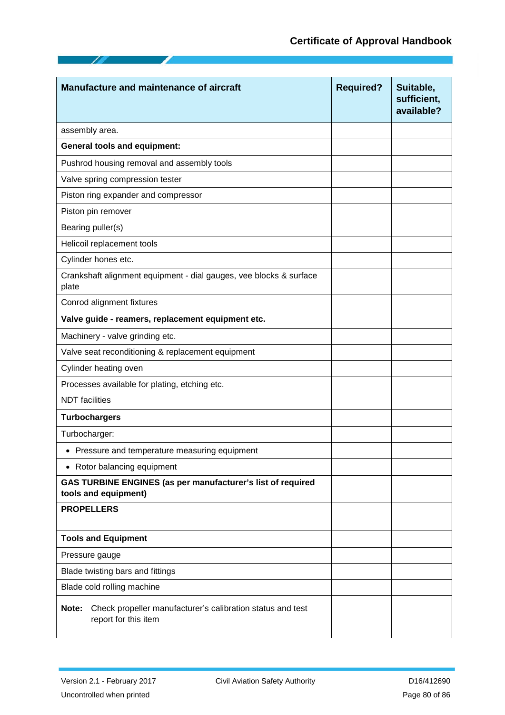| Manufacture and maintenance of aircraft                                                     | <b>Required?</b> | Suitable,<br>sufficient,<br>available? |
|---------------------------------------------------------------------------------------------|------------------|----------------------------------------|
| assembly area.                                                                              |                  |                                        |
| <b>General tools and equipment:</b>                                                         |                  |                                        |
| Pushrod housing removal and assembly tools                                                  |                  |                                        |
| Valve spring compression tester                                                             |                  |                                        |
| Piston ring expander and compressor                                                         |                  |                                        |
| Piston pin remover                                                                          |                  |                                        |
| Bearing puller(s)                                                                           |                  |                                        |
| Helicoil replacement tools                                                                  |                  |                                        |
| Cylinder hones etc.                                                                         |                  |                                        |
| Crankshaft alignment equipment - dial gauges, vee blocks & surface<br>plate                 |                  |                                        |
| Conrod alignment fixtures                                                                   |                  |                                        |
| Valve guide - reamers, replacement equipment etc.                                           |                  |                                        |
| Machinery - valve grinding etc.                                                             |                  |                                        |
| Valve seat reconditioning & replacement equipment                                           |                  |                                        |
| Cylinder heating oven                                                                       |                  |                                        |
| Processes available for plating, etching etc.                                               |                  |                                        |
| <b>NDT</b> facilities                                                                       |                  |                                        |
| <b>Turbochargers</b>                                                                        |                  |                                        |
| Turbocharger:                                                                               |                  |                                        |
| • Pressure and temperature measuring equipment                                              |                  |                                        |
| • Rotor balancing equipment                                                                 |                  |                                        |
| GAS TURBINE ENGINES (as per manufacturer's list of required<br>tools and equipment)         |                  |                                        |
| <b>PROPELLERS</b>                                                                           |                  |                                        |
| <b>Tools and Equipment</b>                                                                  |                  |                                        |
| Pressure gauge                                                                              |                  |                                        |
| Blade twisting bars and fittings                                                            |                  |                                        |
| Blade cold rolling machine                                                                  |                  |                                        |
| Check propeller manufacturer's calibration status and test<br>Note:<br>report for this item |                  |                                        |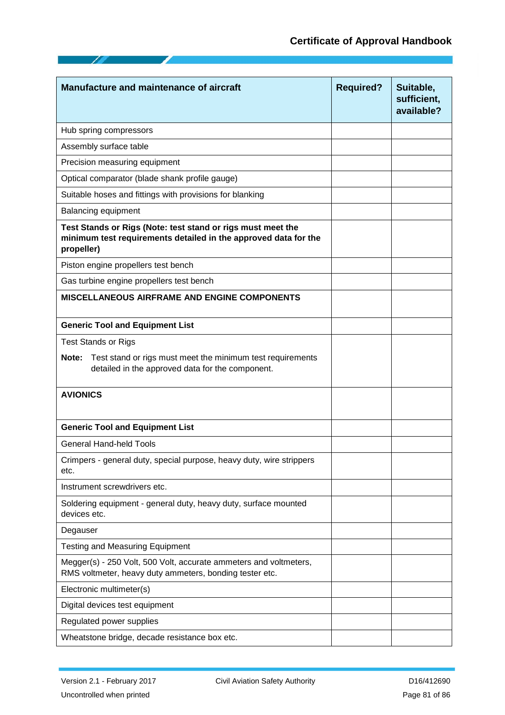| Manufacture and maintenance of aircraft                                                                                                      | <b>Required?</b> | Suitable,<br>sufficient,<br>available? |
|----------------------------------------------------------------------------------------------------------------------------------------------|------------------|----------------------------------------|
| Hub spring compressors                                                                                                                       |                  |                                        |
| Assembly surface table                                                                                                                       |                  |                                        |
| Precision measuring equipment                                                                                                                |                  |                                        |
| Optical comparator (blade shank profile gauge)                                                                                               |                  |                                        |
| Suitable hoses and fittings with provisions for blanking                                                                                     |                  |                                        |
| <b>Balancing equipment</b>                                                                                                                   |                  |                                        |
| Test Stands or Rigs (Note: test stand or rigs must meet the<br>minimum test requirements detailed in the approved data for the<br>propeller) |                  |                                        |
| Piston engine propellers test bench                                                                                                          |                  |                                        |
| Gas turbine engine propellers test bench                                                                                                     |                  |                                        |
| <b>MISCELLANEOUS AIRFRAME AND ENGINE COMPONENTS</b>                                                                                          |                  |                                        |
| <b>Generic Tool and Equipment List</b>                                                                                                       |                  |                                        |
| <b>Test Stands or Rigs</b>                                                                                                                   |                  |                                        |
| Test stand or rigs must meet the minimum test requirements<br>Note:<br>detailed in the approved data for the component.                      |                  |                                        |
| <b>AVIONICS</b>                                                                                                                              |                  |                                        |
| <b>Generic Tool and Equipment List</b>                                                                                                       |                  |                                        |
| <b>General Hand-held Tools</b>                                                                                                               |                  |                                        |
| Crimpers - general duty, special purpose, heavy duty, wire strippers<br>etc.                                                                 |                  |                                        |
| Instrument screwdrivers etc.                                                                                                                 |                  |                                        |
| Soldering equipment - general duty, heavy duty, surface mounted<br>devices etc.                                                              |                  |                                        |
| Degauser                                                                                                                                     |                  |                                        |
| <b>Testing and Measuring Equipment</b>                                                                                                       |                  |                                        |
| Megger(s) - 250 Volt, 500 Volt, accurate ammeters and voltmeters,<br>RMS voltmeter, heavy duty ammeters, bonding tester etc.                 |                  |                                        |
| Electronic multimeter(s)                                                                                                                     |                  |                                        |
| Digital devices test equipment                                                                                                               |                  |                                        |
| Regulated power supplies                                                                                                                     |                  |                                        |
| Wheatstone bridge, decade resistance box etc.                                                                                                |                  |                                        |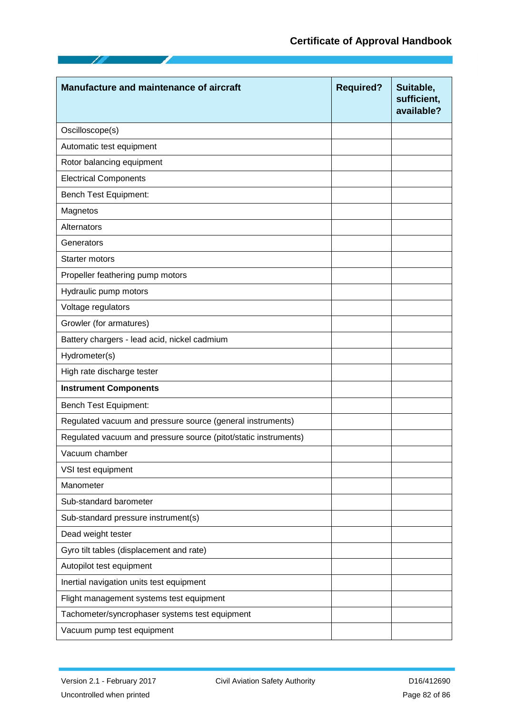| <b>Manufacture and maintenance of aircraft</b>                  | <b>Required?</b> | Suitable,<br>sufficient,<br>available? |
|-----------------------------------------------------------------|------------------|----------------------------------------|
| Oscilloscope(s)                                                 |                  |                                        |
| Automatic test equipment                                        |                  |                                        |
| Rotor balancing equipment                                       |                  |                                        |
| <b>Electrical Components</b>                                    |                  |                                        |
| <b>Bench Test Equipment:</b>                                    |                  |                                        |
| Magnetos                                                        |                  |                                        |
| Alternators                                                     |                  |                                        |
| Generators                                                      |                  |                                        |
| Starter motors                                                  |                  |                                        |
| Propeller feathering pump motors                                |                  |                                        |
| Hydraulic pump motors                                           |                  |                                        |
| Voltage regulators                                              |                  |                                        |
| Growler (for armatures)                                         |                  |                                        |
| Battery chargers - lead acid, nickel cadmium                    |                  |                                        |
| Hydrometer(s)                                                   |                  |                                        |
| High rate discharge tester                                      |                  |                                        |
| <b>Instrument Components</b>                                    |                  |                                        |
| <b>Bench Test Equipment:</b>                                    |                  |                                        |
| Regulated vacuum and pressure source (general instruments)      |                  |                                        |
| Regulated vacuum and pressure source (pitot/static instruments) |                  |                                        |
| Vacuum chamber                                                  |                  |                                        |
| VSI test equipment                                              |                  |                                        |
| Manometer                                                       |                  |                                        |
| Sub-standard barometer                                          |                  |                                        |
| Sub-standard pressure instrument(s)                             |                  |                                        |
| Dead weight tester                                              |                  |                                        |
| Gyro tilt tables (displacement and rate)                        |                  |                                        |
| Autopilot test equipment                                        |                  |                                        |
| Inertial navigation units test equipment                        |                  |                                        |
| Flight management systems test equipment                        |                  |                                        |
| Tachometer/syncrophaser systems test equipment                  |                  |                                        |
| Vacuum pump test equipment                                      |                  |                                        |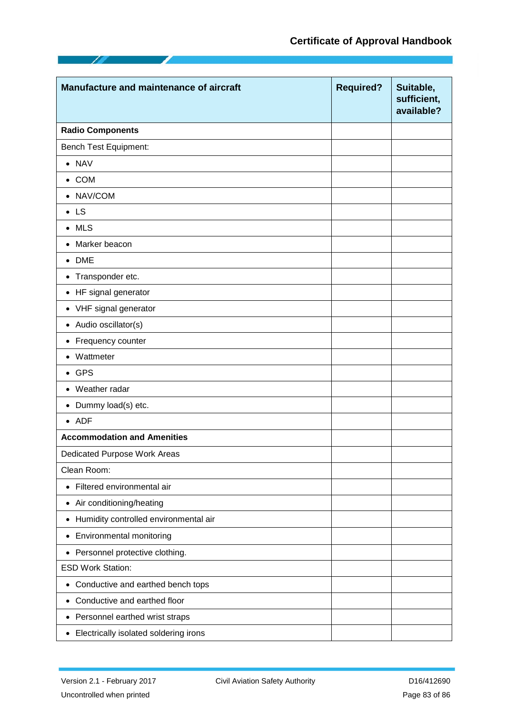| Manufacture and maintenance of aircraft            | <b>Required?</b> | Suitable,<br>sufficient,<br>available? |
|----------------------------------------------------|------------------|----------------------------------------|
| <b>Radio Components</b>                            |                  |                                        |
| Bench Test Equipment:                              |                  |                                        |
| $\bullet$ NAV                                      |                  |                                        |
| $\bullet$ COM                                      |                  |                                        |
| • NAV/COM                                          |                  |                                        |
| $\bullet$ LS                                       |                  |                                        |
| $\bullet$ MLS                                      |                  |                                        |
| Marker beacon<br>$\bullet$                         |                  |                                        |
| $\bullet$ DME                                      |                  |                                        |
| • Transponder etc.                                 |                  |                                        |
| • HF signal generator                              |                  |                                        |
| • VHF signal generator                             |                  |                                        |
| • Audio oscillator(s)                              |                  |                                        |
| Frequency counter<br>$\bullet$                     |                  |                                        |
| Wattmeter                                          |                  |                                        |
| $\bullet$ GPS                                      |                  |                                        |
| • Weather radar                                    |                  |                                        |
| • Dummy load(s) etc.                               |                  |                                        |
| $\bullet$ ADF                                      |                  |                                        |
| <b>Accommodation and Amenities</b>                 |                  |                                        |
| Dedicated Purpose Work Areas                       |                  |                                        |
| Clean Room:                                        |                  |                                        |
| • Filtered environmental air                       |                  |                                        |
| • Air conditioning/heating                         |                  |                                        |
| Humidity controlled environmental air<br>$\bullet$ |                  |                                        |
| • Environmental monitoring                         |                  |                                        |
| Personnel protective clothing.<br>$\bullet$        |                  |                                        |
| <b>ESD Work Station:</b>                           |                  |                                        |
| Conductive and earthed bench tops<br>$\bullet$     |                  |                                        |
| Conductive and earthed floor<br>$\bullet$          |                  |                                        |
| • Personnel earthed wrist straps                   |                  |                                        |
| • Electrically isolated soldering irons            |                  |                                        |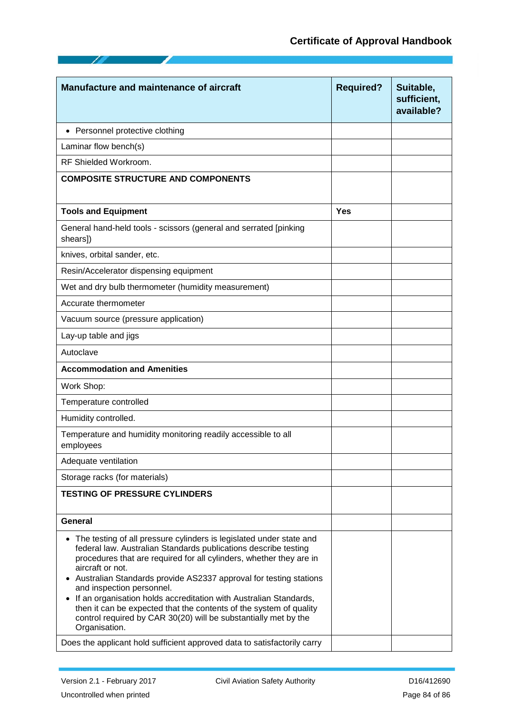# **Certificate of Approval Handbook**

| <b>Manufacture and maintenance of aircraft</b>                                                                                                                                                                                                                                                                                                                                                                                                                                                                                                                       | <b>Required?</b> | Suitable,<br>sufficient,<br>available? |
|----------------------------------------------------------------------------------------------------------------------------------------------------------------------------------------------------------------------------------------------------------------------------------------------------------------------------------------------------------------------------------------------------------------------------------------------------------------------------------------------------------------------------------------------------------------------|------------------|----------------------------------------|
| • Personnel protective clothing                                                                                                                                                                                                                                                                                                                                                                                                                                                                                                                                      |                  |                                        |
| Laminar flow bench(s)                                                                                                                                                                                                                                                                                                                                                                                                                                                                                                                                                |                  |                                        |
| RF Shielded Workroom.                                                                                                                                                                                                                                                                                                                                                                                                                                                                                                                                                |                  |                                        |
| <b>COMPOSITE STRUCTURE AND COMPONENTS</b>                                                                                                                                                                                                                                                                                                                                                                                                                                                                                                                            |                  |                                        |
| <b>Tools and Equipment</b>                                                                                                                                                                                                                                                                                                                                                                                                                                                                                                                                           | <b>Yes</b>       |                                        |
| General hand-held tools - scissors (general and serrated [pinking<br>shears])                                                                                                                                                                                                                                                                                                                                                                                                                                                                                        |                  |                                        |
| knives, orbital sander, etc.                                                                                                                                                                                                                                                                                                                                                                                                                                                                                                                                         |                  |                                        |
| Resin/Accelerator dispensing equipment                                                                                                                                                                                                                                                                                                                                                                                                                                                                                                                               |                  |                                        |
| Wet and dry bulb thermometer (humidity measurement)                                                                                                                                                                                                                                                                                                                                                                                                                                                                                                                  |                  |                                        |
| Accurate thermometer                                                                                                                                                                                                                                                                                                                                                                                                                                                                                                                                                 |                  |                                        |
| Vacuum source (pressure application)                                                                                                                                                                                                                                                                                                                                                                                                                                                                                                                                 |                  |                                        |
| Lay-up table and jigs                                                                                                                                                                                                                                                                                                                                                                                                                                                                                                                                                |                  |                                        |
| Autoclave                                                                                                                                                                                                                                                                                                                                                                                                                                                                                                                                                            |                  |                                        |
| <b>Accommodation and Amenities</b>                                                                                                                                                                                                                                                                                                                                                                                                                                                                                                                                   |                  |                                        |
| Work Shop:                                                                                                                                                                                                                                                                                                                                                                                                                                                                                                                                                           |                  |                                        |
| Temperature controlled                                                                                                                                                                                                                                                                                                                                                                                                                                                                                                                                               |                  |                                        |
| Humidity controlled.                                                                                                                                                                                                                                                                                                                                                                                                                                                                                                                                                 |                  |                                        |
| Temperature and humidity monitoring readily accessible to all<br>employees                                                                                                                                                                                                                                                                                                                                                                                                                                                                                           |                  |                                        |
| Adequate ventilation                                                                                                                                                                                                                                                                                                                                                                                                                                                                                                                                                 |                  |                                        |
| Storage racks (for materials)                                                                                                                                                                                                                                                                                                                                                                                                                                                                                                                                        |                  |                                        |
| <b>TESTING OF PRESSURE CYLINDERS</b>                                                                                                                                                                                                                                                                                                                                                                                                                                                                                                                                 |                  |                                        |
| General                                                                                                                                                                                                                                                                                                                                                                                                                                                                                                                                                              |                  |                                        |
| • The testing of all pressure cylinders is legislated under state and<br>federal law. Australian Standards publications describe testing<br>procedures that are required for all cylinders, whether they are in<br>aircraft or not.<br>Australian Standards provide AS2337 approval for testing stations<br>and inspection personnel.<br>If an organisation holds accreditation with Australian Standards,<br>then it can be expected that the contents of the system of quality<br>control required by CAR 30(20) will be substantially met by the<br>Organisation. |                  |                                        |
| Does the applicant hold sufficient approved data to satisfactorily carry                                                                                                                                                                                                                                                                                                                                                                                                                                                                                             |                  |                                        |

75